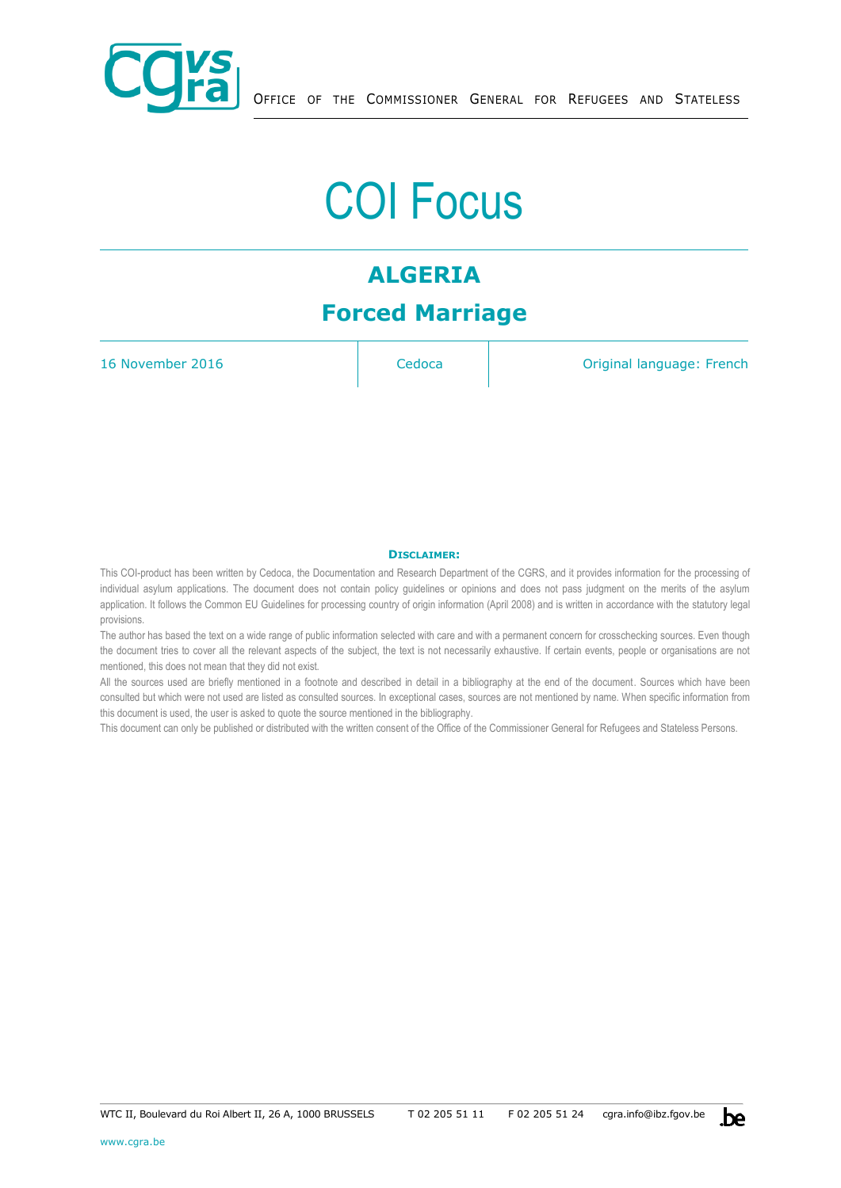

# COI Focus

# **ALGERIA Forced Marriage**

16 November 2016 **Cedoca Cedoca** Original language: French

#### **DISCLAIMER:**

This COI-product has been written by Cedoca, the Documentation and Research Department of the CGRS, and it provides information for the processing of individual asylum applications. The document does not contain policy guidelines or opinions and does not pass judgment on the merits of the asylum application. It follows the Common EU Guidelines for processing country of origin information (April 2008) and is written in accordance with the statutory legal provisions.

The author has based the text on a wide range of public information selected with care and with a permanent concern for crosschecking sources. Even though the document tries to cover all the relevant aspects of the subject, the text is not necessarily exhaustive. If certain events, people or organisations are not mentioned, this does not mean that they did not exist.

All the sources used are briefly mentioned in a footnote and described in detail in a bibliography at the end of the document. Sources which have been consulted but which were not used are listed as consulted sources. In exceptional cases, sources are not mentioned by name. When specific information from this document is used, the user is asked to quote the source mentioned in the bibliography.

This document can only be published or distributed with the written consent of the Office of the Commissioner General for Refugees and Stateless Persons.

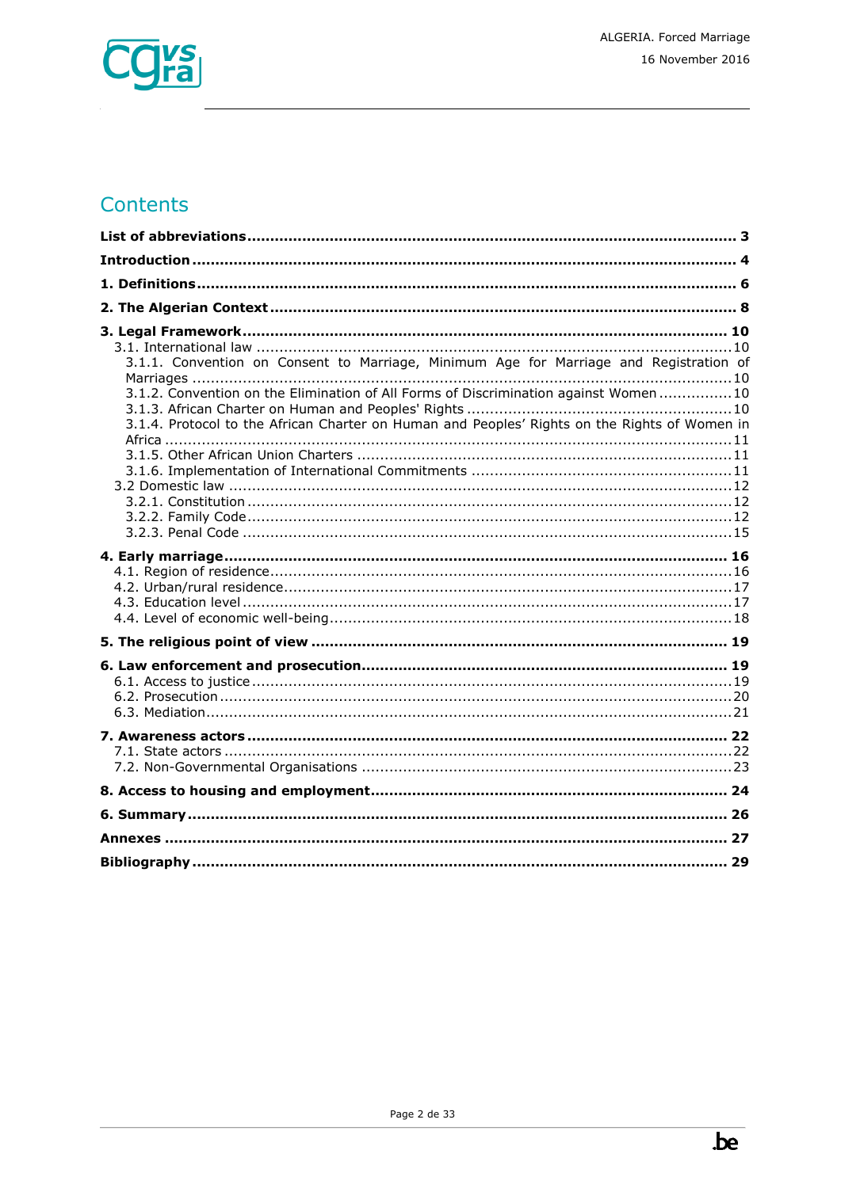

# Contents

| 3.1.1. Convention on Consent to Marriage, Minimum Age for Marriage and Registration of<br>3.1.2. Convention on the Elimination of All Forms of Discrimination against Women  10<br>3.1.4. Protocol to the African Charter on Human and Peoples' Rights on the Rights of Women in |  |
|----------------------------------------------------------------------------------------------------------------------------------------------------------------------------------------------------------------------------------------------------------------------------------|--|
|                                                                                                                                                                                                                                                                                  |  |
|                                                                                                                                                                                                                                                                                  |  |
|                                                                                                                                                                                                                                                                                  |  |
|                                                                                                                                                                                                                                                                                  |  |
|                                                                                                                                                                                                                                                                                  |  |
|                                                                                                                                                                                                                                                                                  |  |
|                                                                                                                                                                                                                                                                                  |  |
|                                                                                                                                                                                                                                                                                  |  |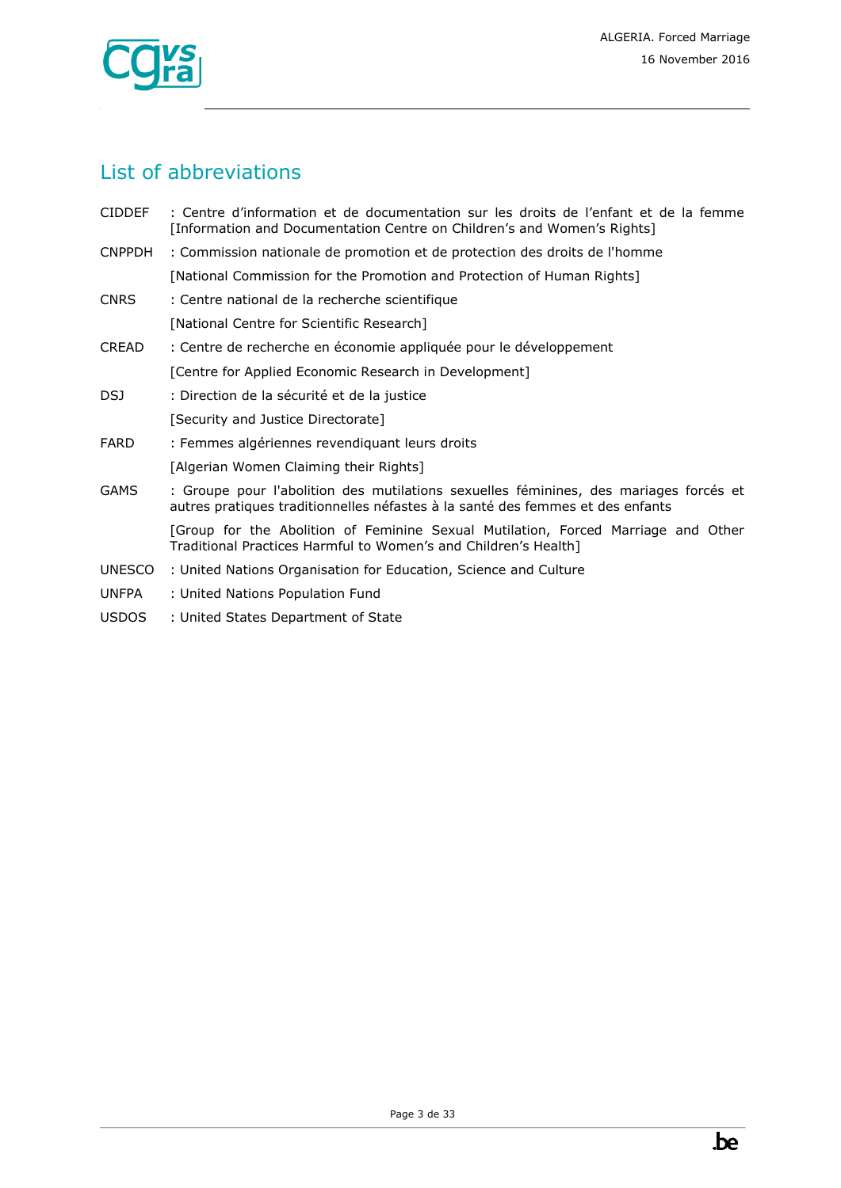

# <span id="page-2-0"></span>List of abbreviations

| CIDDEF : Centre d'information et de documentation sur les droits de l'enfant et de la femme |
|---------------------------------------------------------------------------------------------|
| [Information and Documentation Centre on Children's and Women's Rights]                     |

CNPPDH : Commission nationale de promotion et de protection des droits de l'homme

[National Commission for the Promotion and Protection of Human Rights]

- CNRS : Centre national de la recherche scientifique [National Centre for Scientific Research]
- CREAD : Centre de recherche en économie appliquée pour le développement [Centre for Applied Economic Research in Development]
- DSJ : Direction de la sécurité et de la justice
	- [Security and Justice Directorate]
- FARD : Femmes algériennes revendiquant leurs droits
	- [Algerian Women Claiming their Rights]
- GAMS : Groupe pour l'abolition des mutilations sexuelles féminines, des mariages forcés et autres pratiques traditionnelles néfastes à la santé des femmes et des enfants

[Group for the Abolition of Feminine Sexual Mutilation, Forced Marriage and Other Traditional Practices Harmful to Women's and Children's Health]

- UNESCO : United Nations Organisation for Education, Science and Culture
- UNFPA : United Nations Population Fund
- USDOS : United States Department of State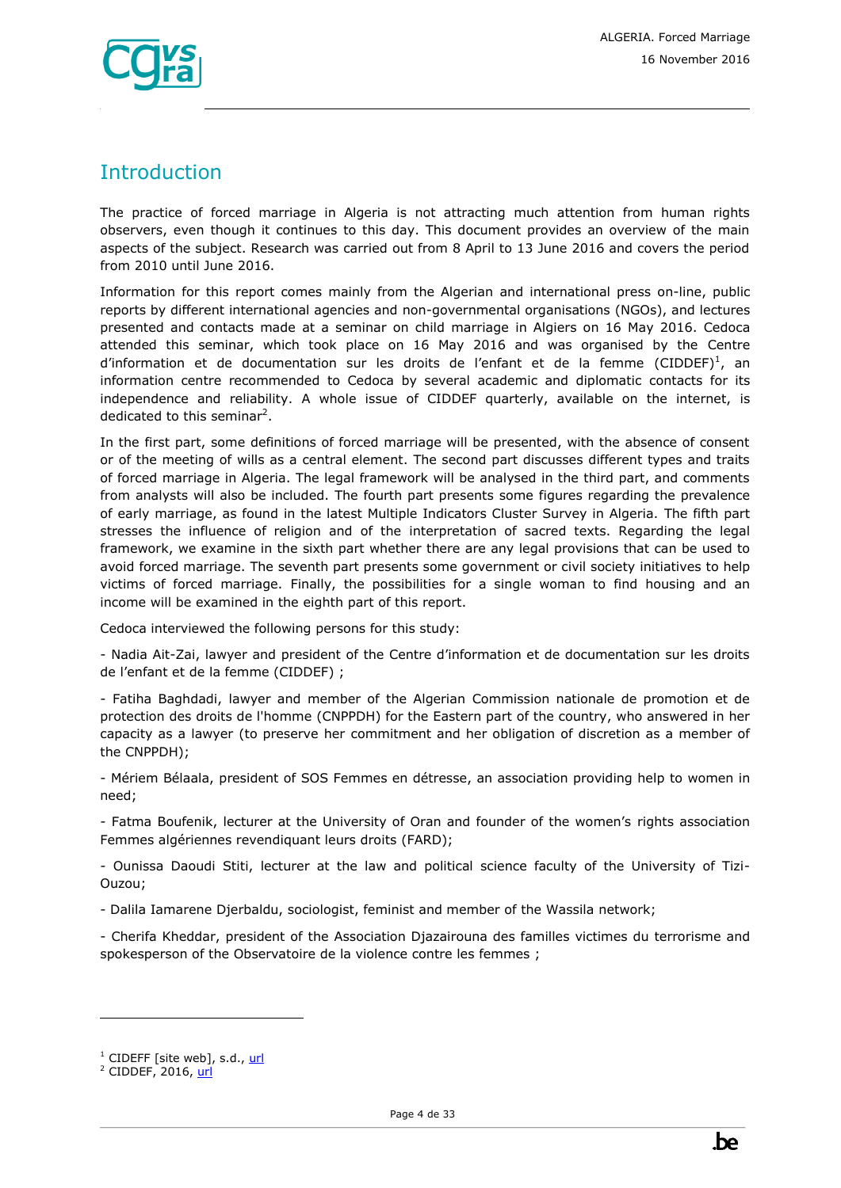

# <span id="page-3-0"></span>**Introduction**

The practice of forced marriage in Algeria is not attracting much attention from human rights observers, even though it continues to this day. This document provides an overview of the main aspects of the subject. Research was carried out from 8 April to 13 June 2016 and covers the period from 2010 until June 2016.

Information for this report comes mainly from the Algerian and international press on-line, public reports by different international agencies and non-governmental organisations (NGOs), and lectures presented and contacts made at a seminar on child marriage in Algiers on 16 May 2016. Cedoca attended this seminar, which took place on 16 May 2016 and was organised by the Centre d'information et de documentation sur les droits de l'enfant et de la femme (CIDDEF)<sup>1</sup>, an information centre recommended to Cedoca by several academic and diplomatic contacts for its independence and reliability. A whole issue of CIDDEF quarterly, available on the internet, is dedicated to this seminar<sup>2</sup>.

In the first part, some definitions of forced marriage will be presented, with the absence of consent or of the meeting of wills as a central element. The second part discusses different types and traits of forced marriage in Algeria. The legal framework will be analysed in the third part, and comments from analysts will also be included. The fourth part presents some figures regarding the prevalence of early marriage, as found in the latest Multiple Indicators Cluster Survey in Algeria. The fifth part stresses the influence of religion and of the interpretation of sacred texts. Regarding the legal framework, we examine in the sixth part whether there are any legal provisions that can be used to avoid forced marriage. The seventh part presents some government or civil society initiatives to help victims of forced marriage. Finally, the possibilities for a single woman to find housing and an income will be examined in the eighth part of this report.

Cedoca interviewed the following persons for this study:

- Nadia Ait-Zai, lawyer and president of the Centre d'information et de documentation sur les droits de l'enfant et de la femme (CIDDEF) ;

- Fatiha Baghdadi, lawyer and member of the Algerian Commission nationale de promotion et de protection des droits de l'homme (CNPPDH) for the Eastern part of the country, who answered in her capacity as a lawyer (to preserve her commitment and her obligation of discretion as a member of the CNPPDH);

- Mériem Bélaala, president of SOS Femmes en détresse, an association providing help to women in need;

- Fatma Boufenik, lecturer at the University of Oran and founder of the women's rights association Femmes algériennes revendiquant leurs droits (FARD);

- Ounissa Daoudi Stiti, lecturer at the law and political science faculty of the University of Tizi-Ouzou;

- Dalila Iamarene Djerbaldu, sociologist, feminist and member of the Wassila network;

- Cherifa Kheddar, president of the Association Djazairouna des familles victimes du terrorisme and spokesperson of the Observatoire de la violence contre les femmes ;

<sup>&</sup>lt;sup>1</sup> CIDEFF [site web], s.d., [url](http://www.ciddef-dz.com/)

<sup>&</sup>lt;sup>2</sup> CIDDEF, 2016[, url](http://www.ciddef-dz.com/pdf/revues/revue-37/revue37.pdf)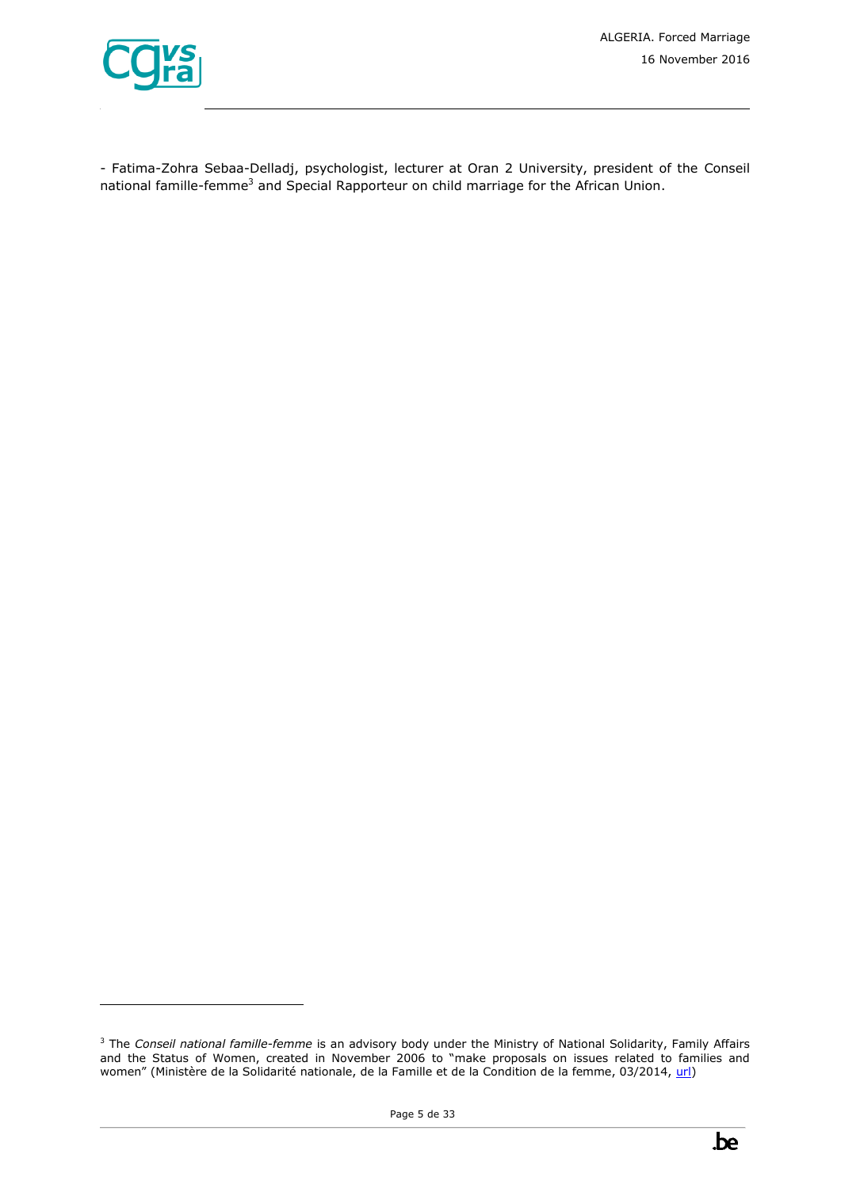

ł

- Fatima-Zohra Sebaa-Delladj, psychologist, lecturer at Oran 2 University, president of the Conseil national famille-femme<sup>3</sup> and Special Rapporteur on child marriage for the African Union.



<sup>&</sup>lt;sup>3</sup> The *Conseil national famille-femme* is an advisory body under the Ministry of National Solidarity, Family Affairs and the Status of Women, created in November 2006 to "make proposals on issues related to families and women" (Ministère de la Solidarité nationale, de la Famille et de la Condition de la femme, 03/2014, [url\)](http://www.msnfcf.gov.dz/fr/public_file/document_1400141353.pdf)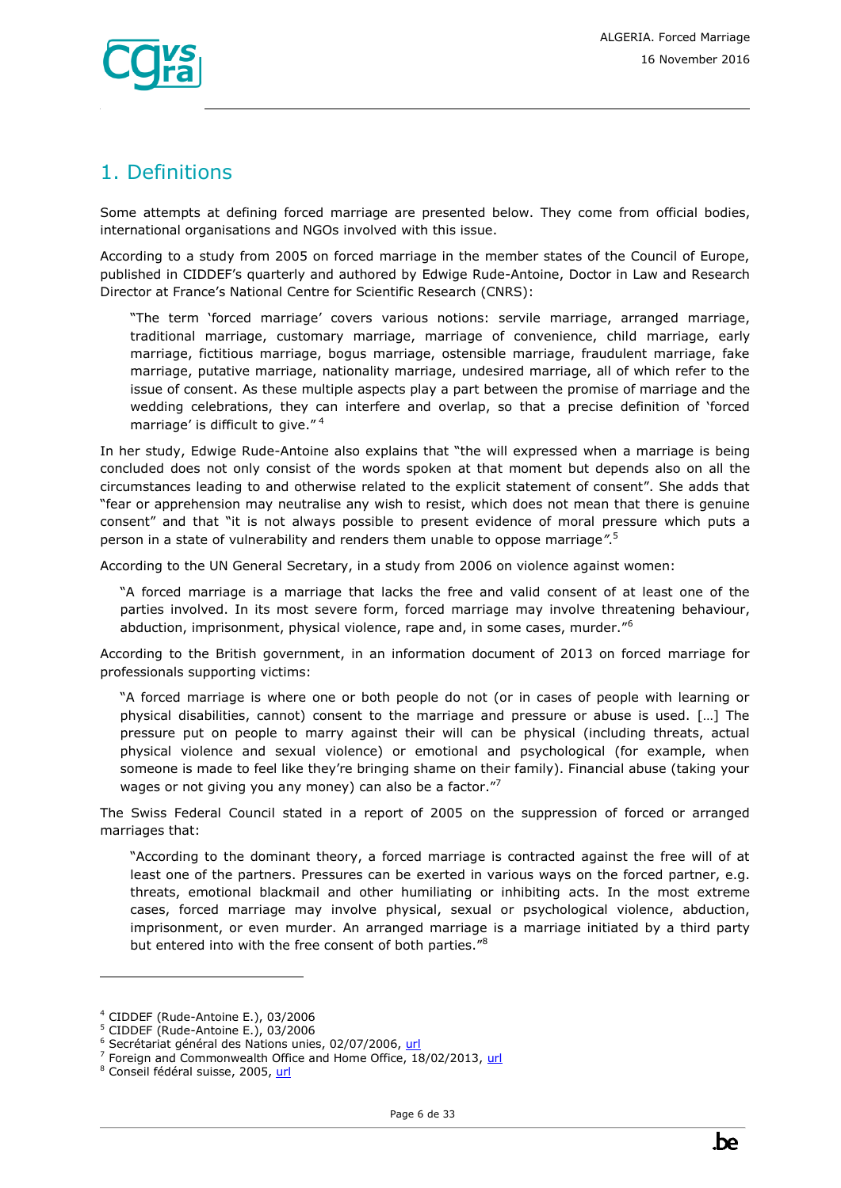

# <span id="page-5-0"></span>1. Definitions

Some attempts at defining forced marriage are presented below. They come from official bodies, international organisations and NGOs involved with this issue.

According to a study from 2005 on forced marriage in the member states of the Council of Europe, published in CIDDEF's quarterly and authored by Edwige Rude-Antoine, Doctor in Law and Research Director at France's National Centre for Scientific Research (CNRS):

"The term 'forced marriage' covers various notions: servile marriage, arranged marriage, traditional marriage, customary marriage, marriage of convenience, child marriage, early marriage, fictitious marriage, bogus marriage, ostensible marriage, fraudulent marriage, fake marriage, putative marriage, nationality marriage, undesired marriage, all of which refer to the issue of consent. As these multiple aspects play a part between the promise of marriage and the wedding celebrations, they can interfere and overlap, so that a precise definition of 'forced marriage' is difficult to give."<sup>4</sup>

In her study, Edwige Rude-Antoine also explains that "the will expressed when a marriage is being concluded does not only consist of the words spoken at that moment but depends also on all the circumstances leading to and otherwise related to the explicit statement of consent". She adds that "fear or apprehension may neutralise any wish to resist, which does not mean that there is genuine consent" and that "it is not always possible to present evidence of moral pressure which puts a person in a state of vulnerability and renders them unable to oppose marriage*"*. 5

According to the UN General Secretary, in a study from 2006 on violence against women:

"A forced marriage is a marriage that lacks the free and valid consent of at least one of the parties involved. In its most severe form, forced marriage may involve threatening behaviour, abduction, imprisonment, physical violence, rape and, in some cases, murder.<sup>"6</sup>

According to the British government, in an information document of 2013 on forced marriage for professionals supporting victims:

"A forced marriage is where one or both people do not (or in cases of people with learning or physical disabilities, cannot) consent to the marriage and pressure or abuse is used. […] The pressure put on people to marry against their will can be physical (including threats, actual physical violence and sexual violence) or emotional and psychological (for example, when someone is made to feel like they're bringing shame on their family). Financial abuse (taking your wages or not giving you any money) can also be a factor."7

The Swiss Federal Council stated in a report of 2005 on the suppression of forced or arranged marriages that:

"According to the dominant theory, a forced marriage is contracted against the free will of at least one of the partners. Pressures can be exerted in various ways on the forced partner, e.g. threats, emotional blackmail and other humiliating or inhibiting acts. In the most extreme cases, forced marriage may involve physical, sexual or psychological violence, abduction, imprisonment, or even murder. An arranged marriage is a marriage initiated by a third party but entered into with the free consent of both parties."<sup>8</sup>

<sup>4</sup> CIDDEF (Rude-Antoine E.), 03/2006

<sup>5</sup> CIDDEF (Rude-Antoine E.), 03/2006

<sup>&</sup>lt;sup>6</sup> Secrétariat général des Nations unies, 02/07/2006, [url](http://www.google.be/url?sa=t&rct=j&q=etude%20approfondie%20de%20toutes%20les%20formes%20de%20violence%20%C3%A0%20l%E2%80%99%C3%A9gard%20des%20femmes%20%20rapport%20du%20secr%C3%A9taire%20g%C3%A9n%C3%A9ral%20&source=web&cd=3&ved=0CDwQFjAC&url=http%3A%2F%2Fwww.un.org%2Fwomenwatch%2Fdaw%2Fvaw%2Fpublications%2FFrench%2520Study.pdf&ei=H6osUZzNGqP80QWv_oDICQ&usg=AFQjCNFwjT7VRxo6UFUK3kvNz19PUm2sPA&bvm=bv.42965579,d.d2k)

<sup>&</sup>lt;sup>7</sup> Foreign and Commonwealth Office and Home Office, 18/02/2013[, url](https://www.gov.uk/forced-marriage)

<sup>&</sup>lt;sup>8</sup> Conseil fédéral suisse, 2005, [url](https://www.google.be/url?sa=t&rct=j&q=&esrc=s&source=web&cd=1&ved=0CCEQFjAA&url=https%3A%2F%2Fwww.bj.admin.ch%2Fdam%2Fdata%2Fbj%2Fgesellschaft%2Fgesetzgebung%2Farchiv%2Fzwangsheirat%2Fber-br-zwangsheiraten-f.pdf&ei=GO_hVMjVJIzfONOSgcgD&usg=AFQjCNGJYko5CE1bLEuGLIB56eZmcP17ew&bvm=bv.85970519,d.ZWU)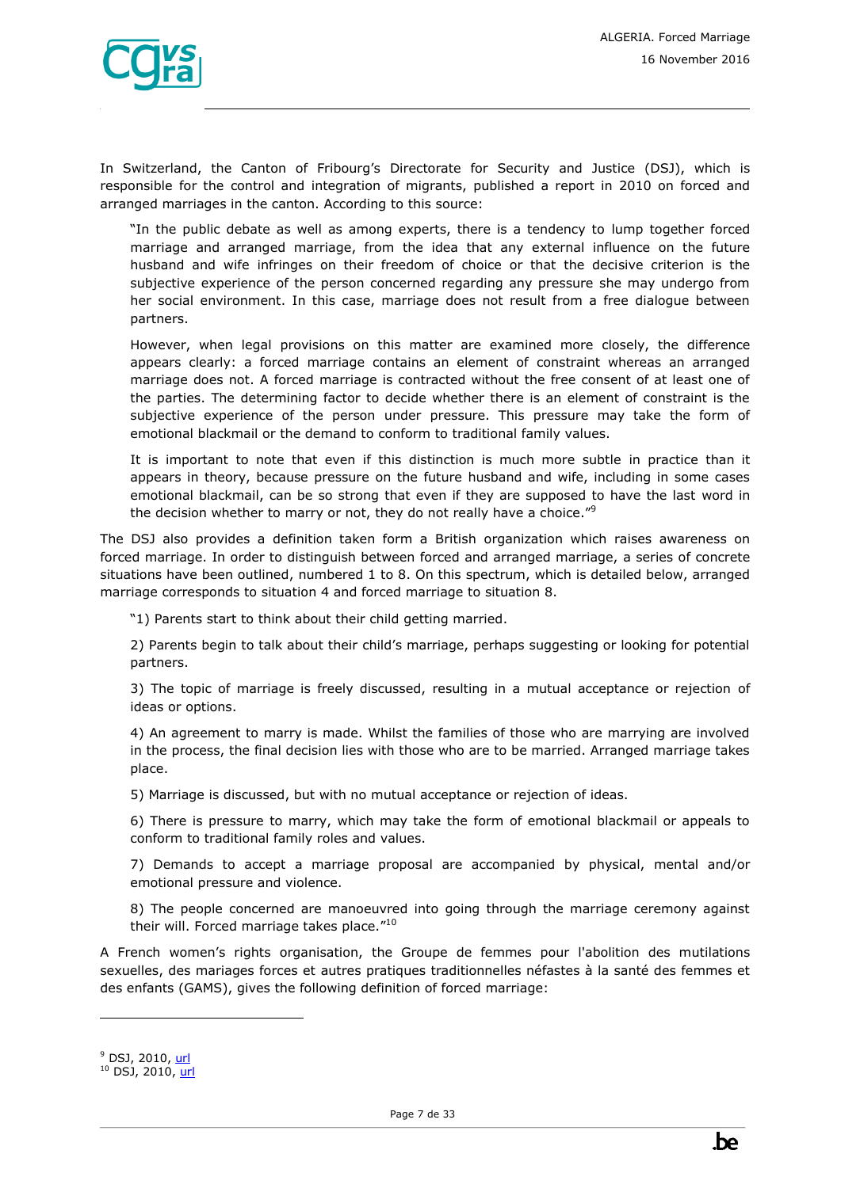In Switzerland, the Canton of Fribourg's Directorate for Security and Justice (DSJ), which is responsible for the control and integration of migrants, published a report in 2010 on forced and arranged marriages in the canton. According to this source:

"In the public debate as well as among experts, there is a tendency to lump together forced marriage and arranged marriage, from the idea that any external influence on the future husband and wife infringes on their freedom of choice or that the decisive criterion is the subjective experience of the person concerned regarding any pressure she may undergo from her social environment. In this case, marriage does not result from a free dialogue between partners.

However, when legal provisions on this matter are examined more closely, the difference appears clearly: a forced marriage contains an element of constraint whereas an arranged marriage does not. A forced marriage is contracted without the free consent of at least one of the parties. The determining factor to decide whether there is an element of constraint is the subjective experience of the person under pressure. This pressure may take the form of emotional blackmail or the demand to conform to traditional family values.

It is important to note that even if this distinction is much more subtle in practice than it appears in theory, because pressure on the future husband and wife, including in some cases emotional blackmail, can be so strong that even if they are supposed to have the last word in the decision whether to marry or not, they do not really have a choice."<sup>9</sup>

The DSJ also provides a definition taken form a British organization which raises awareness on forced marriage. In order to distinguish between forced and arranged marriage, a series of concrete situations have been outlined, numbered 1 to 8. On this spectrum, which is detailed below, arranged marriage corresponds to situation 4 and forced marriage to situation 8.

"1) Parents start to think about their child getting married.

2) Parents begin to talk about their child's marriage, perhaps suggesting or looking for potential partners.

3) The topic of marriage is freely discussed, resulting in a mutual acceptance or rejection of ideas or options.

4) An agreement to marry is made. Whilst the families of those who are marrying are involved in the process, the final decision lies with those who are to be married. Arranged marriage takes place.

5) Marriage is discussed, but with no mutual acceptance or rejection of ideas.

6) There is pressure to marry, which may take the form of emotional blackmail or appeals to conform to traditional family roles and values.

7) Demands to accept a marriage proposal are accompanied by physical, mental and/or emotional pressure and violence.

8) The people concerned are manoeuvred into going through the marriage ceremony against their will. Forced marriage takes place."<sup>10</sup>

A French women's rights organisation, the Groupe de femmes pour l'abolition des mutilations sexuelles, des mariages forces et autres pratiques traditionnelles néfastes à la santé des femmes et des enfants (GAMS), gives the following definition of forced marriage:

<sup>&</sup>lt;sup>9</sup> DSJ, 2010, [url](http://www.google.be/url?sa=t&rct=j&q=d%C3%A9finition%20mariage%20forc%C3%A9%20ong&source=web&cd=1&ved=0CDEQFjAA&url=http%3A%2F%2Fappl.fr.ch%2Ffriactu_inter%2Fhandler.ashx%3Ffid%3D2899&ei=U4YnUYbQCIjK0QXD0IHABA&usg=AFQjCNEIa-PvNxUTLruVF-40i8x720XEPw)

 $10$  DSJ, 2010, [url](http://www.google.be/url?sa=t&rct=j&q=d%C3%A9finition%20mariage%20forc%C3%A9%20ong&source=web&cd=1&ved=0CDEQFjAA&url=http%3A%2F%2Fappl.fr.ch%2Ffriactu_inter%2Fhandler.ashx%3Ffid%3D2899&ei=U4YnUYbQCIjK0QXD0IHABA&usg=AFQjCNEIa-PvNxUTLruVF-40i8x720XEPw)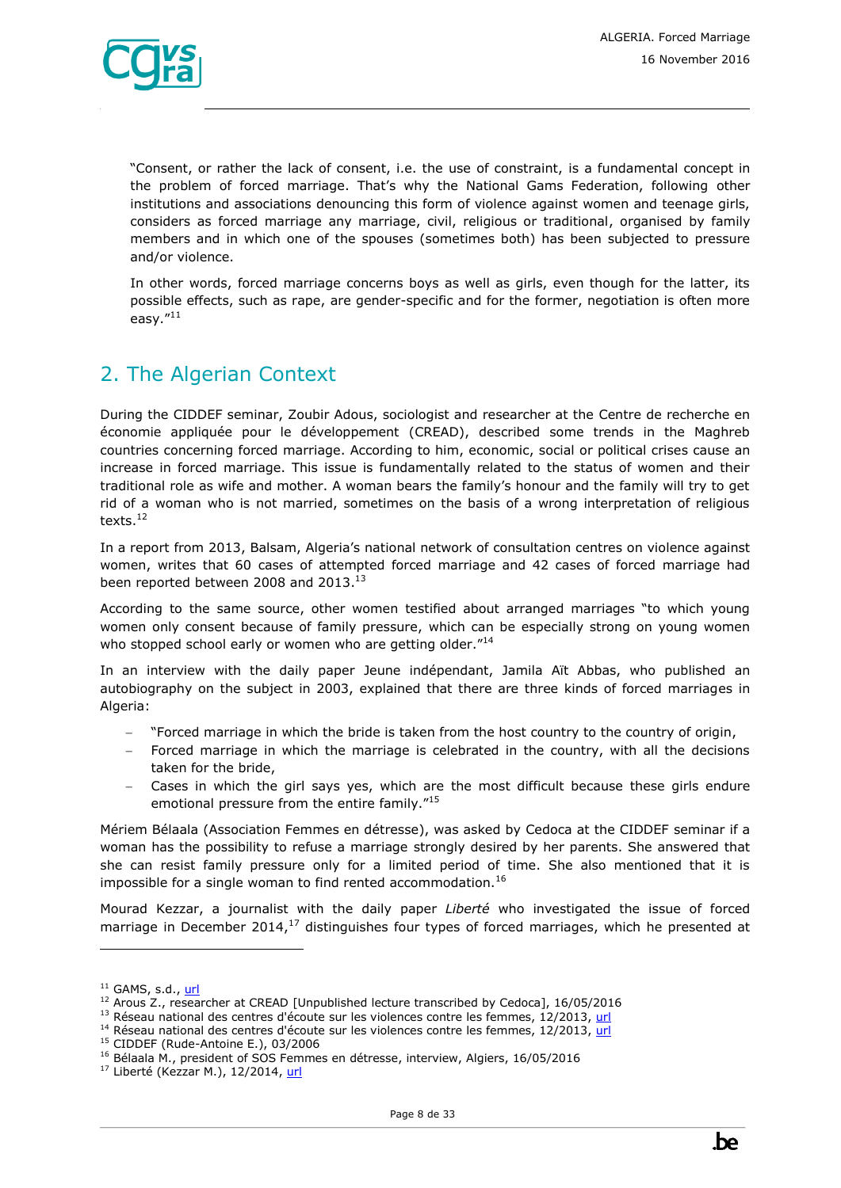

"Consent, or rather the lack of consent, i.e. the use of constraint, is a fundamental concept in the problem of forced marriage. That's why the National Gams Federation, following other institutions and associations denouncing this form of violence against women and teenage girls, considers as forced marriage any marriage, civil, religious or traditional, organised by family members and in which one of the spouses (sometimes both) has been subjected to pressure and/or violence.

In other words, forced marriage concerns boys as well as girls, even though for the latter, its possible effects, such as rape, are gender-specific and for the former, negotiation is often more easy."<sup>11</sup>

# <span id="page-7-0"></span>2. The Algerian Context

During the CIDDEF seminar, Zoubir Adous, sociologist and researcher at the Centre de recherche en économie appliquée pour le développement (CREAD), described some trends in the Maghreb countries concerning forced marriage. According to him, economic, social or political crises cause an increase in forced marriage. This issue is fundamentally related to the status of women and their traditional role as wife and mother. A woman bears the family's honour and the family will try to get rid of a woman who is not married, sometimes on the basis of a wrong interpretation of religious texts.<sup>12</sup>

In a report from 2013, Balsam, Algeria's national network of consultation centres on violence against women, writes that 60 cases of attempted forced marriage and 42 cases of forced marriage had been reported between 2008 and 2013.<sup>13</sup>

According to the same source, other women testified about arranged marriages "to which young women only consent because of family pressure, which can be especially strong on young women who stopped school early or women who are getting older."<sup>14</sup>

In an interview with the daily paper Jeune indépendant, Jamila Aït Abbas, who published an autobiography on the subject in 2003, explained that there are three kinds of forced marriages in Algeria:

- "Forced marriage in which the bride is taken from the host country to the country of origin,
- Forced marriage in which the marriage is celebrated in the country, with all the decisions taken for the bride,
- Cases in which the girl says yes, which are the most difficult because these girls endure emotional pressure from the entire family."<sup>15</sup>

Mériem Bélaala (Association Femmes en détresse), was asked by Cedoca at the CIDDEF seminar if a woman has the possibility to refuse a marriage strongly desired by her parents. She answered that she can resist family pressure only for a limited period of time. She also mentioned that it is impossible for a single woman to find rented accommodation.<sup>16</sup>

Mourad Kezzar, a journalist with the daily paper *Liberté* who investigated the issue of forced marriage in December 2014, $17$  distinguishes four types of forced marriages, which he presented at

 $11$  GAMS, s.d., [url](http://www.federationgams.org/mf.php)

<sup>&</sup>lt;sup>12</sup> Arous Z., researcher at CREAD [Unpublished lecture transcribed by Cedoca], 16/05/2016

<sup>&</sup>lt;sup>13</sup> Réseau national des centres d'écoute sur les violences contre les femmes, 12/2013[, url](http://www.ciddef-dz.com/pdf/autres-publications/balsam2013.pdf)

 $14$  Réseau national des centres d'écoute sur les violences contre les femmes, 12/2013,  $url$ </u>

<sup>15</sup> CIDDEF (Rude-Antoine E.), 03/2006

<sup>&</sup>lt;sup>16</sup> Bélaala M., president of SOS Femmes en détresse, interview, Algiers, 16/05/2016

<sup>&</sup>lt;sup>17</sup> Liberté (Kezzar M.), 12/2014, [url](http://www.liberte-algerie.com/actualite/mariees-mais-celibataires-le-temps-de-devenir-adultes-216235/print/1)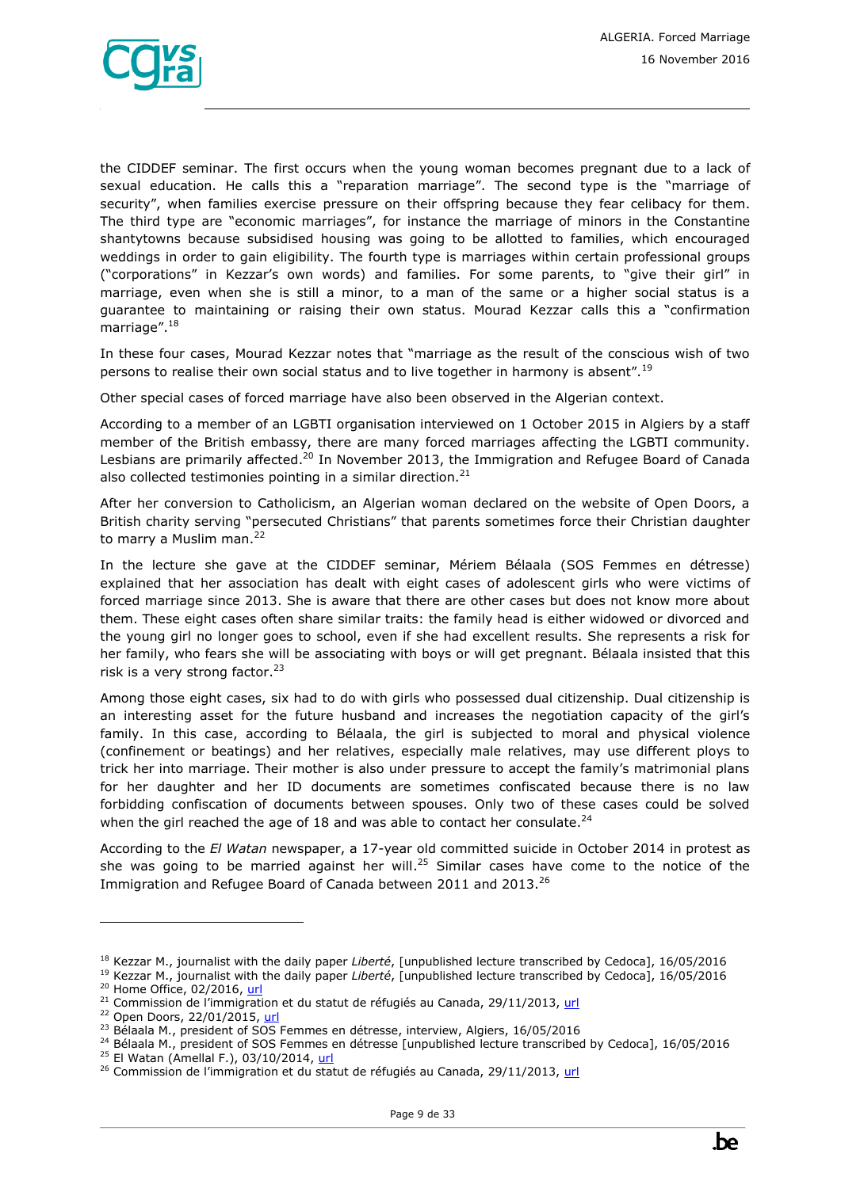

the CIDDEF seminar. The first occurs when the young woman becomes pregnant due to a lack of sexual education. He calls this a "reparation marriage". The second type is the "marriage of security", when families exercise pressure on their offspring because they fear celibacy for them. The third type are "economic marriages", for instance the marriage of minors in the Constantine shantytowns because subsidised housing was going to be allotted to families, which encouraged weddings in order to gain eligibility. The fourth type is marriages within certain professional groups ("corporations" in Kezzar's own words) and families. For some parents, to "give their girl" in marriage, even when she is still a minor, to a man of the same or a higher social status is a guarantee to maintaining or raising their own status. Mourad Kezzar calls this a "confirmation marriage".<sup>18</sup>

In these four cases, Mourad Kezzar notes that "marriage as the result of the conscious wish of two persons to realise their own social status and to live together in harmony is absent".<sup>19</sup>

Other special cases of forced marriage have also been observed in the Algerian context.

According to a member of an LGBTI organisation interviewed on 1 October 2015 in Algiers by a staff member of the British embassy, there are many forced marriages affecting the LGBTI community. Lesbians are primarily affected.<sup>20</sup> In November 2013, the Immigration and Refugee Board of Canada also collected testimonies pointing in a similar direction. $21$ 

After her conversion to Catholicism, an Algerian woman declared on the website of Open Doors, a British charity serving "persecuted Christians" that parents sometimes force their Christian daughter to marry a Muslim man.<sup>22</sup>

In the lecture she gave at the CIDDEF seminar, Mériem Bélaala (SOS Femmes en détresse) explained that her association has dealt with eight cases of adolescent girls who were victims of forced marriage since 2013. She is aware that there are other cases but does not know more about them. These eight cases often share similar traits: the family head is either widowed or divorced and the young girl no longer goes to school, even if she had excellent results. She represents a risk for her family, who fears she will be associating with boys or will get pregnant. Bélaala insisted that this risk is a very strong factor.<sup>23</sup>

Among those eight cases, six had to do with girls who possessed dual citizenship. Dual citizenship is an interesting asset for the future husband and increases the negotiation capacity of the girl's family. In this case, according to Bélaala, the girl is subjected to moral and physical violence (confinement or beatings) and her relatives, especially male relatives, may use different ploys to trick her into marriage. Their mother is also under pressure to accept the family's matrimonial plans for her daughter and her ID documents are sometimes confiscated because there is no law forbidding confiscation of documents between spouses. Only two of these cases could be solved when the girl reached the age of 18 and was able to contact her consulate.<sup>24</sup>

According to the *El Watan* newspaper, a 17-year old committed suicide in October 2014 in protest as she was going to be married against her will.<sup>25</sup> Similar cases have come to the notice of the Immigration and Refugee Board of Canada between 2011 and 2013.<sup>26</sup>

<sup>18</sup> Kezzar M., journalist with the daily paper *Liberté*, [unpublished lecture transcribed by Cedoca], 16/05/2016

<sup>19</sup> Kezzar M., journalist with the daily paper *Liberté*, [unpublished lecture transcribed by Cedoca], 16/05/2016 <sup>20</sup> Home Office, 02/2016, [url](http://www.ecoi.net/file_upload/1226_1456315656_cig-algeria-sogi.pdf)

 $21$  Commission de l'immigration et du statut de réfugiés au Canada, 29/11/2013, [url](http://www.refworld.org/docid/540430524.html)

<sup>&</sup>lt;sup>22</sup> Open Doors, 22/01/2015, [url](https://www.opendoorsusa.org/takeaction/pray/tag-prayer-updates-post/algerian-women-pay-a-price-when-becoming-a-christian/)

 $23$  Bélaala M., president of SOS Femmes en détresse, interview, Algiers, 16/05/2016

<sup>&</sup>lt;sup>24</sup> Bélaala M., president of SOS Femmes en détresse [unpublished lecture transcribed by Cedoca], 16/05/2016

<sup>&</sup>lt;sup>25</sup> El Watan (Amellal F.), 03/10/2014, [url](https://global.factiva.com/)

<sup>&</sup>lt;sup>26</sup> Commission de l'immigration et du statut de réfugiés au Canada, 29/11/2013, [url](http://www.refworld.org/docid/540430524.html)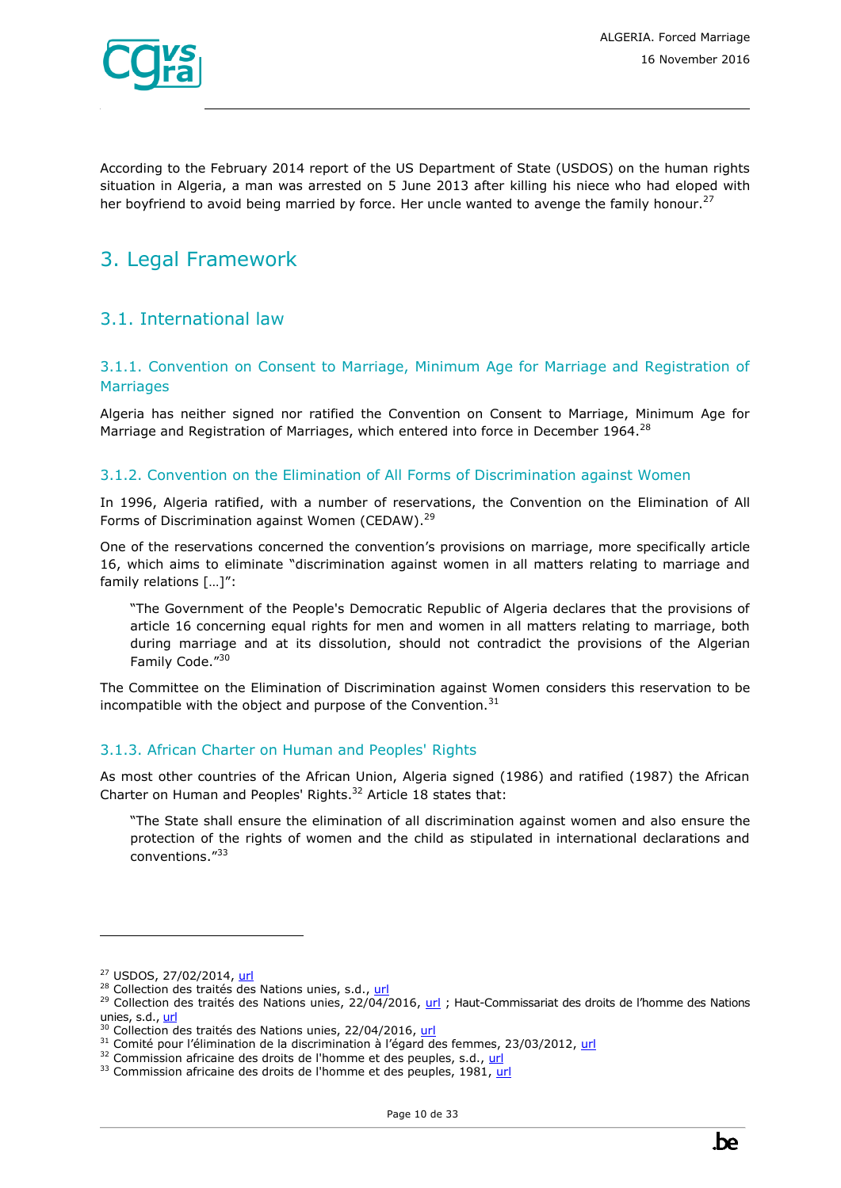

According to the February 2014 report of the US Department of State (USDOS) on the human rights situation in Algeria, a man was arrested on 5 June 2013 after killing his niece who had eloped with her boyfriend to avoid being married by force. Her uncle wanted to avenge the family honour.<sup>27</sup>

# <span id="page-9-0"></span>3. Legal Framework

### <span id="page-9-1"></span>3.1. International law

#### <span id="page-9-2"></span>3.1.1. Convention on Consent to Marriage, Minimum Age for Marriage and Registration of **Marriages**

Algeria has neither signed nor ratified the Convention on Consent to Marriage, Minimum Age for Marriage and Registration of Marriages, which entered into force in December 1964.<sup>28</sup>

#### <span id="page-9-3"></span>3.1.2. Convention on the Elimination of All Forms of Discrimination against Women

In 1996, Algeria ratified, with a number of reservations, the Convention on the Elimination of All Forms of Discrimination against Women (CEDAW).<sup>29</sup>

One of the reservations concerned the convention's provisions on marriage, more specifically article 16, which aims to eliminate "discrimination against women in all matters relating to marriage and family relations […]":

"The Government of the People's Democratic Republic of Algeria declares that the provisions of article 16 concerning equal rights for men and women in all matters relating to marriage, both during marriage and at its dissolution, should not contradict the provisions of the Algerian Family Code."30

The Committee on the Elimination of Discrimination against Women considers this reservation to be incompatible with the object and purpose of the Convention. $31$ 

#### <span id="page-9-4"></span>3.1.3. African Charter on Human and Peoples' Rights

As most other countries of the African Union, Algeria signed (1986) and ratified (1987) the African Charter on Human and Peoples' Rights. $32$  Article 18 states that:

"The State shall ensure the elimination of all discrimination against women and also ensure the protection of the rights of women and the child as stipulated in international declarations and conventions."<sup>33</sup>

<sup>27</sup> USDOS, 27/02/2014[, url](http://www.state.gov/j/drl/rls/hrrpt/2013humanrightsreport/index.htm?year=2013&dlid=220347#wrapper)

<sup>&</sup>lt;sup>28</sup> Collection des traités des Nations unies, s.d., [url](https://treaties.un.org/Pages/ViewDetails.aspx?src=IND&mtdsg_no=XVI-3&chapter=16&lang=fr&clang=_fr)

<sup>&</sup>lt;sup>29</sup> Collection des traités des Nations unies, 22/04/2016, [url](https://treaties.un.org/doc/Publication/MTDSG/Volume%20I/Chapter%20IV/IV-8.fr.pdf) ; Haut-Commissariat des droits de l'homme des Nations unies, s.d.[, url](http://www.ohchr.org/FR/ProfessionalInterest/Pages/MinimumAgeForMarriage.aspx)

<sup>&</sup>lt;sup>30</sup> Collection des traités des Nations unies, 22/04/2016, [url](https://treaties.un.org/doc/Publication/MTDSG/Volume%20I/Chapter%20IV/IV-8.fr.pdf)

 $31$  Comité pour l'élimination de la discrimination à l'égard des femmes, 23/03/2012, [url](http://tbinternet.ohchr.org/_layouts/treatybodyexternal/Download.aspx?symbolno=CEDAW/C/DZA/CO/3-4&Lang=Fr)

<sup>&</sup>lt;sup>32</sup> Commission africaine des droits de l'homme et des peuples, s.d.[, url](http://www.achpr.org/fr/instruments/achpr/ratification/)

<sup>33</sup> Commission africaine des droits de l'homme et des peuples, 1981, [url](http://www.achpr.org/files/instruments/achpr/achpr_instr_charter_fra.pdf)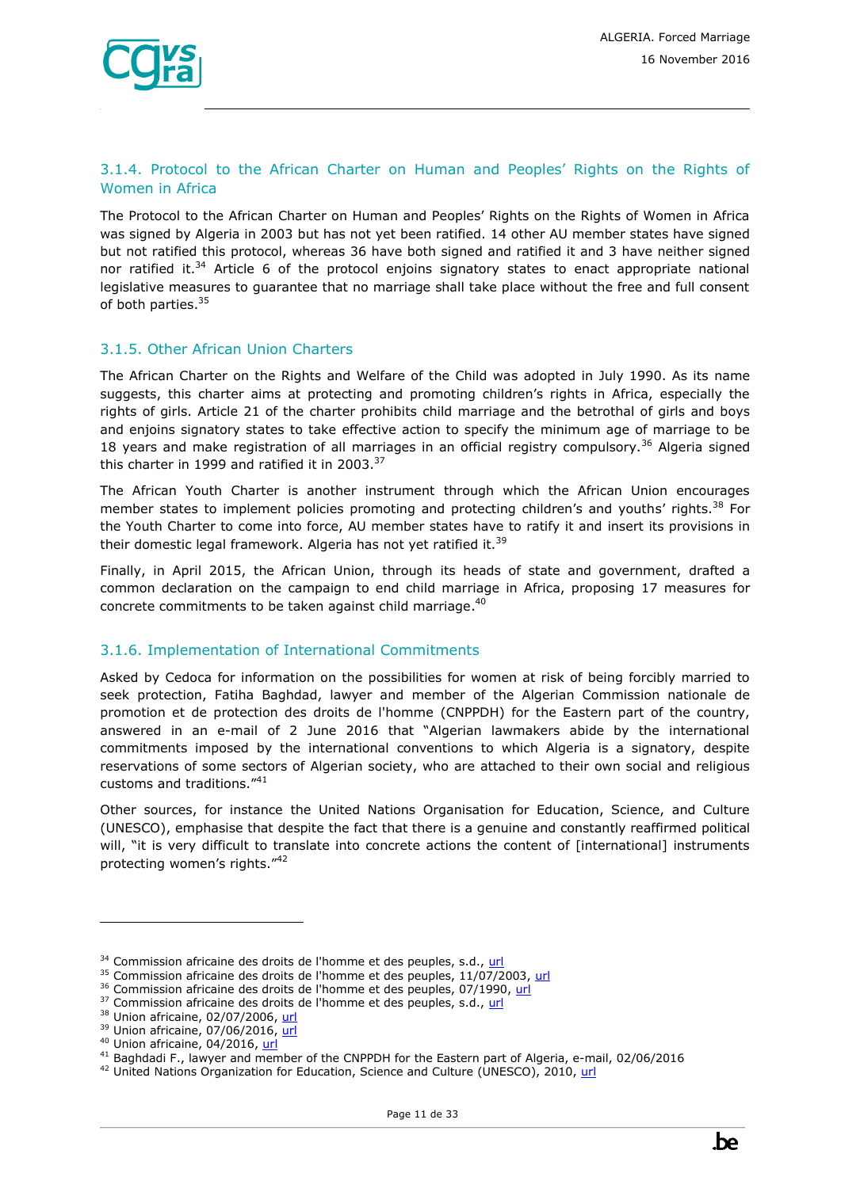#### <span id="page-10-0"></span>3.1.4. Protocol to the African Charter on Human and Peoples' Rights on the Rights of Women in Africa

The Protocol to the African Charter on Human and Peoples' Rights on the Rights of Women in Africa was signed by Algeria in 2003 but has not yet been ratified. 14 other AU member states have signed but not ratified this protocol, whereas 36 have both signed and ratified it and 3 have neither signed nor ratified it.<sup>34</sup> Article 6 of the protocol enjoins signatory states to enact appropriate national legislative measures to guarantee that no marriage shall take place without the free and full consent of both parties.<sup>35</sup>

#### <span id="page-10-1"></span>3.1.5. Other African Union Charters

The African Charter on the Rights and Welfare of the Child was adopted in July 1990. As its name suggests, this charter aims at protecting and promoting children's rights in Africa, especially the rights of girls. Article 21 of the charter prohibits child marriage and the betrothal of girls and boys and enjoins signatory states to take effective action to specify the minimum age of marriage to be 18 years and make registration of all marriages in an official registry compulsory.<sup>36</sup> Algeria signed this charter in 1999 and ratified it in 2003. $37$ 

The African Youth Charter is another instrument through which the African Union encourages member states to implement policies promoting and protecting children's and youths' rights.<sup>38</sup> For the Youth Charter to come into force, AU member states have to ratify it and insert its provisions in their domestic legal framework. Algeria has not yet ratified it.<sup>39</sup>

Finally, in April 2015, the African Union, through its heads of state and government, drafted a common declaration on the campaign to end child marriage in Africa, proposing 17 measures for concrete commitments to be taken against child marriage.<sup>40</sup>

#### <span id="page-10-2"></span>3.1.6. Implementation of International Commitments

Asked by Cedoca for information on the possibilities for women at risk of being forcibly married to seek protection, Fatiha Baghdad, lawyer and member of the Algerian Commission nationale de promotion et de protection des droits de l'homme (CNPPDH) for the Eastern part of the country, answered in an e-mail of 2 June 2016 that "Algerian lawmakers abide by the international commitments imposed by the international conventions to which Algeria is a signatory, despite reservations of some sectors of Algerian society, who are attached to their own social and religious customs and traditions."<sup>41</sup>

Other sources, for instance the United Nations Organisation for Education, Science, and Culture (UNESCO), emphasise that despite the fact that there is a genuine and constantly reaffirmed political will, "it is very difficult to translate into concrete actions the content of [international] instruments protecting women's rights."<sup>42</sup>

<sup>&</sup>lt;sup>34</sup> Commission africaine des droits de l'homme et des peuples, s.d.[, url](http://www.achpr.org/fr/instruments/women-protocol/ratification/)

 $35$  Commission africaine des droits de l'homme et des peuples,  $11/07/2003$ , [url](http://www.achpr.org/files/instruments/women-protocol/achpr_instr_proto_women_fra.pdf)

<sup>&</sup>lt;sup>36</sup> Commission africaine des droits de l'homme et des peuples, 07/1990, [url](http://www.achpr.org/files/instruments/child/achpr_instr_charterchild_fra.pdf)

<sup>37</sup> Commission africaine des droits de l'homme et des peuples, s.d.[, url](http://www.achpr.org/fr/instruments/child/ratification/?s=state)

<sup>38</sup> Union africaine, 02/07/2006, [url](http://www.un.org/fr/africa/osaa/pdf/au/african_youth_charter_2006f.pdf)

<sup>&</sup>lt;sup>39</sup> Union africaine, 07/06/2016, [url](http://www.au.int/en/sites/default/files/treaties/7789-sl-african_youth_charter_2.pdf)

<sup>&</sup>lt;sup>40</sup> Union africaine, 04/2016[, url](http://pages.au.int/sites/default/files/AU%20Common%20Position%20on%20Ending%20Child%20Marriage-French.pdf)

<sup>41</sup> Baghdadi F., lawyer and member of the CNPPDH for the Eastern part of Algeria, e-mail, 02/06/2016

<sup>&</sup>lt;sup>42</sup> United Nations Organization for Education, Science and Culture (UNESCO), 2010, [url](http://unesdoc.unesco.org/images/0018/001893/189399f.pdf)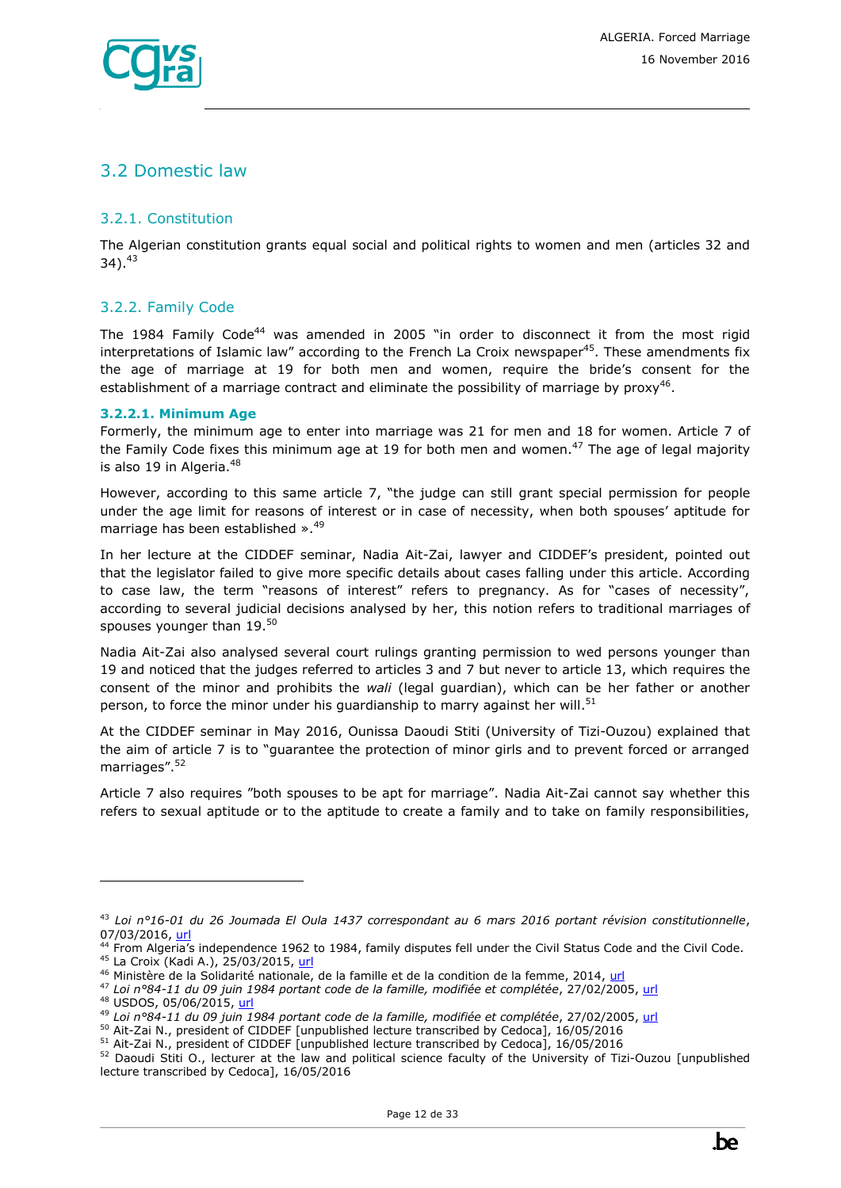

### <span id="page-11-0"></span>3.2 Domestic law

#### <span id="page-11-1"></span>3.2.1. Constitution

The Algerian constitution grants equal social and political rights to women and men (articles 32 and  $34$ ).  $43$ 

#### <span id="page-11-2"></span>3.2.2. Family Code

The 1984 Family Code<sup>44</sup> was amended in 2005 "in order to disconnect it from the most rigid interpretations of Islamic law" according to the French La Croix newspaper<sup>45</sup>. These amendments fix the age of marriage at 19 for both men and women, require the bride's consent for the establishment of a marriage contract and eliminate the possibility of marriage by proxy<sup>46</sup>.

#### **3.2.2.1. Minimum Age**

Formerly, the minimum age to enter into marriage was 21 for men and 18 for women. Article 7 of the Family Code fixes this minimum age at 19 for both men and women.<sup>47</sup> The age of legal majority is also 19 in Algeria. $48$ 

However, according to this same article 7, "the judge can still grant special permission for people under the age limit for reasons of interest or in case of necessity, when both spouses' aptitude for marriage has been established ».<sup>49</sup>

In her lecture at the CIDDEF seminar, Nadia Ait-Zai, lawyer and CIDDEF's president, pointed out that the legislator failed to give more specific details about cases falling under this article. According to case law, the term "reasons of interest" refers to pregnancy. As for "cases of necessity", according to several judicial decisions analysed by her, this notion refers to traditional marriages of spouses younger than 19.<sup>50</sup>

Nadia Ait-Zai also analysed several court rulings granting permission to wed persons younger than 19 and noticed that the judges referred to articles 3 and 7 but never to article 13, which requires the consent of the minor and prohibits the *wali* (legal guardian), which can be her father or another person, to force the minor under his guardianship to marry against her will.<sup>51</sup>

At the CIDDEF seminar in May 2016, Ounissa Daoudi Stiti (University of Tizi-Ouzou) explained that the aim of article 7 is to "guarantee the protection of minor girls and to prevent forced or arranged marriages".<sup>52</sup>

Article 7 also requires "both spouses to be apt for marriage". Nadia Ait-Zai cannot say whether this refers to sexual aptitude or to the aptitude to create a family and to take on family responsibilities,

<sup>48</sup> USDOS, 05/06/2015[, url](http://www.state.gov/j/drl/rls/hrrpt/humanrightsreport/index.htm?year=2014&dlid=236592)

<sup>43</sup> *Loi n°16-01 du 26 Joumada El Oula 1437 correspondant au 6 mars 2016 portant révision constitutionnelle*, 07/03/2016, [url](http://www.joradp.dz/FTP/jo-francais/2016/F2016014.pdf)

<sup>44</sup> From Algeria's independence 1962 to 1984, family disputes fell under the Civil Status Code and the Civil Code. <sup>45</sup> La Croix (Kadi A.), 25/03/2015, [url](http://www.la-croix.com/Actualite/Monde/L-Algerie-veut-reformer-son-Code-de-la-famille-2015-03-25-1295148)

<sup>&</sup>lt;sup>46</sup> Ministère de la Solidarité nationale, de la famille et de la condition de la femme, 2014, [url](http://www.unwomen.org/~/media/headquarters/attachments/sections/csw/59/national_reviews/algeria_review_beijing20.ashx?v=1&d=20140917T100717)

<sup>47</sup> *Loi n°84-11 du 09 juin 1984 portant code de la famille, modifiée et complétée*, 27/02/2005, [url](http://www.joradp.dz/TRV/FFam.pdf)

<sup>49</sup> *Loi n°84-11 du 09 juin 1984 portant code de la famille, modifiée et complétée*, 27/02/2005, [url](http://www.joradp.dz/TRV/FFam.pdf)

<sup>50</sup> Ait-Zai N., president of CIDDEF [unpublished lecture transcribed by Cedoca], 16/05/2016

<sup>51</sup> Ait-Zai N., president of CIDDEF [unpublished lecture transcribed by Cedoca], 16/05/2016

<sup>52</sup> Daoudi Stiti O., lecturer at the law and political science faculty of the University of Tizi-Ouzou [unpublished lecture transcribed by Cedoca], 16/05/2016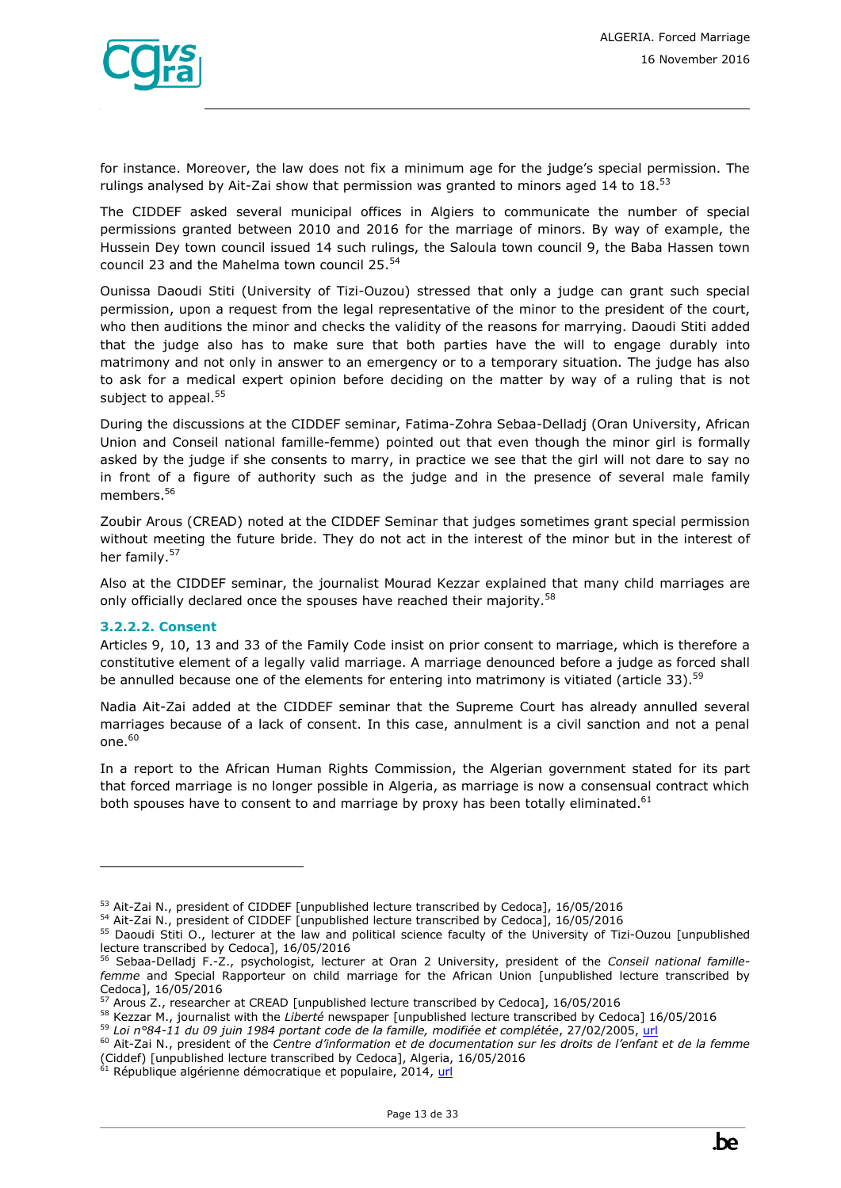for instance. Moreover, the law does not fix a minimum age for the judge's special permission. The rulings analysed by Ait-Zai show that permission was granted to minors aged 14 to 18.<sup>53</sup>

The CIDDEF asked several municipal offices in Algiers to communicate the number of special permissions granted between 2010 and 2016 for the marriage of minors. By way of example, the Hussein Dey town council issued 14 such rulings, the Saloula town council 9, the Baba Hassen town council 23 and the Mahelma town council 25. 54

Ounissa Daoudi Stiti (University of Tizi-Ouzou) stressed that only a judge can grant such special permission, upon a request from the legal representative of the minor to the president of the court, who then auditions the minor and checks the validity of the reasons for marrying. Daoudi Stiti added that the judge also has to make sure that both parties have the will to engage durably into matrimony and not only in answer to an emergency or to a temporary situation. The judge has also to ask for a medical expert opinion before deciding on the matter by way of a ruling that is not subject to appeal.<sup>55</sup>

During the discussions at the CIDDEF seminar, Fatima-Zohra Sebaa-Delladj (Oran University, African Union and Conseil national famille-femme) pointed out that even though the minor girl is formally asked by the judge if she consents to marry, in practice we see that the girl will not dare to say no in front of a figure of authority such as the judge and in the presence of several male family members. 56

Zoubir Arous (CREAD) noted at the CIDDEF Seminar that judges sometimes grant special permission without meeting the future bride. They do not act in the interest of the minor but in the interest of her family.<sup>57</sup>

Also at the CIDDEF seminar, the journalist Mourad Kezzar explained that many child marriages are only officially declared once the spouses have reached their majority.<sup>58</sup>

#### **3.2.2.2. Consent**

ł

Articles 9, 10, 13 and 33 of the Family Code insist on prior consent to marriage, which is therefore a constitutive element of a legally valid marriage. A marriage denounced before a judge as forced shall be annulled because one of the elements for entering into matrimony is vitiated (article 33).<sup>59</sup>

Nadia Ait-Zai added at the CIDDEF seminar that the Supreme Court has already annulled several marriages because of a lack of consent. In this case, annulment is a civil sanction and not a penal  $one.<sup>60</sup>$ 

In a report to the African Human Rights Commission, the Algerian government stated for its part that forced marriage is no longer possible in Algeria, as marriage is now a consensual contract which both spouses have to consent to and marriage by proxy has been totally eliminated. $61$ 



<sup>&</sup>lt;sup>53</sup> Ait-Zai N., president of CIDDEF [unpublished lecture transcribed by Cedoca], 16/05/2016

<sup>54</sup> Ait-Zai N., president of CIDDEF [unpublished lecture transcribed by Cedoca], 16/05/2016

<sup>&</sup>lt;sup>55</sup> Daoudi Stiti O., lecturer at the law and political science faculty of the University of Tizi-Ouzou [unpublished lecture transcribed by Cedoca], 16/05/2016

<sup>56</sup> Sebaa-Delladj F.-Z., psychologist, lecturer at Oran 2 University, president of the *Conseil national famillefemme* and Special Rapporteur on child marriage for the African Union [unpublished lecture transcribed by Cedoca], 16/05/2016

<sup>57</sup> Arous Z., researcher at CREAD [unpublished lecture transcribed by Cedoca], 16/05/2016

<sup>58</sup> Kezzar M., journalist with the *Liberté* newspaper [unpublished lecture transcribed by Cedoca] 16/05/2016

<sup>59</sup> *Loi n°84-11 du 09 juin 1984 portant code de la famille, modifiée et complétée*, 27/02/2005, [url](http://www.joradp.dz/TRV/FFam.pdf)

<sup>60</sup> Ait-Zai N., president of the *Centre d'information et de documentation sur les droits de l'enfant et de la femme* (Ciddef) [unpublished lecture transcribed by Cedoca], Algeria, 16/05/2016

République algérienne démocratique et populaire, 2014, [url](http://www.achpr.org/files/sessions/57th/state-reports/5-2010-2014/algeria_state_report_fra.pdf)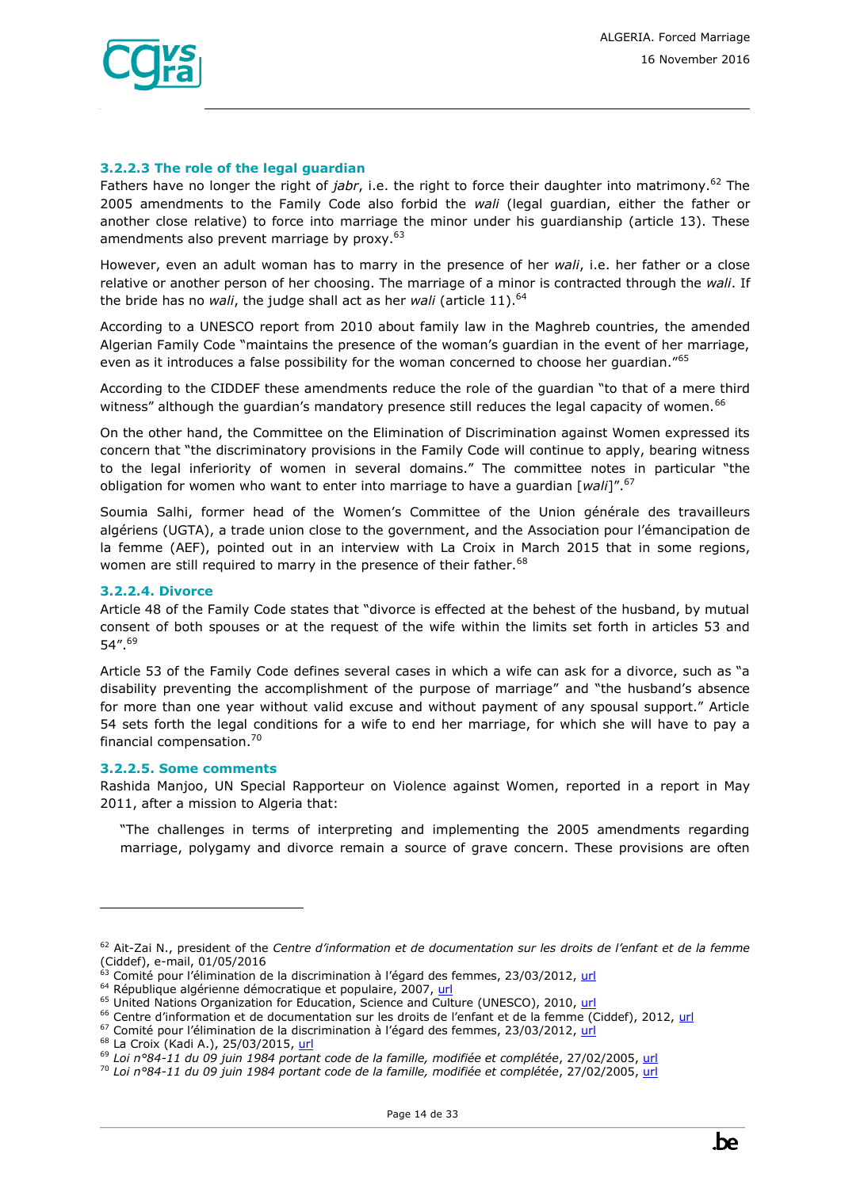

#### **3.2.2.3 The role of the legal guardian**

Fathers have no longer the right of *jabr*, i.e. the right to force their daughter into matrimony.<sup>62</sup> The 2005 amendments to the Family Code also forbid the *wali* (legal guardian, either the father or another close relative) to force into marriage the minor under his guardianship (article 13). These amendments also prevent marriage by proxy.<sup>63</sup>

However, even an adult woman has to marry in the presence of her *wali*, i.e. her father or a close relative or another person of her choosing. The marriage of a minor is contracted through the *wali*. If the bride has no *wali*, the judge shall act as her *wali* (article 11).<sup>64</sup>

According to a UNESCO report from 2010 about family law in the Maghreb countries, the amended Algerian Family Code "maintains the presence of the woman's guardian in the event of her marriage, even as it introduces a false possibility for the woman concerned to choose her guardian."<sup>65</sup>

According to the CIDDEF these amendments reduce the role of the guardian "to that of a mere third witness" although the guardian's mandatory presence still reduces the legal capacity of women.<sup>66</sup>

On the other hand, the Committee on the Elimination of Discrimination against Women expressed its concern that "the discriminatory provisions in the Family Code will continue to apply, bearing witness to the legal inferiority of women in several domains." The committee notes in particular "the obligation for women who want to enter into marriage to have a guardian [*wali*]".<sup>67</sup>

Soumia Salhi, former head of the Women's Committee of the Union générale des travailleurs algériens (UGTA), a trade union close to the government, and the Association pour l'émancipation de la femme (AEF), pointed out in an interview with La Croix in March 2015 that in some regions, women are still required to marry in the presence of their father.<sup>68</sup>

#### **3.2.2.4. Divorce**

Article 48 of the Family Code states that "divorce is effected at the behest of the husband, by mutual consent of both spouses or at the request of the wife within the limits set forth in articles 53 and 54".<sup>69</sup>

Article 53 of the Family Code defines several cases in which a wife can ask for a divorce, such as "a disability preventing the accomplishment of the purpose of marriage" and "the husband's absence for more than one year without valid excuse and without payment of any spousal support." Article 54 sets forth the legal conditions for a wife to end her marriage, for which she will have to pay a financial compensation.<sup>70</sup>

#### **3.2.2.5. Some comments**

ł

Rashida Manjoo, UN Special Rapporteur on Violence against Women, reported in a report in May 2011, after a mission to Algeria that:

"The challenges in terms of interpreting and implementing the 2005 amendments regarding marriage, polygamy and divorce remain a source of grave concern. These provisions are often

<sup>62</sup> Ait-Zai N., president of the *Centre d'information et de documentation sur les droits de l'enfant et de la femme* (Ciddef), e-mail, 01/05/2016

<sup>63</sup> Comité pour l'élimination de la discrimination à l'égard des femmes, 23/03/2012, [url](http://tbinternet.ohchr.org/_layouts/treatybodyexternal/Download.aspx?symbolno=CEDAW/C/DZA/CO/3-4&Lang=Fr)

<sup>&</sup>lt;sup>64</sup> République algérienne démocratique et populaire, 2007, [url](http://www.joradp.dz/TRV/FFam.pdf)

<sup>&</sup>lt;sup>65</sup> United Nations Organization for Education, Science and Culture (UNESCO), 2010, [url](http://unesdoc.unesco.org/images/0018/001893/189399f.pdf)

<sup>&</sup>lt;sup>66</sup> Centre d'information et de documentation sur les droits de l'enfant et de la femme (Ciddef), 2012, [url](http://www.ciddef-dz.com/pdf/autres-publications/discriminations.pdf)

<sup>&</sup>lt;sup>67</sup> Comité pour l'élimination de la discrimination à l'égard des femmes, 23/03/2012, [url](http://tbinternet.ohchr.org/_layouts/treatybodyexternal/Download.aspx?symbolno=CEDAW/C/DZA/CO/3-4&Lang=Fr)

<sup>&</sup>lt;sup>68</sup> La Croix (Kadi A.), 25/03/2015, [url](http://www.la-croix.com/Actualite/Monde/L-Algerie-veut-reformer-son-Code-de-la-famille-2015-03-25-1295148)

<sup>69</sup> *Loi n°84-11 du 09 juin 1984 portant code de la famille, modifiée et complétée*, 27/02/2005, [url](http://www.joradp.dz/TRV/FFam.pdf)

<sup>70</sup> *Loi n°84-11 du 09 juin 1984 portant code de la famille, modifiée et complétée*, 27/02/2005, [url](http://www.joradp.dz/TRV/FFam.pdf)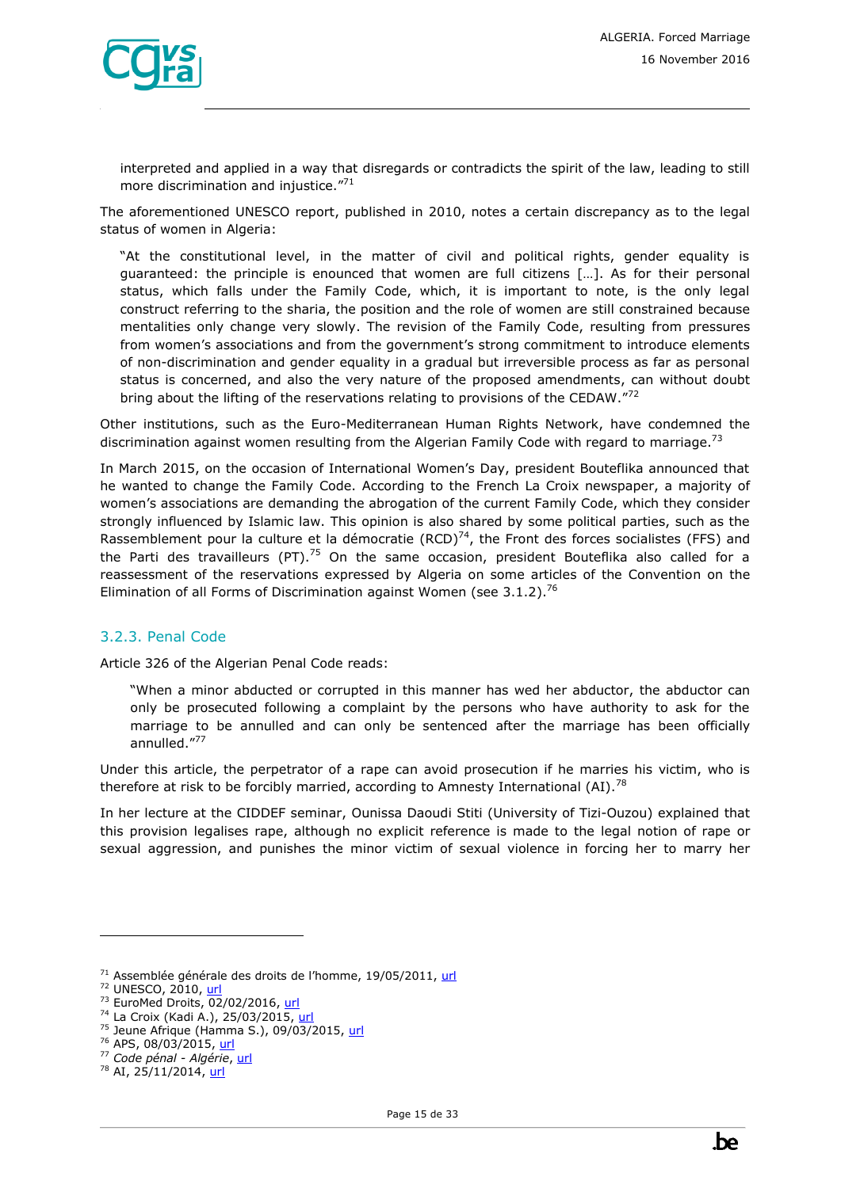

interpreted and applied in a way that disregards or contradicts the spirit of the law, leading to still more discrimination and injustice."71

The aforementioned UNESCO report, published in 2010, notes a certain discrepancy as to the legal status of women in Algeria:

"At the constitutional level, in the matter of civil and political rights, gender equality is guaranteed: the principle is enounced that women are full citizens […]. As for their personal status, which falls under the Family Code, which, it is important to note, is the only legal construct referring to the sharia, the position and the role of women are still constrained because mentalities only change very slowly. The revision of the Family Code, resulting from pressures from women's associations and from the government's strong commitment to introduce elements of non-discrimination and gender equality in a gradual but irreversible process as far as personal status is concerned, and also the very nature of the proposed amendments, can without doubt bring about the lifting of the reservations relating to provisions of the CEDAW."72

Other institutions, such as the Euro-Mediterranean Human Rights Network, have condemned the discrimination against women resulting from the Algerian Family Code with regard to marriage.<sup>73</sup>

In March 2015, on the occasion of International Women's Day, president Bouteflika announced that he wanted to change the Family Code. According to the French La Croix newspaper, a majority of women's associations are demanding the abrogation of the current Family Code, which they consider strongly influenced by Islamic law. This opinion is also shared by some political parties, such as the Rassemblement pour la culture et la démocratie (RCD) $^{74}$ , the Front des forces socialistes (FFS) and the Parti des travailleurs (PT).<sup>75</sup> On the same occasion, president Bouteflika also called for a reassessment of the reservations expressed by Algeria on some articles of the Convention on the Elimination of all Forms of Discrimination against Women (see  $3.1.2$ ).<sup>76</sup>

#### <span id="page-14-0"></span>3.2.3. Penal Code

Article 326 of the Algerian Penal Code reads:

"When a minor abducted or corrupted in this manner has wed her abductor, the abductor can only be prosecuted following a complaint by the persons who have authority to ask for the marriage to be annulled and can only be sentenced after the marriage has been officially annulled."<sup>77</sup>

Under this article, the perpetrator of a rape can avoid prosecution if he marries his victim, who is therefore at risk to be forcibly married, according to Amnesty International (AI).<sup>78</sup>

In her lecture at the CIDDEF seminar, Ounissa Daoudi Stiti (University of Tizi-Ouzou) explained that this provision legalises rape, although no explicit reference is made to the legal notion of rape or sexual aggression, and punishes the minor victim of sexual violence in forcing her to marry her

<sup>&</sup>lt;sup>71</sup> Assemblée générale des droits de l'homme, 19/05/2011, [url](https://documents-dds-ny.un.org/doc/UNDOC/GEN/G11/132/73/PDF/G1113273.pdf?OpenElement)

<sup>72</sup> UNESCO, 2010, [url](http://unesdoc.unesco.org/images/0018/001893/189399f.pdf)

<sup>&</sup>lt;sup>73</sup> EuroMed Droits, 02/02/2016, [url](http://euromedrights.org/wp-content/uploads/2016/02/Note_Algerie_version_finale_FR.pdf)

<sup>74</sup> La Croix (Kadi A.), 25/03/2015, [url](http://www.la-croix.com/Actualite/Monde/L-Algerie-veut-reformer-son-Code-de-la-famille-2015-03-25-1295148)

<sup>&</sup>lt;sup>75</sup> Jeune Afrique (Hamma S.), 09/03/2015[, url](http://www.jeuneafrique.com/226288/politique/alg-rie-abdelaziz-bouteflika-il-faut-sortir-la-femme-alg-rienne-de-son-statut-de-mineur/)

<sup>&</sup>lt;sup>76</sup> APS, 08/03/2015, [url](http://www.aps.dz/algerie/38106-reconsid%C3%A9rer-les-r%C3%A9serves-sur-des-articles-de-la-convention-contre-la-discrimination-%C3%A0-l-%C3%A9gard-des-femmes-pr%C3%A9sident-bouteflika)

<sup>77</sup> *Code pénal - Algérie*[, url](http://www.joradp.dz/TRV/FPenal.pdf)

<sup>&</sup>lt;sup>78</sup> AI, 25/11/2014, [url](http://www.ecoi.net/file_upload/4543_1432804345_2014-11-25-algeria-briefing-comprehensive-reforms-needed-sexual-violence-women-and-girls.pdf)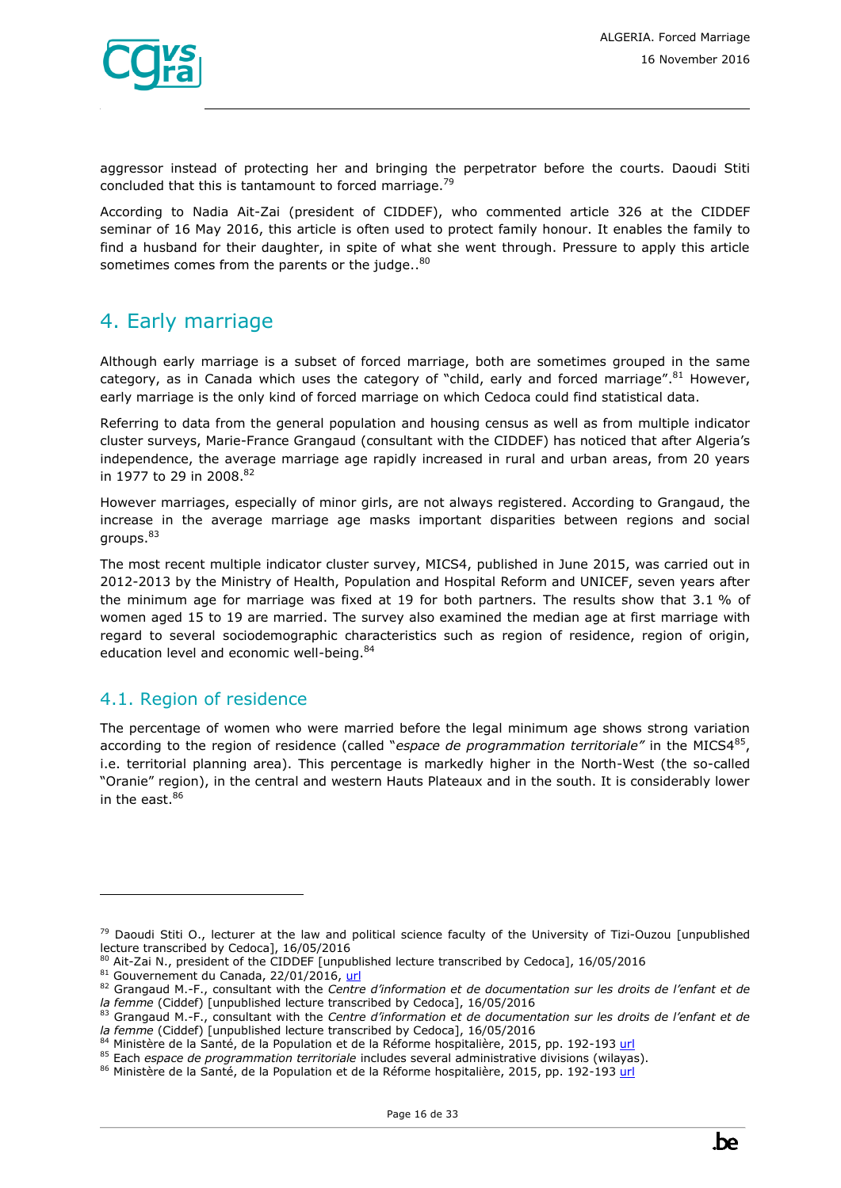

aggressor instead of protecting her and bringing the perpetrator before the courts. Daoudi Stiti concluded that this is tantamount to forced marriage.<sup>79</sup>

According to Nadia Ait-Zai (president of CIDDEF), who commented article 326 at the CIDDEF seminar of 16 May 2016, this article is often used to protect family honour. It enables the family to find a husband for their daughter, in spite of what she went through. Pressure to apply this article sometimes comes from the parents or the judge..<sup>80</sup>

# <span id="page-15-0"></span>4. Early marriage

Although early marriage is a subset of forced marriage, both are sometimes grouped in the same category, as in Canada which uses the category of "child, early and forced marriage".<sup>81</sup> However, early marriage is the only kind of forced marriage on which Cedoca could find statistical data.

Referring to data from the general population and housing census as well as from multiple indicator cluster surveys, Marie-France Grangaud (consultant with the CIDDEF) has noticed that after Algeria's independence, the average marriage age rapidly increased in rural and urban areas, from 20 years in 1977 to 29 in 2008.<sup>82</sup>

However marriages, especially of minor girls, are not always registered. According to Grangaud, the increase in the average marriage age masks important disparities between regions and social groups.<sup>83</sup>

The most recent multiple indicator cluster survey, MICS4, published in June 2015, was carried out in 2012-2013 by the Ministry of Health, Population and Hospital Reform and UNICEF, seven years after the minimum age for marriage was fixed at 19 for both partners. The results show that 3.1 % of women aged 15 to 19 are married. The survey also examined the median age at first marriage with regard to several sociodemographic characteristics such as region of residence, region of origin, education level and economic well-being.<sup>84</sup>

### <span id="page-15-1"></span>4.1. Region of residence

ł

The percentage of women who were married before the legal minimum age shows strong variation according to the region of residence (called "espace de programmation territoriale" in the MICS4<sup>85</sup>, i.e. territorial planning area). This percentage is markedly higher in the North-West (the so-called "Oranie" region), in the central and western Hauts Plateaux and in the south. It is considerably lower in the east. $86$ 

 $79$  Daoudi Stiti O., lecturer at the law and political science faculty of the University of Tizi-Ouzou [unpublished lecture transcribed by Cedoca], 16/05/2016

 $80$  Ait-Zai N., president of the CIDDEF [unpublished lecture transcribed by Cedoca], 16/05/2016

<sup>81</sup> Gouvernement du Canada, 22/01/2016, [url](http://www.international.gc.ca/rights-droits/childmarriage-mariageenfants/index.aspx?lang=fra)

<sup>82</sup> Grangaud M.-F., consultant with the *Centre d'information et de documentation sur les droits de l'enfant et de la femme* (Ciddef) [unpublished lecture transcribed by Cedoca], 16/05/2016

<sup>83</sup> Grangaud M.-F., consultant with the *Centre d'information et de documentation sur les droits de l'enfant et de la femme* (Ciddef) [unpublished lecture transcribed by Cedoca], 16/05/2016

<sup>84</sup> Ministère de la Santé, de la Population et de la Réforme hospitalière, 2015, pp. 192-19[3 url](http://www.unicef.org/algeria/Rapport_MICS4_(2012-2013).pdf)

<sup>85</sup> Each *espace de programmation territoriale* includes several administrative divisions (wilayas).

<sup>86</sup> Ministère de la Santé, de la Population et de la Réforme hospitalière, 2015, pp. 192-19[3 url](http://www.unicef.org/algeria/Rapport_MICS4_(2012-2013).pdf)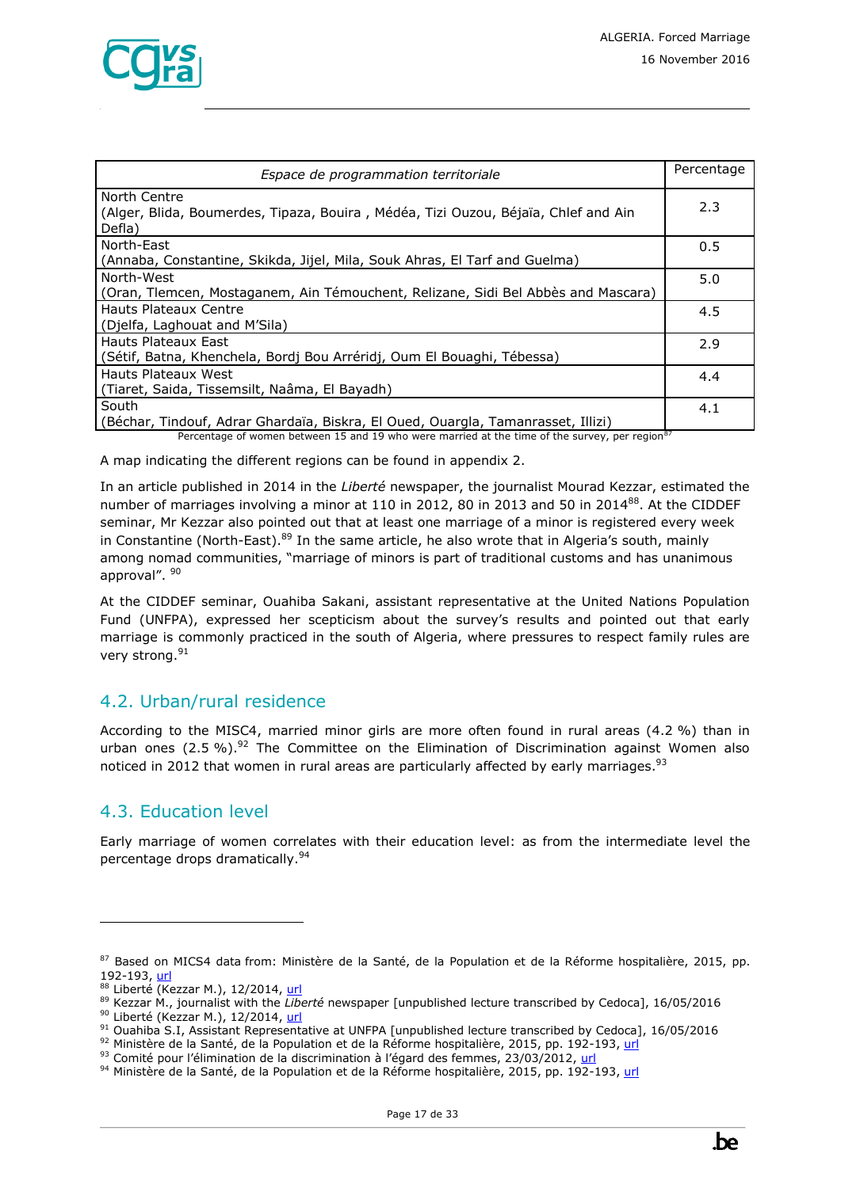

| Espace de programmation territoriale                                                                         | Percentage |
|--------------------------------------------------------------------------------------------------------------|------------|
| North Centre<br>(Alger, Blida, Boumerdes, Tipaza, Bouira, Médéa, Tizi Ouzou, Béjaïa, Chlef and Ain<br>Defla) | 2.3        |
| North-East<br>(Annaba, Constantine, Skikda, Jijel, Mila, Souk Ahras, El Tarf and Guelma)                     | 0.5        |
| North-West<br>(Oran, Tlemcen, Mostaganem, Ain Témouchent, Relizane, Sidi Bel Abbès and Mascara)              | 5.0        |
| Hauts Plateaux Centre<br>(Djelfa, Laghouat and M'Sila)                                                       | 4.5        |
| Hauts Plateaux East<br>(Sétif, Batna, Khenchela, Bordj Bou Arréridj, Oum El Bouaghi, Tébessa)                | 2.9        |
| Hauts Plateaux West<br>(Tiaret, Saida, Tissemsilt, Naâma, El Bayadh)                                         | 4.4        |
| South<br>(Béchar, Tindouf, Adrar Ghardaïa, Biskra, El Oued, Ouargla, Tamanrasset, Illizi)                    | 4.1        |

Percentage of women between 15 and 19 who were married at the time of the survey, per region<sup>87</sup>

A map indicating the different regions can be found in appendix 2.

In an article published in 2014 in the *Liberté* newspaper, the journalist Mourad Kezzar, estimated the number of marriages involving a minor at 110 in 2012, 80 in 2013 and 50 in 2014<sup>88</sup>. At the CIDDEF seminar, Mr Kezzar also pointed out that at least one marriage of a minor is registered every week in Constantine (North-East).<sup>89</sup> In the same article, he also wrote that in Algeria's south, mainly among nomad communities, "marriage of minors is part of traditional customs and has unanimous approval". <sup>90</sup>

At the CIDDEF seminar, Ouahiba Sakani, assistant representative at the United Nations Population Fund (UNFPA), expressed her scepticism about the survey's results and pointed out that early marriage is commonly practiced in the south of Algeria, where pressures to respect family rules are very strong.<sup>91</sup>

### <span id="page-16-0"></span>4.2. Urban/rural residence

According to the MISC4, married minor girls are more often found in rural areas (4.2 %) than in urban ones  $(2.5\%)$ .<sup>92</sup> The Committee on the Elimination of Discrimination against Women also noticed in 2012 that women in rural areas are particularly affected by early marriages. $93$ 

### <span id="page-16-1"></span>4.3. Education level

ł

Early marriage of women correlates with their education level: as from the intermediate level the percentage drops dramatically.<sup>94</sup>

<sup>87</sup> Based on MICS4 data from: Ministère de la Santé, de la Population et de la Réforme hospitalière, 2015, pp. 192-193, [url](http://www.unicef.org/algeria/Rapport_MICS4_(2012-2013).pdf)

<sup>88</sup> Liberté (Kezzar M.), 12/2014, [url](http://www.liberte-algerie.com/actualite/mariees-mais-celibataires-le-temps-de-devenir-adultes-216235/print/1) <sup>89</sup> Kezzar M., journalist with the *Liberté* newspaper [unpublished lecture transcribed by Cedoca], 16/05/2016

<sup>90</sup> Liberté (Kezzar M.), 12/2014, [url](http://www.liberte-algerie.com/actualite/mariees-mais-celibataires-le-temps-de-devenir-adultes-216235/print/1)

<sup>91</sup> Ouahiba S.I, Assistant Representative at UNFPA [unpublished lecture transcribed by Cedoca], 16/05/2016

<sup>92</sup> Ministère de la Santé, de la Population et de la Réforme hospitalière, 2015, pp. 192-193[, url](http://www.unicef.org/algeria/Rapport_MICS4_(2012-2013).pdf)

<sup>93</sup> Comité pour l'élimination de la discrimination à l'égard des femmes, 23/03/2012, [url](http://tbinternet.ohchr.org/_layouts/treatybodyexternal/Download.aspx?symbolno=CEDAW/C/DZA/CO/3-4&Lang=Fr)

<sup>94</sup> Ministère de la Santé, de la Population et de la Réforme hospitalière, 2015, pp. 192-193[, url](http://www.unicef.org/algeria/Rapport_MICS4_(2012-2013).pdf)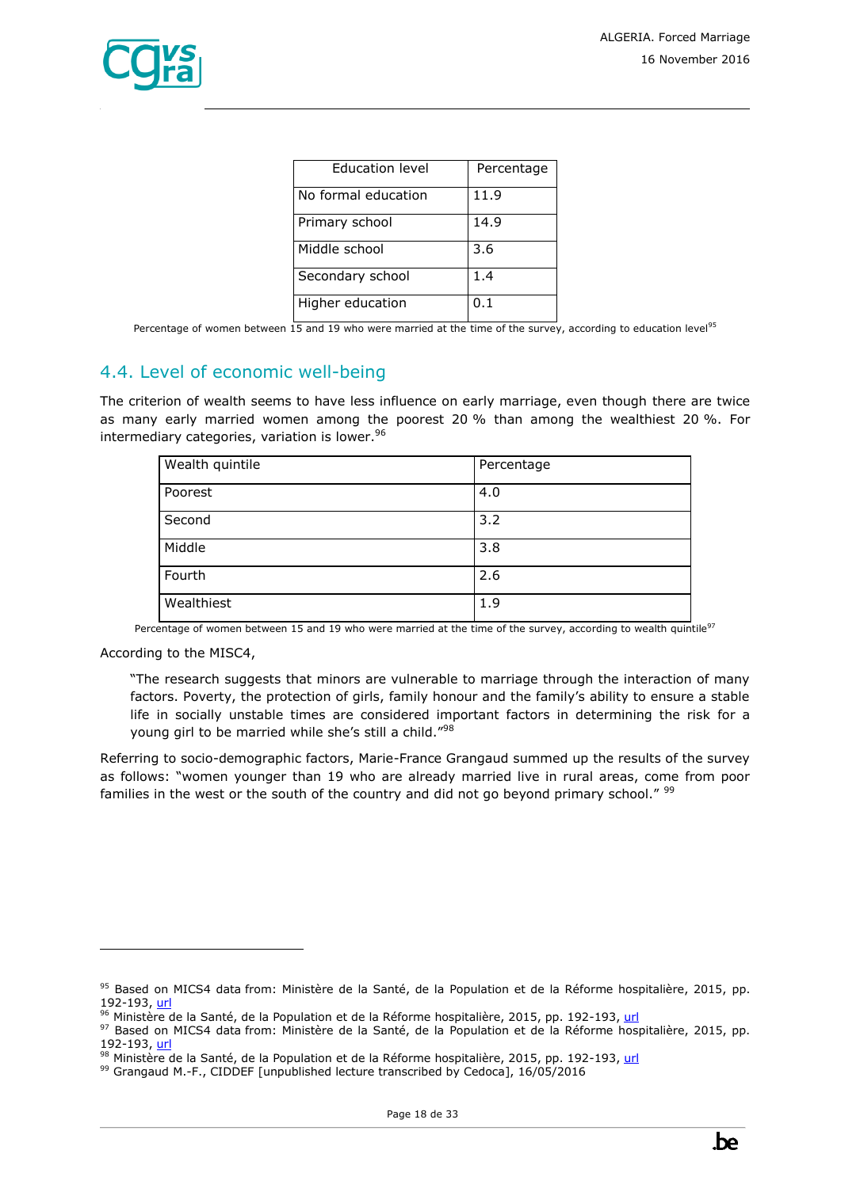

| <b>Education level</b> | Percentage |
|------------------------|------------|
| No formal education    | 11.9       |
| Primary school         | 14.9       |
| Middle school          | 3.6        |
| Secondary school       | 1.4        |
| Higher education       | 0.1        |

Percentage of women between 15 and 19 who were married at the time of the survey, according to education level<sup>95</sup>

### <span id="page-17-0"></span>4.4. Level of economic well-being

The criterion of wealth seems to have less influence on early marriage, even though there are twice as many early married women among the poorest 20 % than among the wealthiest 20 %. For intermediary categories, variation is lower. 96

| Wealth quintile | Percentage |
|-----------------|------------|
| Poorest         | 4.0        |
| Second          | 3.2        |
| Middle          | 3.8        |
| Fourth          | 2.6        |
| Wealthiest      | 1.9        |

Percentage of women between 15 and 19 who were married at the time of the survey, according to wealth quintile<sup>97</sup>

According to the MISC4,

ł

"The research suggests that minors are vulnerable to marriage through the interaction of many factors. Poverty, the protection of girls, family honour and the family's ability to ensure a stable life in socially unstable times are considered important factors in determining the risk for a young girl to be married while she's still a child."98

Referring to socio-demographic factors, Marie-France Grangaud summed up the results of the survey as follows: "women younger than 19 who are already married live in rural areas, come from poor families in the west or the south of the country and did not go beyond primary school." <sup>99</sup>

<sup>95</sup> Based on MICS4 data from: Ministère de la Santé, de la Population et de la Réforme hospitalière, 2015, pp. 192-193, [url](http://www.unicef.org/algeria/Rapport_MICS4_(2012-2013).pdf)

<sup>&</sup>lt;sup>96</sup> Ministère de la Santé, de la Population et de la Réforme hospitalière, 2015, pp. 192-193[, url](http://www.unicef.org/algeria/Rapport_MICS4_(2012-2013).pdf)

<sup>97</sup> Based on MICS4 data from: Ministère de la Santé, de la Population et de la Réforme hospitalière, 2015, pp. 192-193, [url](http://www.unicef.org/algeria/Rapport_MICS4_(2012-2013).pdf)

<sup>98</sup> Ministère de la Santé, de la Population et de la Réforme hospitalière, 2015, pp. 192-193[, url](http://www.unicef.org/algeria/Rapport_MICS4_(2012-2013).pdf)

<sup>99</sup> Grangaud M.-F., CIDDEF [unpublished lecture transcribed by Cedoca], 16/05/2016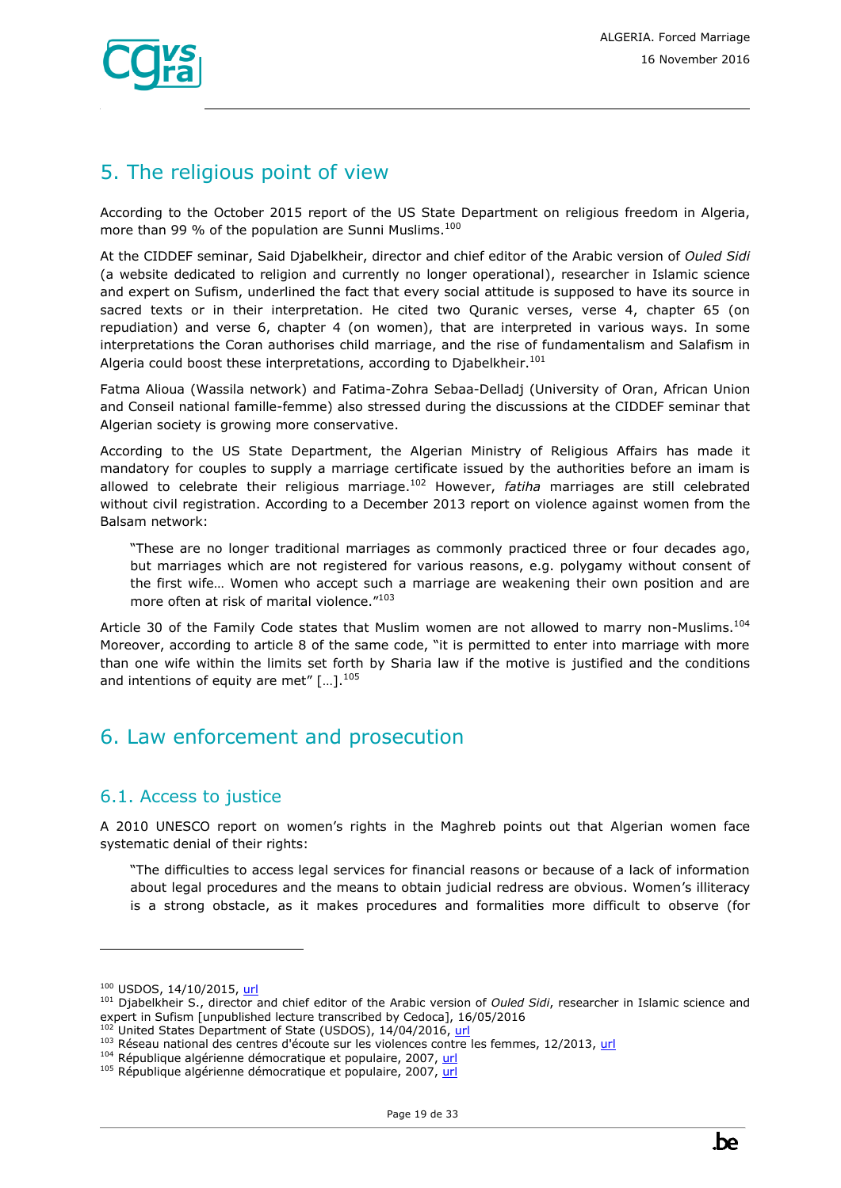

# <span id="page-18-0"></span>5. The religious point of view

According to the October 2015 report of the US State Department on religious freedom in Algeria, more than 99 % of the population are Sunni Muslims.<sup>100</sup>

At the CIDDEF seminar, Said Djabelkheir, director and chief editor of the Arabic version of *Ouled Sidi* (a website dedicated to religion and currently no longer operational), researcher in Islamic science and expert on Sufism, underlined the fact that every social attitude is supposed to have its source in sacred texts or in their interpretation. He cited two Quranic verses, verse 4, chapter 65 (on repudiation) and verse 6, chapter 4 (on women), that are interpreted in various ways. In some interpretations the Coran authorises child marriage, and the rise of fundamentalism and Salafism in Algeria could boost these interpretations, according to Djabelkheir.<sup>101</sup>

Fatma Alioua (Wassila network) and Fatima-Zohra Sebaa-Delladj (University of Oran, African Union and Conseil national famille-femme) also stressed during the discussions at the CIDDEF seminar that Algerian society is growing more conservative.

According to the US State Department, the Algerian Ministry of Religious Affairs has made it mandatory for couples to supply a marriage certificate issued by the authorities before an imam is allowed to celebrate their religious marriage.<sup>102</sup> However, *fatiha* marriages are still celebrated without civil registration. According to a December 2013 report on violence against women from the Balsam network:

"These are no longer traditional marriages as commonly practiced three or four decades ago, but marriages which are not registered for various reasons, e.g. polygamy without consent of the first wife… Women who accept such a marriage are weakening their own position and are more often at risk of marital violence."<sup>103</sup>

Article 30 of the Family Code states that Muslim women are not allowed to marry non-Muslims.<sup>104</sup> Moreover, according to article 8 of the same code, "it is permitted to enter into marriage with more than one wife within the limits set forth by Sharia law if the motive is justified and the conditions and intentions of equity are met"  $[...]$ .<sup>105</sup>

# <span id="page-18-1"></span>6. Law enforcement and prosecution

### <span id="page-18-2"></span>6.1. Access to justice

A 2010 UNESCO report on women's rights in the Maghreb points out that Algerian women face systematic denial of their rights:

"The difficulties to access legal services for financial reasons or because of a lack of information about legal procedures and the means to obtain judicial redress are obvious. Women's illiteracy is a strong obstacle, as it makes procedures and formalities more difficult to observe (for

<sup>100</sup> USDOS, 14/10/2015, [url](http://www.ecoi.net/local_link/313308/437657_en.html)

<sup>101</sup> Djabelkheir S., director and chief editor of the Arabic version of *Ouled Sidi*, researcher in Islamic science and expert in Sufism [unpublished lecture transcribed by Cedoca], 16/05/2016

United States Department of State (USDOS), 14/04/2016, [url](http://www.state.gov/j/drl/rls/hrrpt/humanrightsreport/index.htm?year=2015&dlid=252917)

<sup>103</sup> Réseau national des centres d'écoute sur les violences contre les femmes, 12/2013, [url](http://www.ciddef-dz.com/pdf/autres-publications/balsam2013.pdf)

<sup>104</sup> République algérienne démocratique et populaire, 2007, [url](http://www.joradp.dz/TRV/FFam.pdf)

<sup>&</sup>lt;sup>105</sup> République algérienne démocratique et populaire, 2007, [url](http://www.joradp.dz/TRV/FFam.pdf)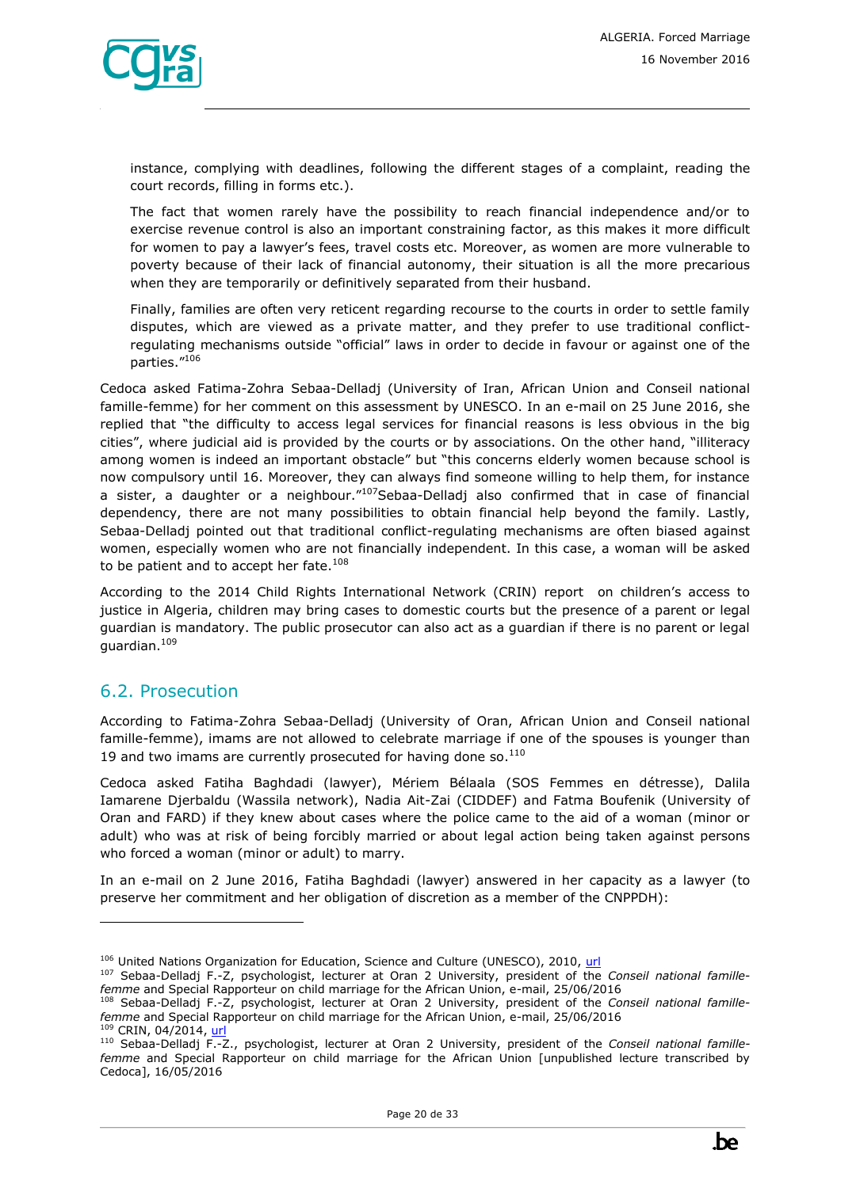

instance, complying with deadlines, following the different stages of a complaint, reading the court records, filling in forms etc.).

The fact that women rarely have the possibility to reach financial independence and/or to exercise revenue control is also an important constraining factor, as this makes it more difficult for women to pay a lawyer's fees, travel costs etc. Moreover, as women are more vulnerable to poverty because of their lack of financial autonomy, their situation is all the more precarious when they are temporarily or definitively separated from their husband.

Finally, families are often very reticent regarding recourse to the courts in order to settle family disputes, which are viewed as a private matter, and they prefer to use traditional conflictregulating mechanisms outside "official" laws in order to decide in favour or against one of the parties."<sup>106</sup>

Cedoca asked Fatima-Zohra Sebaa-Delladj (University of Iran, African Union and Conseil national famille-femme) for her comment on this assessment by UNESCO. In an e-mail on 25 June 2016, she replied that "the difficulty to access legal services for financial reasons is less obvious in the big cities", where judicial aid is provided by the courts or by associations. On the other hand, "illiteracy among women is indeed an important obstacle" but "this concerns elderly women because school is now compulsory until 16. Moreover, they can always find someone willing to help them, for instance a sister, a daughter or a neighbour."107Sebaa-Delladj also confirmed that in case of financial dependency, there are not many possibilities to obtain financial help beyond the family. Lastly, Sebaa-Delladj pointed out that traditional conflict-regulating mechanisms are often biased against women, especially women who are not financially independent. In this case, a woman will be asked to be patient and to accept her fate. $108$ 

According to the 2014 Child Rights International Network (CRIN) report on children's access to justice in Algeria, children may bring cases to domestic courts but the presence of a parent or legal guardian is mandatory. The public prosecutor can also act as a guardian if there is no parent or legal guardian. <sup>109</sup>

### <span id="page-19-0"></span>6.2. Prosecution

ł

According to Fatima-Zohra Sebaa-Delladj (University of Oran, African Union and Conseil national famille-femme), imams are not allowed to celebrate marriage if one of the spouses is younger than 19 and two imams are currently prosecuted for having done so. $110$ 

Cedoca asked Fatiha Baghdadi (lawyer), Mériem Bélaala (SOS Femmes en détresse), Dalila Iamarene Djerbaldu (Wassila network), Nadia Ait-Zai (CIDDEF) and Fatma Boufenik (University of Oran and FARD) if they knew about cases where the police came to the aid of a woman (minor or adult) who was at risk of being forcibly married or about legal action being taken against persons who forced a woman (minor or adult) to marry.

In an e-mail on 2 June 2016, Fatiha Baghdadi (lawyer) answered in her capacity as a lawyer (to preserve her commitment and her obligation of discretion as a member of the CNPPDH):

<sup>&</sup>lt;sup>106</sup> United Nations Organization for Education, Science and Culture (UNESCO), 2010, [url](http://unesdoc.unesco.org/images/0018/001893/189399f.pdf)

<sup>107</sup> Sebaa-Delladj F.-Z, psychologist, lecturer at Oran 2 University, president of the *Conseil national famillefemme* and Special Rapporteur on child marriage for the African Union, e-mail, 25/06/2016

<sup>108</sup> Sebaa-Delladj F.-Z, psychologist, lecturer at Oran 2 University, president of the *Conseil national famillefemme* and Special Rapporteur on child marriage for the African Union, e-mail, 25/06/2016 CRIN, 04/2014, [url](https://www.crin.org/sites/default/files/algeria_access_to_justice_fr.pdf)

<sup>110</sup> Sebaa-Delladj F.-Z., psychologist, lecturer at Oran 2 University, president of the *Conseil national famillefemme* and Special Rapporteur on child marriage for the African Union [unpublished lecture transcribed by Cedoca], 16/05/2016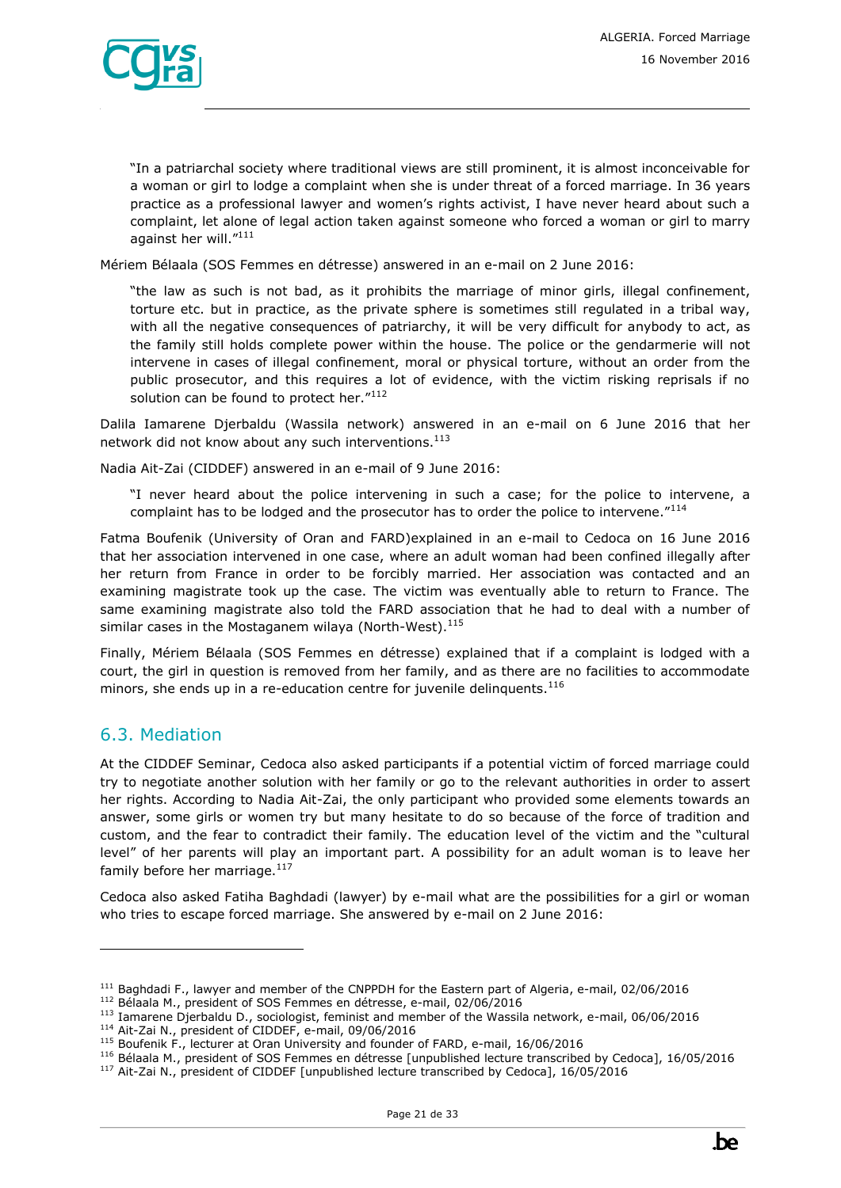

"In a patriarchal society where traditional views are still prominent, it is almost inconceivable for a woman or girl to lodge a complaint when she is under threat of a forced marriage. In 36 years practice as a professional lawyer and women's rights activist, I have never heard about such a complaint, let alone of legal action taken against someone who forced a woman or girl to marry against her will."<sup>111</sup>

Mériem Bélaala (SOS Femmes en détresse) answered in an e-mail on 2 June 2016:

"the law as such is not bad, as it prohibits the marriage of minor girls, illegal confinement, torture etc. but in practice, as the private sphere is sometimes still regulated in a tribal way, with all the negative consequences of patriarchy, it will be very difficult for anybody to act, as the family still holds complete power within the house. The police or the gendarmerie will not intervene in cases of illegal confinement, moral or physical torture, without an order from the public prosecutor, and this requires a lot of evidence, with the victim risking reprisals if no solution can be found to protect her."112

Dalila Iamarene Djerbaldu (Wassila network) answered in an e-mail on 6 June 2016 that her network did not know about any such interventions.<sup>113</sup>

Nadia Ait-Zai (CIDDEF) answered in an e-mail of 9 June 2016:

"I never heard about the police intervening in such a case; for the police to intervene, a complaint has to be lodged and the prosecutor has to order the police to intervene."<sup>114</sup>

Fatma Boufenik (University of Oran and FARD)explained in an e-mail to Cedoca on 16 June 2016 that her association intervened in one case, where an adult woman had been confined illegally after her return from France in order to be forcibly married. Her association was contacted and an examining magistrate took up the case. The victim was eventually able to return to France. The same examining magistrate also told the FARD association that he had to deal with a number of similar cases in the Mostaganem wilaya (North-West).<sup>115</sup>

Finally, Mériem Bélaala (SOS Femmes en détresse) explained that if a complaint is lodged with a court, the girl in question is removed from her family, and as there are no facilities to accommodate minors, she ends up in a re-education centre for juvenile delinquents.<sup>116</sup>

#### <span id="page-20-0"></span>6.3. Mediation

ł

At the CIDDEF Seminar, Cedoca also asked participants if a potential victim of forced marriage could try to negotiate another solution with her family or go to the relevant authorities in order to assert her rights. According to Nadia Ait-Zai, the only participant who provided some elements towards an answer, some girls or women try but many hesitate to do so because of the force of tradition and custom, and the fear to contradict their family. The education level of the victim and the "cultural level" of her parents will play an important part. A possibility for an adult woman is to leave her family before her marriage.<sup>117</sup>

Cedoca also asked Fatiha Baghdadi (lawyer) by e-mail what are the possibilities for a girl or woman who tries to escape forced marriage. She answered by e-mail on 2 June 2016:

<sup>&</sup>lt;sup>111</sup> Baghdadi F., lawyer and member of the CNPPDH for the Eastern part of Algeria, e-mail, 02/06/2016

<sup>112</sup> Bélaala M., president of SOS Femmes en détresse, e-mail, 02/06/2016

<sup>113</sup> Iamarene Djerbaldu D., sociologist, feminist and member of the Wassila network, e-mail, 06/06/2016

<sup>114</sup> Ait-Zai N., president of CIDDEF, e-mail, 09/06/2016

<sup>115</sup> Boufenik F., lecturer at Oran University and founder of FARD, e-mail, 16/06/2016

<sup>116</sup> Bélaala M., president of SOS Femmes en détresse [unpublished lecture transcribed by Cedoca], 16/05/2016

<sup>117</sup> Ait-Zai N., president of CIDDEF [unpublished lecture transcribed by Cedoca], 16/05/2016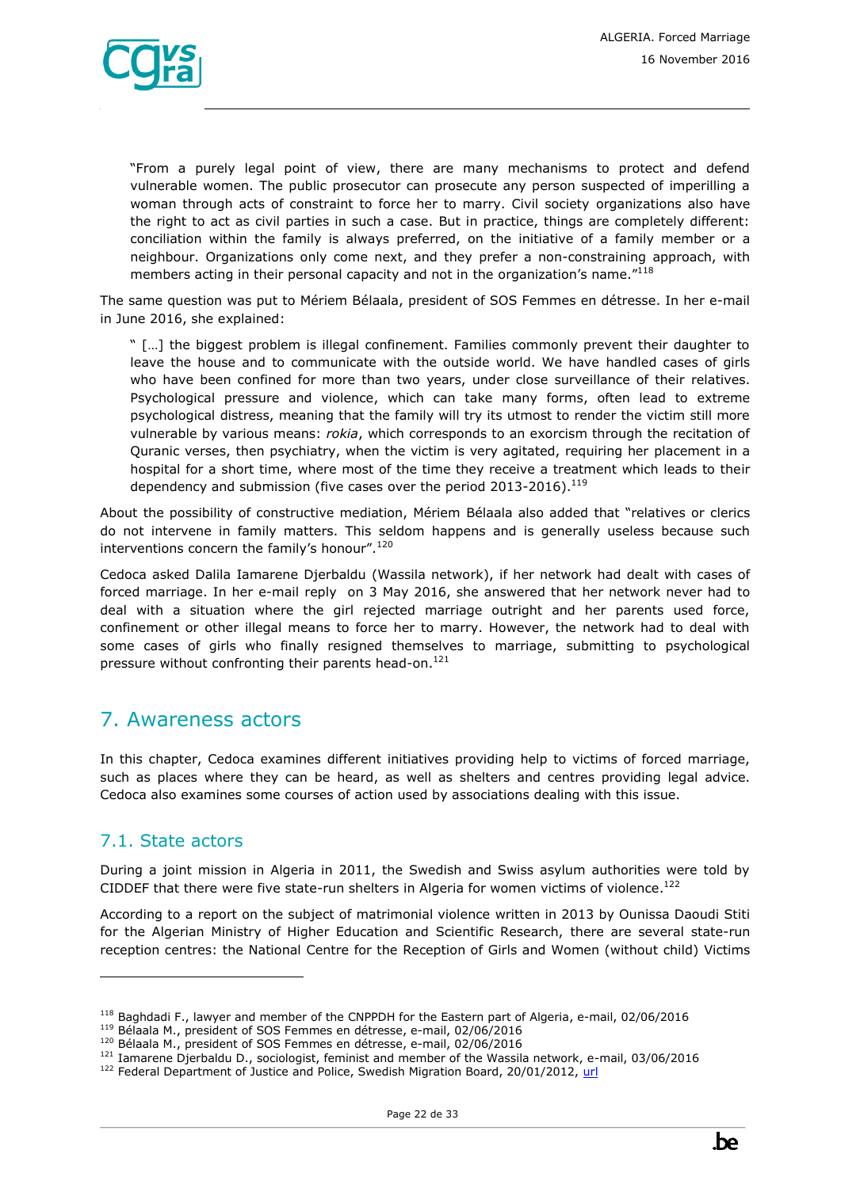

"From a purely legal point of view, there are many mechanisms to protect and defend vulnerable women. The public prosecutor can prosecute any person suspected of imperilling a woman through acts of constraint to force her to marry. Civil society organizations also have the right to act as civil parties in such a case. But in practice, things are completely different: conciliation within the family is always preferred, on the initiative of a family member or a neighbour. Organizations only come next, and they prefer a non-constraining approach, with members acting in their personal capacity and not in the organization's name."<sup>118</sup>

The same question was put to Mériem Bélaala, president of SOS Femmes en détresse. In her e-mail in June 2016, she explained:

" […] the biggest problem is illegal confinement. Families commonly prevent their daughter to leave the house and to communicate with the outside world. We have handled cases of girls who have been confined for more than two years, under close surveillance of their relatives. Psychological pressure and violence, which can take many forms, often lead to extreme psychological distress, meaning that the family will try its utmost to render the victim still more vulnerable by various means: *rokia*, which corresponds to an exorcism through the recitation of Quranic verses, then psychiatry, when the victim is very agitated, requiring her placement in a hospital for a short time, where most of the time they receive a treatment which leads to their dependency and submission (five cases over the period 2013-2016).<sup>119</sup>

About the possibility of constructive mediation, Mériem Bélaala also added that "relatives or clerics do not intervene in family matters. This seldom happens and is generally useless because such interventions concern the family's honour".<sup>120</sup>

Cedoca asked Dalila Iamarene Djerbaldu (Wassila network), if her network had dealt with cases of forced marriage. In her e-mail reply on 3 May 2016, she answered that her network never had to deal with a situation where the girl rejected marriage outright and her parents used force, confinement or other illegal means to force her to marry. However, the network had to deal with some cases of girls who finally resigned themselves to marriage, submitting to psychological pressure without confronting their parents head-on.<sup>121</sup>

# <span id="page-21-0"></span>7. Awareness actors

In this chapter, Cedoca examines different initiatives providing help to victims of forced marriage, such as places where they can be heard, as well as shelters and centres providing legal advice. Cedoca also examines some courses of action used by associations dealing with this issue.

### <span id="page-21-1"></span>7.1. State actors

ł

During a joint mission in Algeria in 2011, the Swedish and Swiss asylum authorities were told by CIDDEF that there were five state-run shelters in Algeria for women victims of violence.<sup>122</sup>

According to a report on the subject of matrimonial violence written in 2013 by Ounissa Daoudi Stiti for the Algerian Ministry of Higher Education and Scientific Research, there are several state-run reception centres: the National Centre for the Reception of Girls and Women (without child) Victims

<sup>118</sup> Baghdadi F., lawyer and member of the CNPPDH for the Eastern part of Algeria, e-mail, 02/06/2016

<sup>119</sup> Bélaala M., president of SOS Femmes en détresse, e-mail, 02/06/2016

<sup>120</sup> Bélaala M., president of SOS Femmes en détresse, e-mail, 02/06/2016

<sup>121</sup> Iamarene Djerbaldu D., sociologist, feminist and member of the Wassila network, e-mail, 03/06/2016

<sup>&</sup>lt;sup>122</sup> Federal Department of Justice and Police, Swedish Migration Board, 20/01/2012, [url](https://www.sem.admin.ch/dam/data/sem/internationales/herkunftslaender/afrika/dza/DZA-ber-factfindingmission-e.pdf)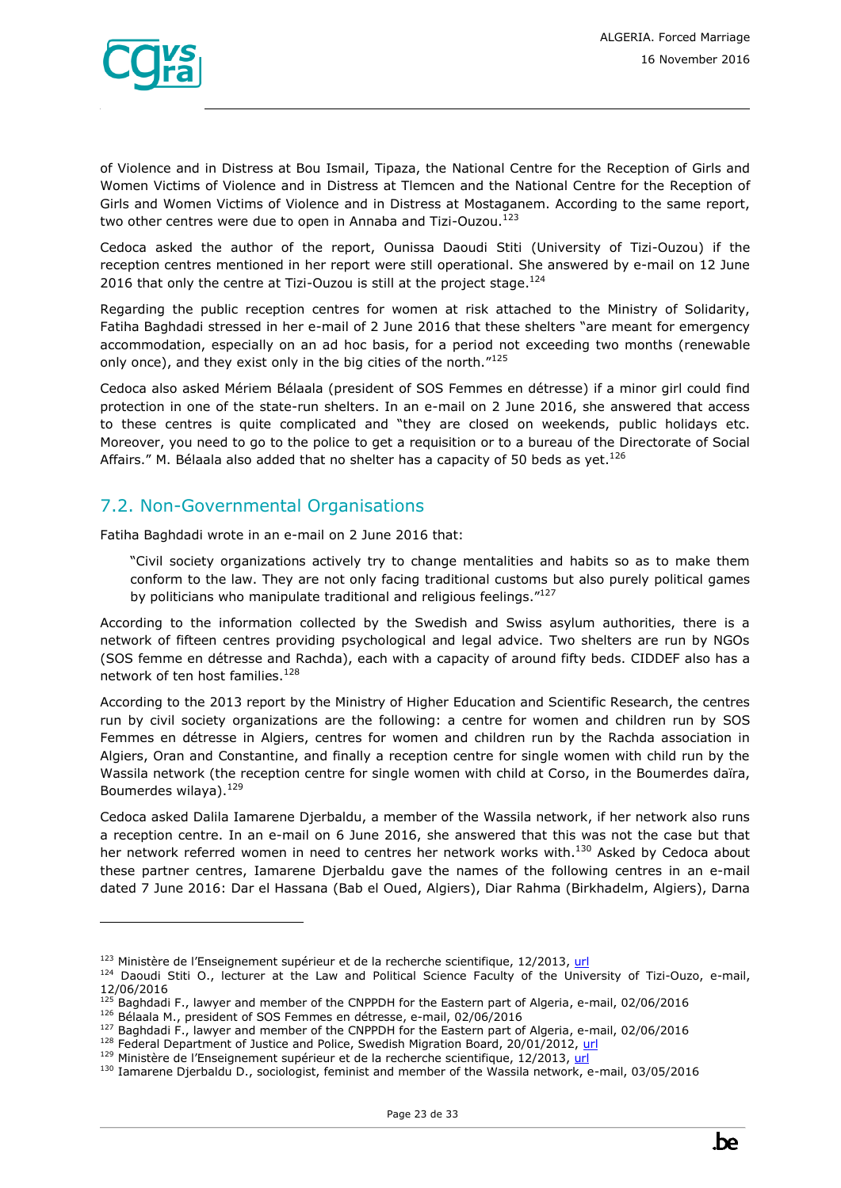

ł

of Violence and in Distress at Bou Ismail, Tipaza, the National Centre for the Reception of Girls and Women Victims of Violence and in Distress at Tlemcen and the National Centre for the Reception of Girls and Women Victims of Violence and in Distress at Mostaganem. According to the same report, two other centres were due to open in Annaba and Tizi-Ouzou.<sup>123</sup>

Cedoca asked the author of the report, Ounissa Daoudi Stiti (University of Tizi-Ouzou) if the reception centres mentioned in her report were still operational. She answered by e-mail on 12 June 2016 that only the centre at Tizi-Ouzou is still at the project stage. $124$ 

Regarding the public reception centres for women at risk attached to the Ministry of Solidarity, Fatiha Baghdadi stressed in her e-mail of 2 June 2016 that these shelters "are meant for emergency accommodation, especially on an ad hoc basis, for a period not exceeding two months (renewable only once), and they exist only in the big cities of the north."<sup>125</sup>

Cedoca also asked Mériem Bélaala (president of SOS Femmes en détresse) if a minor girl could find protection in one of the state-run shelters. In an e-mail on 2 June 2016, she answered that access to these centres is quite complicated and "they are closed on weekends, public holidays etc. Moreover, you need to go to the police to get a requisition or to a bureau of the Directorate of Social Affairs." M. Bélaala also added that no shelter has a capacity of 50 beds as yet. $^{126}$ 

### <span id="page-22-0"></span>7.2. Non-Governmental Organisations

Fatiha Baghdadi wrote in an e-mail on 2 June 2016 that:

"Civil society organizations actively try to change mentalities and habits so as to make them conform to the law. They are not only facing traditional customs but also purely political games by politicians who manipulate traditional and religious feelings."<sup>127</sup>

According to the information collected by the Swedish and Swiss asylum authorities, there is a network of fifteen centres providing psychological and legal advice. Two shelters are run by NGOs (SOS femme en détresse and Rachda), each with a capacity of around fifty beds. CIDDEF also has a network of ten host families.<sup>128</sup>

According to the 2013 report by the Ministry of Higher Education and Scientific Research, the centres run by civil society organizations are the following: a centre for women and children run by SOS Femmes en détresse in Algiers, centres for women and children run by the Rachda association in Algiers, Oran and Constantine, and finally a reception centre for single women with child run by the Wassila network (the reception centre for single women with child at Corso, in the Boumerdes daïra, Boumerdes wilaya). $129$ 

Cedoca asked Dalila Iamarene Djerbaldu, a member of the Wassila network, if her network also runs a reception centre. In an e-mail on 6 June 2016, she answered that this was not the case but that her network referred women in need to centres her network works with.<sup>130</sup> Asked by Cedoca about these partner centres, Iamarene Djerbaldu gave the names of the following centres in an e-mail dated 7 June 2016: Dar el Hassana (Bab el Oued, Algiers), Diar Rahma (Birkhadelm, Algiers), Darna

 $123$  Ministère de l'Enseignement supérieur et de la recherche scientifique, 12/2013, [url](http://www.dgrsdt.dz/pnr/download/pnr30/Daoudi_Ounissa.zip)

<sup>&</sup>lt;sup>124</sup> Daoudi Stiti O., lecturer at the Law and Political Science Faculty of the University of Tizi-Ouzo, e-mail, 12/06/2016

<sup>&</sup>lt;sup>125</sup> Baghdadi F., lawyer and member of the CNPPDH for the Eastern part of Algeria, e-mail, 02/06/2016

<sup>126</sup> Bélaala M., president of SOS Femmes en détresse, e-mail, 02/06/2016

<sup>&</sup>lt;sup>127</sup> Baghdadi F., lawyer and member of the CNPPDH for the Eastern part of Algeria, e-mail, 02/06/2016

<sup>&</sup>lt;sup>128</sup> Federal Department of Justice and Police, Swedish Migration Board, 20/01/2012, [url](https://www.sem.admin.ch/dam/data/sem/internationales/herkunftslaender/afrika/dza/DZA-ber-factfindingmission-e.pdf)

<sup>&</sup>lt;sup>129</sup> Ministère de l'Enseignement supérieur et de la recherche scientifique, 12/2013, [url](http://www.dgrsdt.dz/pnr/download/pnr30/Daoudi_Ounissa.zip)

<sup>130</sup> Iamarene Djerbaldu D., sociologist, feminist and member of the Wassila network, e-mail, 03/05/2016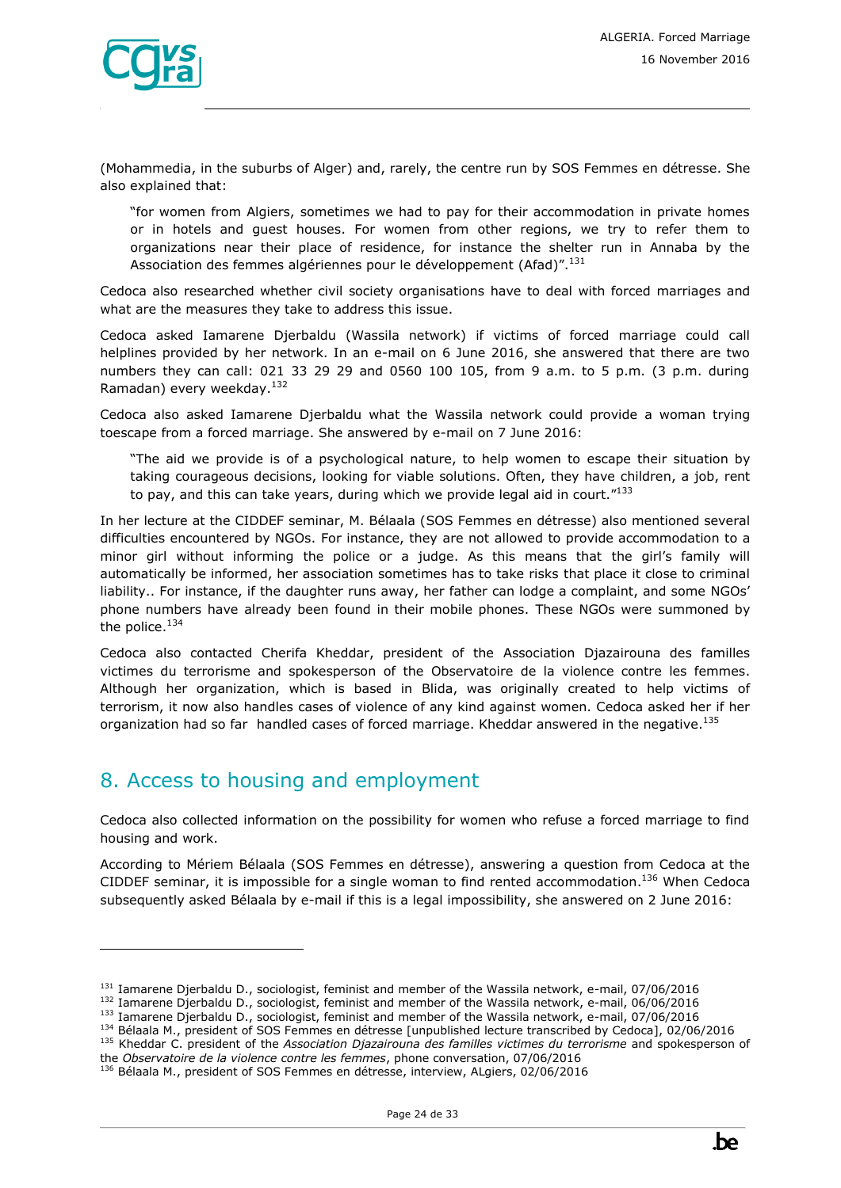

(Mohammedia, in the suburbs of Alger) and, rarely, the centre run by SOS Femmes en détresse. She also explained that:

"for women from Algiers, sometimes we had to pay for their accommodation in private homes or in hotels and guest houses. For women from other regions, we try to refer them to organizations near their place of residence, for instance the shelter run in Annaba by the Association des femmes algériennes pour le développement (Afad)".<sup>131</sup>

Cedoca also researched whether civil society organisations have to deal with forced marriages and what are the measures they take to address this issue.

Cedoca asked Iamarene Djerbaldu (Wassila network) if victims of forced marriage could call helplines provided by her network. In an e-mail on 6 June 2016, she answered that there are two numbers they can call: 021 33 29 29 and 0560 100 105, from 9 a.m. to 5 p.m. (3 p.m. during Ramadan) every weekday.<sup>132</sup>

Cedoca also asked Iamarene Djerbaldu what the Wassila network could provide a woman trying toescape from a forced marriage. She answered by e-mail on 7 June 2016:

"The aid we provide is of a psychological nature, to help women to escape their situation by taking courageous decisions, looking for viable solutions. Often, they have children, a job, rent to pay, and this can take years, during which we provide legal aid in court."<sup>133</sup>

In her lecture at the CIDDEF seminar, M. Bélaala (SOS Femmes en détresse) also mentioned several difficulties encountered by NGOs. For instance, they are not allowed to provide accommodation to a minor girl without informing the police or a judge. As this means that the girl's family will automatically be informed, her association sometimes has to take risks that place it close to criminal liability.. For instance, if the daughter runs away, her father can lodge a complaint, and some NGOs' phone numbers have already been found in their mobile phones. These NGOs were summoned by the police.<sup>134</sup>

Cedoca also contacted Cherifa Kheddar, president of the Association Djazairouna des familles victimes du terrorisme and spokesperson of the Observatoire de la violence contre les femmes. Although her organization, which is based in Blida, was originally created to help victims of terrorism, it now also handles cases of violence of any kind against women. Cedoca asked her if her organization had so far handled cases of forced marriage. Kheddar answered in the negative.<sup>135</sup>

# <span id="page-23-0"></span>8. Access to housing and employment

ł

Cedoca also collected information on the possibility for women who refuse a forced marriage to find housing and work.

According to Mériem Bélaala (SOS Femmes en détresse), answering a question from Cedoca at the CIDDEF seminar, it is impossible for a single woman to find rented accommodation.<sup>136</sup> When Cedoca subsequently asked Bélaala by e-mail if this is a legal impossibility, she answered on 2 June 2016:

<sup>&</sup>lt;sup>131</sup> Iamarene Djerbaldu D., sociologist, feminist and member of the Wassila network, e-mail, 07/06/2016

<sup>&</sup>lt;sup>132</sup> Iamarene Djerbaldu D., sociologist, feminist and member of the Wassila network, e-mail, 06/06/2016

<sup>133</sup> Iamarene Djerbaldu D., sociologist, feminist and member of the Wassila network, e-mail, 07/06/2016

<sup>134</sup> Bélaala M., president of SOS Femmes en détresse [unpublished lecture transcribed by Cedoca], 02/06/2016 <sup>135</sup> Kheddar C. president of the *Association Djazairouna des familles victimes du terrorisme* and spokesperson of

the *Observatoire de la violence contre les femmes*, phone conversation, 07/06/2016 <sup>136</sup> Bélaala M., president of SOS Femmes en détresse, interview, ALgiers, 02/06/2016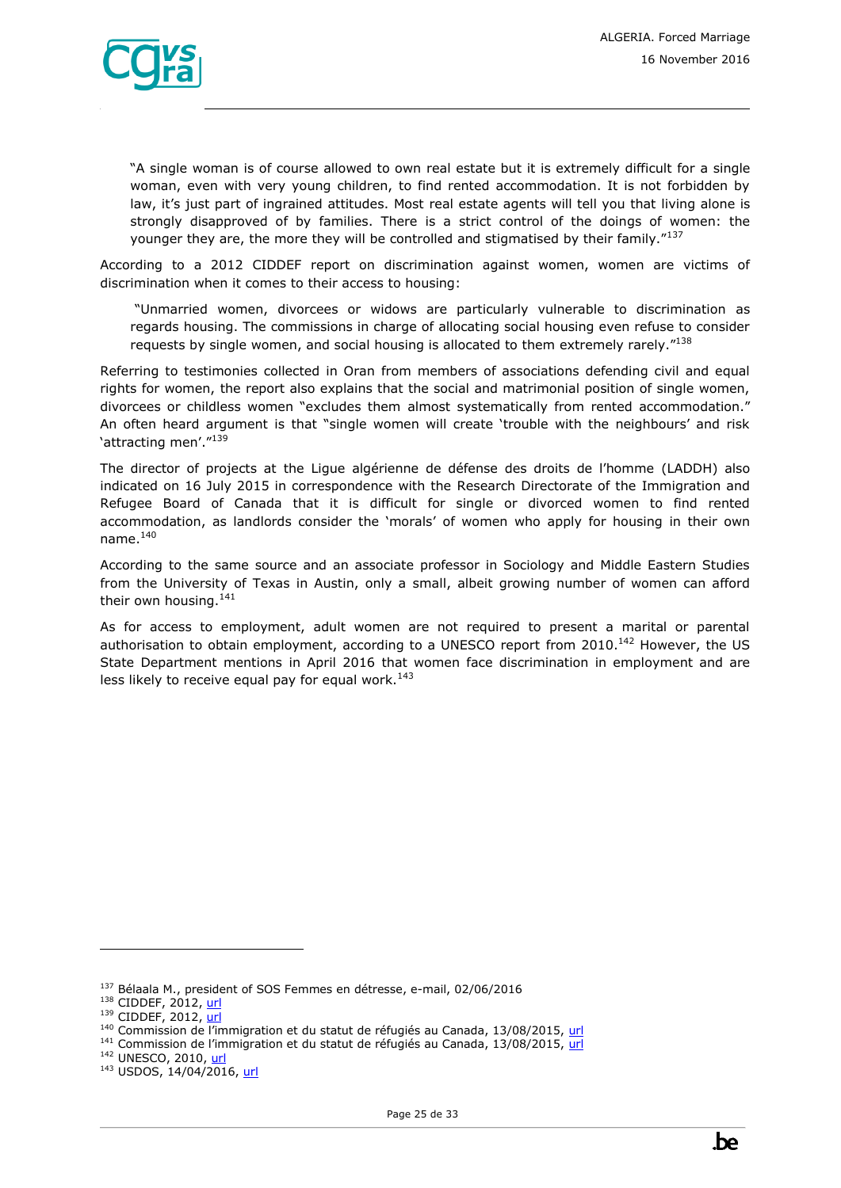

"A single woman is of course allowed to own real estate but it is extremely difficult for a single woman, even with very young children, to find rented accommodation. It is not forbidden by law, it's just part of ingrained attitudes. Most real estate agents will tell you that living alone is strongly disapproved of by families. There is a strict control of the doings of women: the younger they are, the more they will be controlled and stigmatised by their family."<sup>137</sup>

According to a 2012 CIDDEF report on discrimination against women, women are victims of discrimination when it comes to their access to housing:

"Unmarried women, divorcees or widows are particularly vulnerable to discrimination as regards housing. The commissions in charge of allocating social housing even refuse to consider requests by single women, and social housing is allocated to them extremely rarely."<sup>138</sup>

Referring to testimonies collected in Oran from members of associations defending civil and equal rights for women, the report also explains that the social and matrimonial position of single women, divorcees or childless women "excludes them almost systematically from rented accommodation." An often heard argument is that "single women will create 'trouble with the neighbours' and risk 'attracting men'."139

The director of projects at the Ligue algérienne de défense des droits de l'homme (LADDH) also indicated on 16 July 2015 in correspondence with the Research Directorate of the Immigration and Refugee Board of Canada that it is difficult for single or divorced women to find rented accommodation, as landlords consider the 'morals' of women who apply for housing in their own name. $140$ 

According to the same source and an associate professor in Sociology and Middle Eastern Studies from the University of Texas in Austin, only a small, albeit growing number of women can afford their own housing.<sup>141</sup>

As for access to employment, adult women are not required to present a marital or parental authorisation to obtain employment, according to a UNESCO report from 2010.<sup>142</sup> However, the US State Department mentions in April 2016 that women face discrimination in employment and are less likely to receive equal pay for equal work. $^{143}$ 

<sup>137</sup> Bélaala M., president of SOS Femmes en détresse, e-mail, 02/06/2016

<sup>138</sup> CIDDEF, 2012, [url](http://www.ciddef-dz.com/pdf/autres-publications/discriminations.pdf)

<sup>139</sup> CIDDEF, 2012, [url](http://www.ciddef-dz.com/pdf/autres-publications/discriminations.pdf)

<sup>&</sup>lt;sup>140</sup> Commission de l'immigration et du statut de réfugiés au Canada, 13/08/2015, [url](http://www.refworld.org/cgi-bin/texis/vtx/rwmain?page=search&docid=55dedd414&skip=0&query=mariage&coi=DZA&searchin=title&sort=date)

<sup>&</sup>lt;sup>141</sup> Commission de l'immigration et du statut de réfugiés au Canada, 13/08/2015, [url](http://www.refworld.org/cgi-bin/texis/vtx/rwmain?page=search&docid=55dedd414&skip=0&query=mariage&coi=DZA&searchin=title&sort=date)

<sup>142</sup> UNESCO, 2010, [url](http://unesdoc.unesco.org/images/0018/001893/189399f.pdf)

<sup>143</sup> USDOS, 14/04/2016, [url](http://www.state.gov/j/drl/rls/hrrpt/humanrightsreport/index.htm?year=2015&dlid=252917)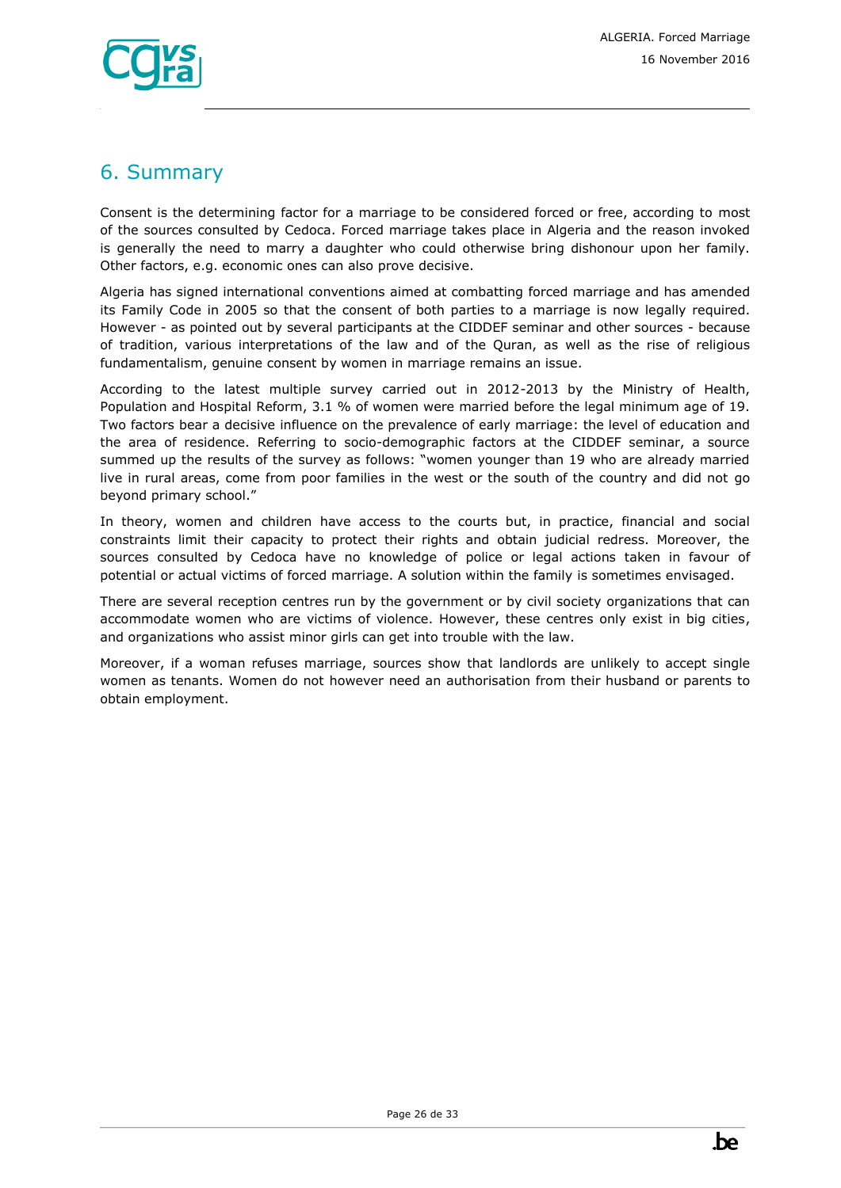

# <span id="page-25-0"></span>6. Summary

Consent is the determining factor for a marriage to be considered forced or free, according to most of the sources consulted by Cedoca. Forced marriage takes place in Algeria and the reason invoked is generally the need to marry a daughter who could otherwise bring dishonour upon her family. Other factors, e.g. economic ones can also prove decisive.

Algeria has signed international conventions aimed at combatting forced marriage and has amended its Family Code in 2005 so that the consent of both parties to a marriage is now legally required. However - as pointed out by several participants at the CIDDEF seminar and other sources - because of tradition, various interpretations of the law and of the Quran, as well as the rise of religious fundamentalism, genuine consent by women in marriage remains an issue.

According to the latest multiple survey carried out in 2012-2013 by the Ministry of Health, Population and Hospital Reform, 3.1 % of women were married before the legal minimum age of 19. Two factors bear a decisive influence on the prevalence of early marriage: the level of education and the area of residence. Referring to socio-demographic factors at the CIDDEF seminar, a source summed up the results of the survey as follows: "women younger than 19 who are already married live in rural areas, come from poor families in the west or the south of the country and did not go beyond primary school."

In theory, women and children have access to the courts but, in practice, financial and social constraints limit their capacity to protect their rights and obtain judicial redress. Moreover, the sources consulted by Cedoca have no knowledge of police or legal actions taken in favour of potential or actual victims of forced marriage. A solution within the family is sometimes envisaged.

There are several reception centres run by the government or by civil society organizations that can accommodate women who are victims of violence. However, these centres only exist in big cities, and organizations who assist minor girls can get into trouble with the law.

Moreover, if a woman refuses marriage, sources show that landlords are unlikely to accept single women as tenants. Women do not however need an authorisation from their husband or parents to obtain employment.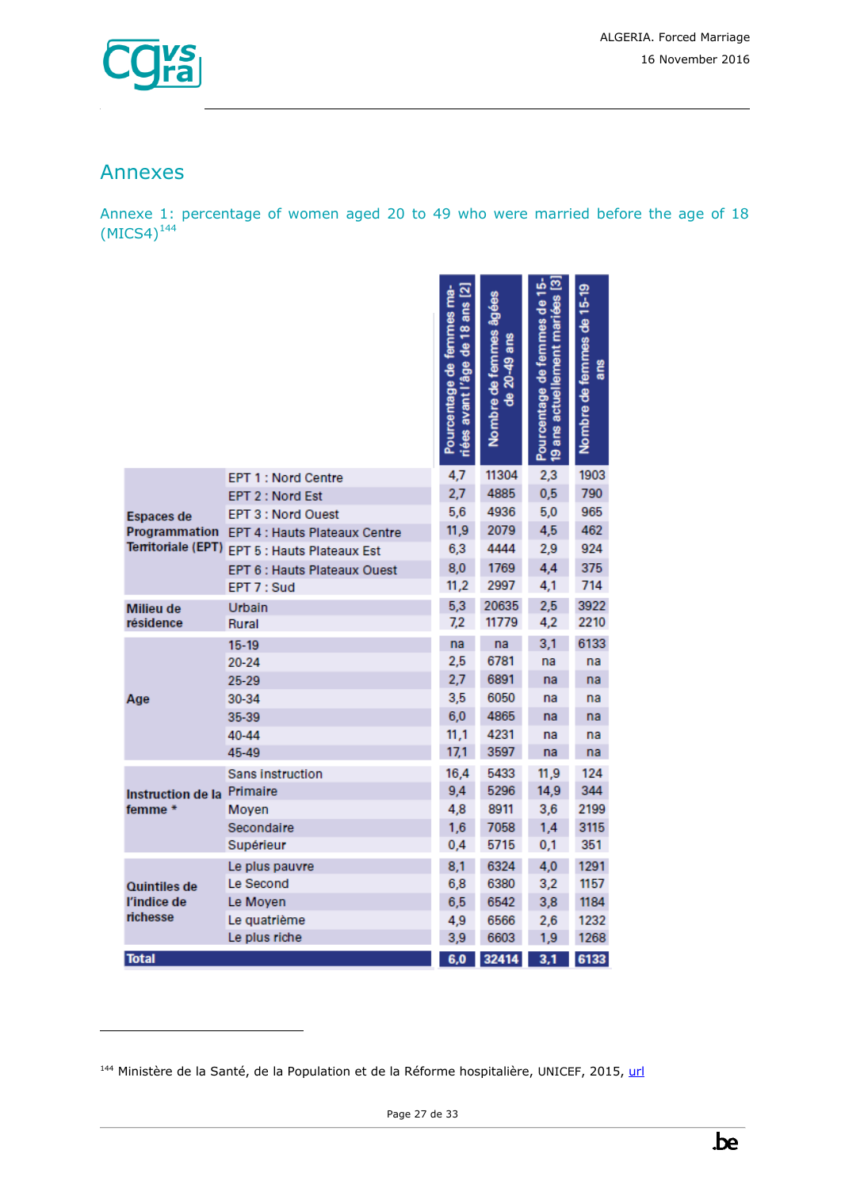

# <span id="page-26-0"></span>Annexes

ł

Annexe 1: percentage of women aged 20 to 49 who were married before the age of 18  $(MICS4)^{144}$ 

|                           |                                      | $\overline{\mathbf{z}}$<br>Pourcentage de femmes ma-<br>de 18 ans<br>avant l'âge<br>riées | Nombre de femmes âgées<br>ans<br>$20 - 49$<br>응 | Pourcentage de femmes de 15-<br>19 ans actuellement mariées [3] | Nombre de femmes de 15-19<br>ans |
|---------------------------|--------------------------------------|-------------------------------------------------------------------------------------------|-------------------------------------------------|-----------------------------------------------------------------|----------------------------------|
|                           | <b>EPT 1: Nord Centre</b>            | 4,7                                                                                       | 11304                                           | 2,3                                                             | 1903                             |
|                           | EPT 2 : Nord Est                     | 2,7                                                                                       | 4885                                            | 0,5                                                             | 790                              |
| <b>Espaces de</b>         | <b>EPT 3: Nord Ouest</b>             | 5,6                                                                                       | 4936                                            | 5,0                                                             | 965                              |
| Programmation             | <b>EPT 4 : Hauts Plateaux Centre</b> | 11,9                                                                                      | 2079                                            | 4,5                                                             | 462                              |
| <b>Territoriale (EPT)</b> | EPT 5 : Hauts Plateaux Est           | 6,3                                                                                       | 4444                                            | 2,9                                                             | 924                              |
|                           | <b>EPT 6 : Hauts Plateaux Ouest</b>  | 8,0                                                                                       | 1769                                            | 4,4                                                             | 375                              |
|                           | EPT 7 : Sud                          | 11,2                                                                                      | 2997                                            | 4,1                                                             | 714                              |
| <b>Milieu de</b>          | Urbain                               | 5,3                                                                                       | 20635                                           | 2,5                                                             | 3922                             |
| résidence                 | Rural                                | 7,2                                                                                       | 11779                                           | 4,2                                                             | 2210                             |
|                           | 15-19                                | na                                                                                        | na                                              | 3,1                                                             | 6133                             |
|                           | 20-24                                | 2,5                                                                                       | 6781                                            | na                                                              | na                               |
|                           | 25-29                                | 2,7                                                                                       | 6891                                            | na                                                              | na                               |
| Age                       | 30-34                                | 3,5                                                                                       | 6050                                            | na                                                              | na                               |
|                           | 35-39                                | 6,0                                                                                       | 4865                                            | na                                                              | na                               |
|                           | 40-44                                | 11,1                                                                                      | 4231                                            | na                                                              | na                               |
|                           | 45-49                                | 17,1                                                                                      | 3597                                            | na                                                              | na                               |
|                           | Sans instruction                     | 16,4                                                                                      | 5433                                            | 11,9                                                            | 124                              |
| Instruction de la         | Primaire                             | 9,4                                                                                       | 5296                                            | 14,9                                                            | 344                              |
| femme *                   | Moyen                                | 4,8                                                                                       | 8911                                            | 3,6                                                             | 2199                             |
|                           | Secondaire                           | 1,6                                                                                       | 7058                                            | 1,4                                                             | 3115                             |
|                           | Supérieur                            | 0,4                                                                                       | 5715                                            | 0,1                                                             | 351                              |
|                           | Le plus pauvre                       | 8,1                                                                                       | 6324                                            | 4,0                                                             | 1291                             |
| <b>Quintiles de</b>       | Le Second                            | 6,8                                                                                       | 6380                                            | 3,2                                                             | 1157                             |
| l'indice de               | Le Moyen                             | 6, 5                                                                                      | 6542                                            | 3,8                                                             | 1184                             |
| richesse                  | Le quatrième                         | 4,9                                                                                       | 6566                                            | 2,6                                                             | 1232                             |
|                           | Le plus riche                        | 3,9                                                                                       | 6603                                            | 1,9                                                             | 1268                             |
| <b>Total</b>              |                                      | 6,0                                                                                       | 32414                                           | $\overline{3,1}$                                                | 6133                             |

<sup>144</sup> Ministère de la Santé, de la Population et de la Réforme hospitalière, UNICEF, 2015, [url](http://www.unicef.org/algeria/Rapport_MICS4_(2012-2013).pdf)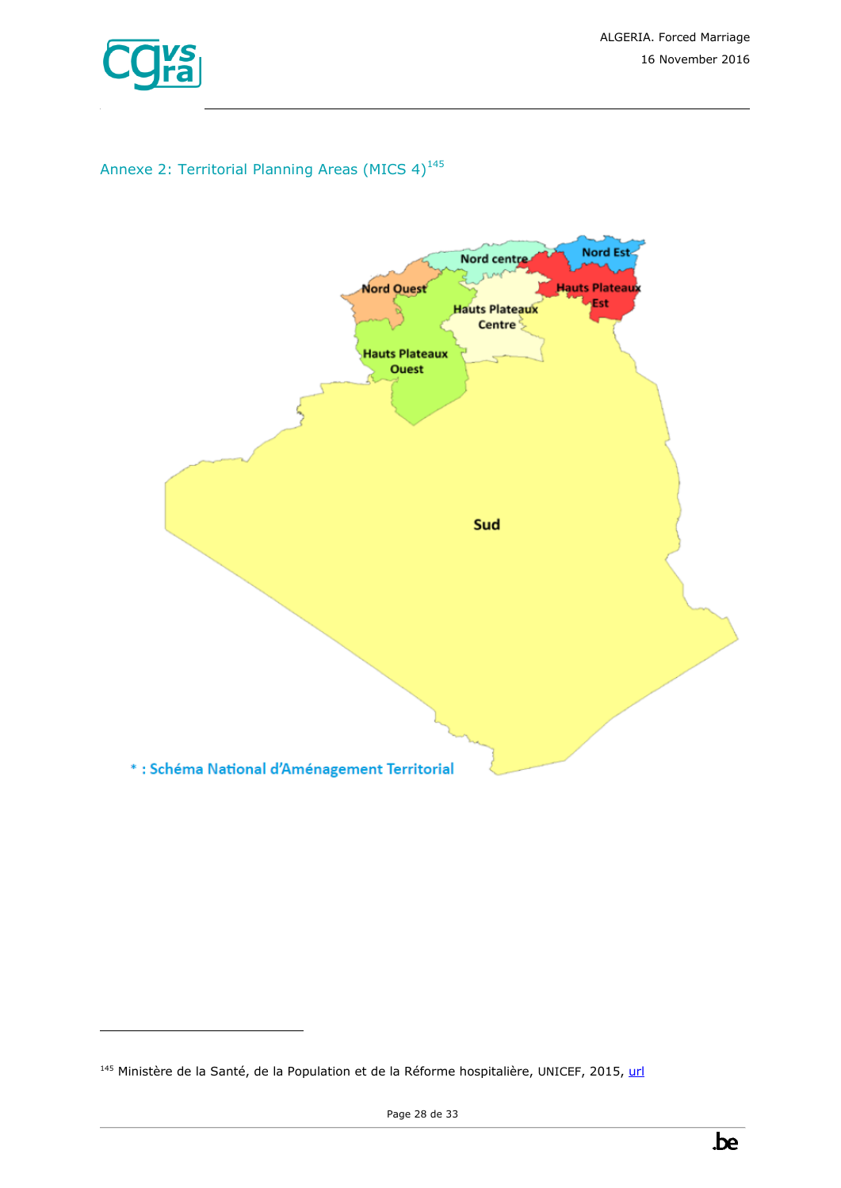

ł

# Annexe 2: Territorial Planning Areas (MICS  $4$ )<sup>145</sup>



<sup>145</sup> Ministère de la Santé, de la Population et de la Réforme hospitalière, UNICEF, 2015, [url](http://www.unicef.org/algeria/Rapport_MICS4_(2012-2013).pdf)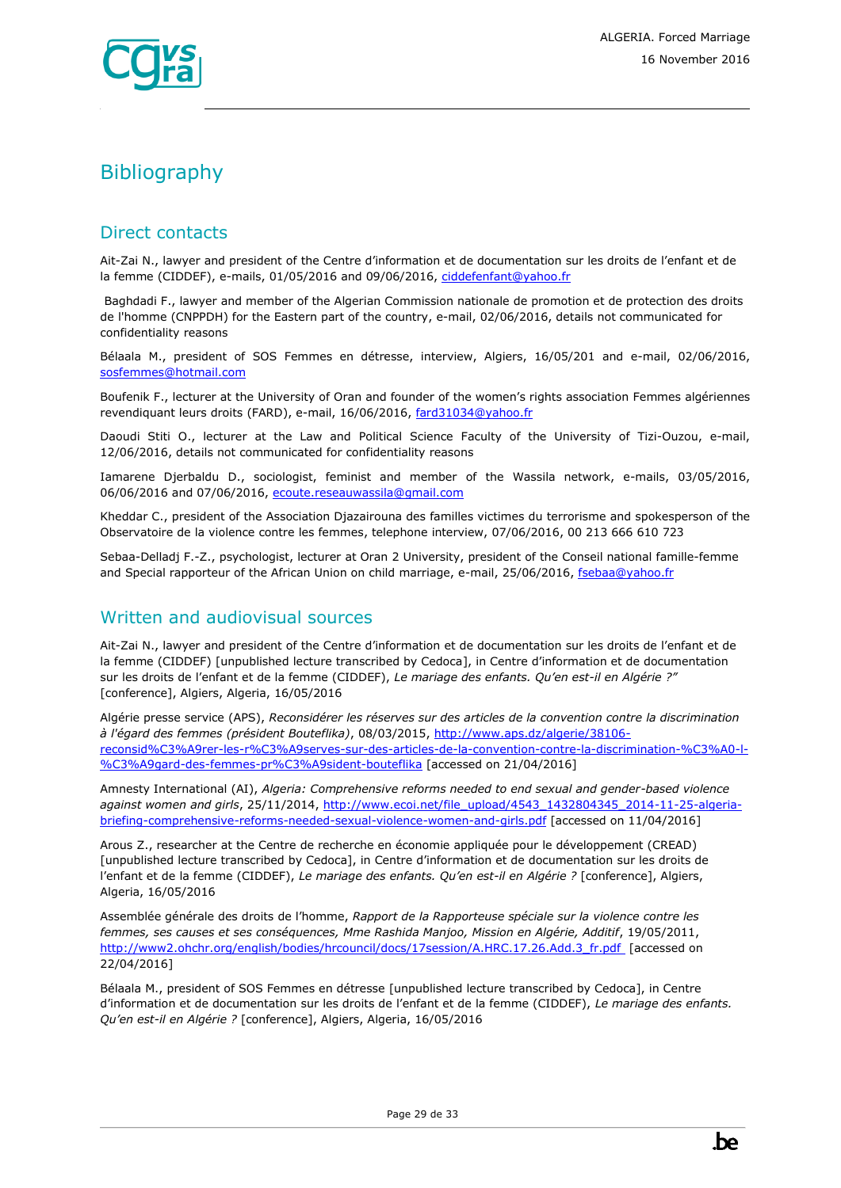

# <span id="page-28-0"></span>**Bibliography**

### Direct contacts

Ait-Zai N., lawyer and president of the Centre d'information et de documentation sur les droits de l'enfant et de la femme (CIDDEF), e-mails, 01/05/2016 and 09/06/2016[, ciddefenfant@yahoo.fr](mailto:ciddefenfant@yahoo.fr)

Baghdadi F., lawyer and member of the Algerian Commission nationale de promotion et de protection des droits de l'homme (CNPPDH) for the Eastern part of the country, e-mail, 02/06/2016, details not communicated for confidentiality reasons

Bélaala M., president of SOS Femmes en détresse, interview, Algiers, 16/05/201 and e-mail, 02/06/2016, [sosfemmes@hotmail.com](mailto:sosfemmes@hotmail.com)

Boufenik F., lecturer at the University of Oran and founder of the women's rights association Femmes algériennes revendiquant leurs droits (FARD), e-mail, 16/06/2016, [fard31034@yahoo.fr](mailto:fard31034@yahoo.fr)

Daoudi Stiti O., lecturer at the Law and Political Science Faculty of the University of Tizi-Ouzou, e-mail, 12/06/2016, details not communicated for confidentiality reasons

Iamarene Djerbaldu D., sociologist, feminist and member of the Wassila network, e-mails, 03/05/2016, 06/06/2016 and 07/06/2016, [ecoute.reseauwassila@gmail.com](mailto:ecoute.reseauwassila@gmail.com)

Kheddar C., president of the Association Djazairouna des familles victimes du terrorisme and spokesperson of the Observatoire de la violence contre les femmes, telephone interview, 07/06/2016, 00 213 666 610 723

Sebaa-Delladj F.-Z., psychologist, lecturer at Oran 2 University, president of the Conseil national famille-femme and Special rapporteur of the African Union on child marriage, e-mail, 25/06/2016, [fsebaa@yahoo.fr](mailto:fsebaa@yahoo.fr)

### Written and audiovisual sources

Ait-Zai N., lawyer and president of the Centre d'information et de documentation sur les droits de l'enfant et de la femme (CIDDEF) [unpublished lecture transcribed by Cedoca], in Centre d'information et de documentation sur les droits de l'enfant et de la femme (CIDDEF), *Le mariage des enfants. Qu'en est-il en Algérie ?"* [conference], Algiers, Algeria, 16/05/2016

Algérie presse service (APS), *Reconsidérer les réserves sur des articles de la convention contre la discrimination à l'égard des femmes (président Bouteflika)*, 08/03/2015, [http://www.aps.dz/algerie/38106](http://www.aps.dz/algerie/38106-reconsid%C3%A9rer-les-r%C3%A9serves-sur-des-articles-de-la-convention-contre-la-discrimination-%C3%A0-l-%C3%A9gard-des-femmes-pr%C3%A9sident-bouteflika) [reconsid%C3%A9rer-les-r%C3%A9serves-sur-des-articles-de-la-convention-contre-la-discrimination-%C3%A0-l-](http://www.aps.dz/algerie/38106-reconsid%C3%A9rer-les-r%C3%A9serves-sur-des-articles-de-la-convention-contre-la-discrimination-%C3%A0-l-%C3%A9gard-des-femmes-pr%C3%A9sident-bouteflika) [%C3%A9gard-des-femmes-pr%C3%A9sident-bouteflika](http://www.aps.dz/algerie/38106-reconsid%C3%A9rer-les-r%C3%A9serves-sur-des-articles-de-la-convention-contre-la-discrimination-%C3%A0-l-%C3%A9gard-des-femmes-pr%C3%A9sident-bouteflika) [accessed on 21/04/2016]

Amnesty International (AI), *Algeria: Comprehensive reforms needed to end sexual and gender-based violence against women and girls*, 25/11/2014[, http://www.ecoi.net/file\\_upload/4543\\_1432804345\\_2014-11-25-algeria](http://www.ecoi.net/file_upload/4543_1432804345_2014-11-25-algeria-briefing-comprehensive-reforms-needed-sexual-violence-women-and-girls.pdf)[briefing-comprehensive-reforms-needed-sexual-violence-women-and-girls.pdf](http://www.ecoi.net/file_upload/4543_1432804345_2014-11-25-algeria-briefing-comprehensive-reforms-needed-sexual-violence-women-and-girls.pdf) [accessed on 11/04/2016]

Arous Z., researcher at the Centre de recherche en économie appliquée pour le développement (CREAD) [unpublished lecture transcribed by Cedoca], in Centre d'information et de documentation sur les droits de l'enfant et de la femme (CIDDEF), *Le mariage des enfants. Qu'en est-il en Algérie ?* [conference], Algiers, Algeria, 16/05/2016

Assemblée générale des droits de l'homme, *Rapport de la Rapporteuse spéciale sur la violence contre les femmes, ses causes et ses conséquences, Mme Rashida Manjoo, Mission en Algérie, Additif*, 19/05/2011, [http://www2.ohchr.org/english/bodies/hrcouncil/docs/17session/A.HRC.17.26.Add.3\\_fr.pdf](https://documents-dds-ny.un.org/doc/UNDOC/GEN/G11/132/73/PDF/G1113273.pdf?OpenElement) [accessed on 22/04/2016]

Bélaala M., president of SOS Femmes en détresse [unpublished lecture transcribed by Cedoca], in Centre d'information et de documentation sur les droits de l'enfant et de la femme (CIDDEF), *Le mariage des enfants. Qu'en est-il en Algérie ?* [conference], Algiers, Algeria, 16/05/2016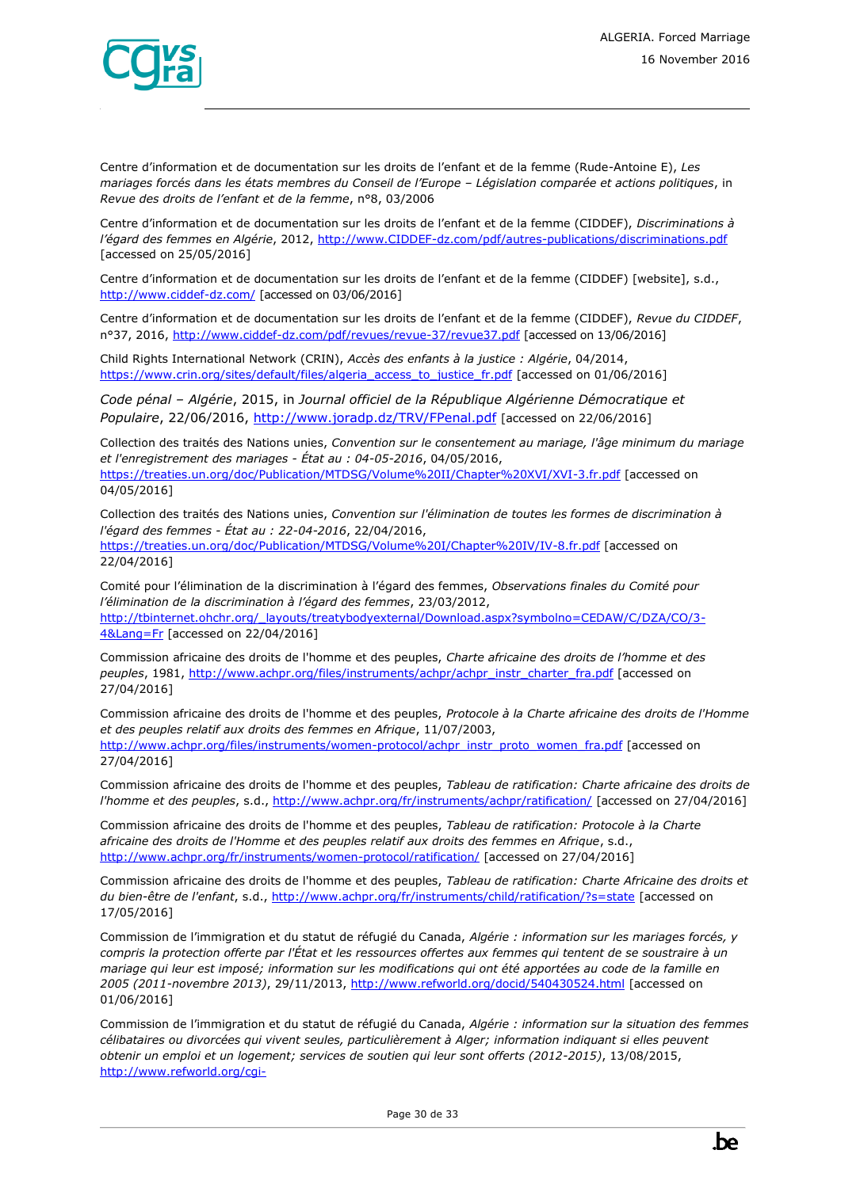

Centre d'information et de documentation sur les droits de l'enfant et de la femme (Rude-Antoine E), *Les mariages forcés dans les états membres du Conseil de l'Europe – Législation comparée et actions politiques*, in *Revue des droits de l'enfant et de la femme*, n°8, 03/2006

Centre d'information et de documentation sur les droits de l'enfant et de la femme (CIDDEF), *Discriminations à l'égard des femmes en Algérie*, 2012, [http://www.CIDDEF-dz.com/pdf/autres-publications/discriminations.pdf](http://www.ciddef-dz.com/pdf/autres-publications/discriminations.pdf) [accessed on 25/05/2016]

Centre d'information et de documentation sur les droits de l'enfant et de la femme (CIDDEF) [website], s.d., <http://www.ciddef-dz.com/> [accessed on 03/06/2016]

Centre d'information et de documentation sur les droits de l'enfant et de la femme (CIDDEF), *Revue du CIDDEF*, n°37, 2016,<http://www.ciddef-dz.com/pdf/revues/revue-37/revue37.pdf> [accessed on 13/06/2016]

Child Rights International Network (CRIN), *Accès des enfants à la justice : Algérie*, 04/2014, [https://www.crin.org/sites/default/files/algeria\\_access\\_to\\_justice\\_fr.pdf](https://www.crin.org/sites/default/files/algeria_access_to_justice_fr.pdf) [accessed on 01/06/2016]

*Code pénal – Algérie*, 2015, in *Journal officiel de la République Algérienne Démocratique et Populaire*, 22/06/2016,<http://www.joradp.dz/TRV/FPenal.pdf> [accessed on 22/06/2016]

Collection des traités des Nations unies, *Convention sur le consentement au mariage, l'âge minimum du mariage et l'enregistrement des mariages - État au : 04-05-2016*, 04/05/2016, <https://treaties.un.org/doc/Publication/MTDSG/Volume%20II/Chapter%20XVI/XVI-3.fr.pdf> [accessed on 04/05/2016]

Collection des traités des Nations unies, *Convention sur l'élimination de toutes les formes de discrimination à l'égard des femmes - État au : 22-04-2016*, 22/04/2016,

<https://treaties.un.org/doc/Publication/MTDSG/Volume%20I/Chapter%20IV/IV-8.fr.pdf> [accessed on 22/04/2016]

Comité pour l'élimination de la discrimination à l'égard des femmes, *Observations finales du Comité pour l'élimination de la discrimination à l'égard des femmes*, 23/03/2012, [http://tbinternet.ohchr.org/\\_layouts/treatybodyexternal/Download.aspx?symbolno=CEDAW/C/DZA/CO/3-](http://tbinternet.ohchr.org/_layouts/treatybodyexternal/Download.aspx?symbolno=CEDAW/C/DZA/CO/3-4&Lang=Fr) [4&Lang=Fr](http://tbinternet.ohchr.org/_layouts/treatybodyexternal/Download.aspx?symbolno=CEDAW/C/DZA/CO/3-4&Lang=Fr) [accessed on 22/04/2016]

Commission africaine des droits de l'homme et des peuples, *Charte africaine des droits de l'homme et des peuples*, 1981, [http://www.achpr.org/files/instruments/achpr/achpr\\_instr\\_charter\\_fra.pdf](http://www.achpr.org/files/instruments/achpr/achpr_instr_charter_fra.pdf) [accessed on 27/04/2016]

Commission africaine des droits de l'homme et des peuples, *Protocole à la Charte africaine des droits de l'Homme et des peuples relatif aux droits des femmes en Afrique*, 11/07/2003, [http://www.achpr.org/files/instruments/women-protocol/achpr\\_instr\\_proto\\_women\\_fra.pdf](http://www.achpr.org/files/instruments/women-protocol/achpr_instr_proto_women_fra.pdf) [accessed on 27/04/2016]

Commission africaine des droits de l'homme et des peuples, *Tableau de ratification: Charte africaine des droits de l'homme et des peuples*, s.d.,<http://www.achpr.org/fr/instruments/achpr/ratification/> [accessed on 27/04/2016]

Commission africaine des droits de l'homme et des peuples, *Tableau de ratification: Protocole à la Charte africaine des droits de l'Homme et des peuples relatif aux droits des femmes en Afrique*, s.d., <http://www.achpr.org/fr/instruments/women-protocol/ratification/> [accessed on 27/04/2016]

Commission africaine des droits de l'homme et des peuples, *Tableau de ratification: Charte Africaine des droits et du bien-être de l'enfant*, s.d.,<http://www.achpr.org/fr/instruments/child/ratification/?s=state> [accessed on 17/05/2016]

Commission de l'immigration et du statut de réfugié du Canada, *Algérie : information sur les mariages forcés, y compris la protection offerte par l'État et les ressources offertes aux femmes qui tentent de se soustraire à un mariage qui leur est imposé; information sur les modifications qui ont été apportées au code de la famille en 2005 (2011-novembre 2013)*, 29/11/2013,<http://www.refworld.org/docid/540430524.html> [accessed on 01/06/2016]

Commission de l'immigration et du statut de réfugié du Canada, *Algérie : information sur la situation des femmes célibataires ou divorcées qui vivent seules, particulièrement à Alger; information indiquant si elles peuvent obtenir un emploi et un logement; services de soutien qui leur sont offerts (2012-2015)*, 13/08/2015, [http://www.refworld.org/cgi-](http://www.refworld.org/cgi-bin/texis/vtx/rwmain?page=search&docid=55dedd414&skip=0&query=mariage&coi=DZA&searchin=title&sort=date)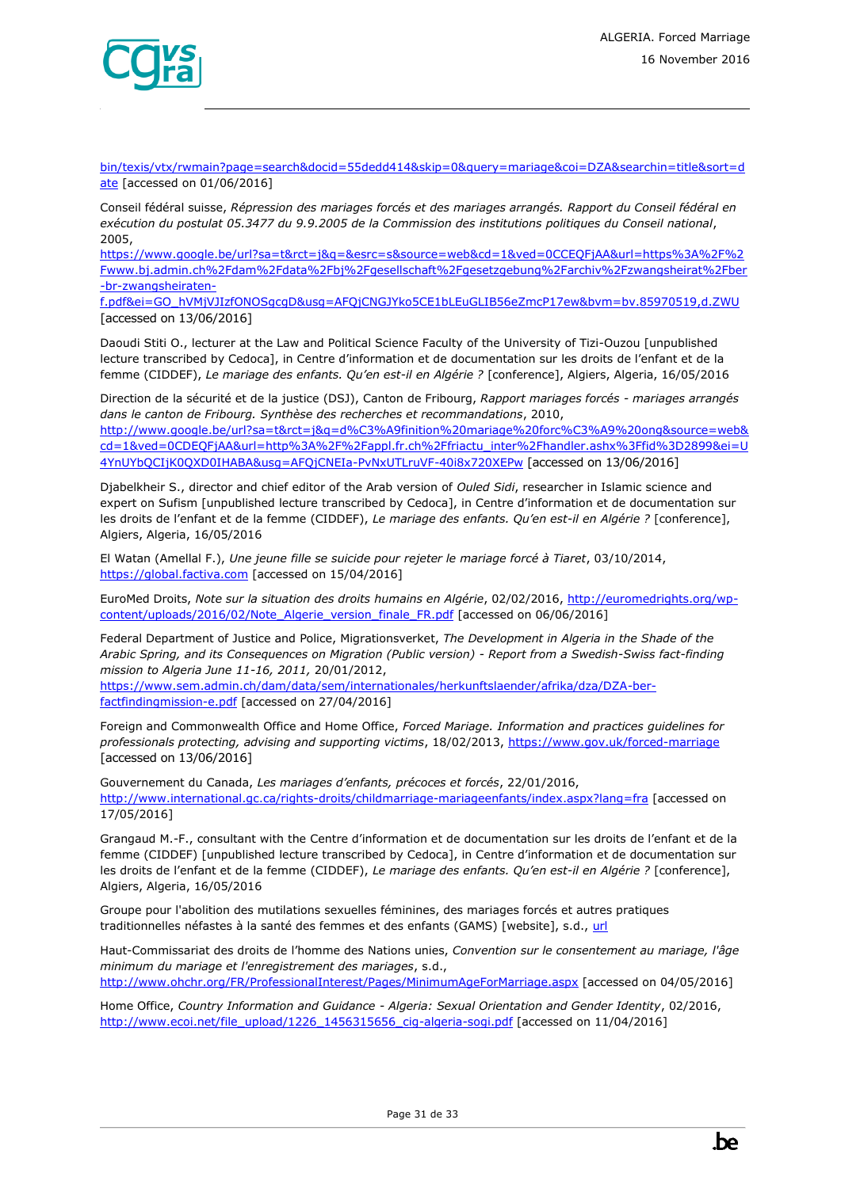

[bin/texis/vtx/rwmain?page=search&docid=55dedd414&skip=0&query=mariage&coi=DZA&searchin=title&sort=d](http://www.refworld.org/cgi-bin/texis/vtx/rwmain?page=search&docid=55dedd414&skip=0&query=mariage&coi=DZA&searchin=title&sort=date) [ate](http://www.refworld.org/cgi-bin/texis/vtx/rwmain?page=search&docid=55dedd414&skip=0&query=mariage&coi=DZA&searchin=title&sort=date) [accessed on 01/06/2016]

Conseil fédéral suisse, *Répression des mariages forcés et des mariages arrangés. Rapport du Conseil fédéral en exécution du postulat 05.3477 du 9.9.2005 de la Commission des institutions politiques du Conseil national*, 2005,

[https://www.google.be/url?sa=t&rct=j&q=&esrc=s&source=web&cd=1&ved=0CCEQFjAA&url=https%3A%2F%2](https://www.google.be/url?sa=t&rct=j&q=&esrc=s&source=web&cd=1&ved=0CCEQFjAA&url=https%3A%2F%2Fwww.bj.admin.ch%2Fdam%2Fdata%2Fbj%2Fgesellschaft%2Fgesetzgebung%2Farchiv%2Fzwangsheirat%2Fber-br-zwangsheiraten-f.pdf&ei=GO_hVMjVJIzfONOSgcgD&usg=AFQjCNGJYko5CE1bLEuGLIB56eZmcP17ew&bvm=bv.85970519,d.ZWU) [Fwww.bj.admin.ch%2Fdam%2Fdata%2Fbj%2Fgesellschaft%2Fgesetzgebung%2Farchiv%2Fzwangsheirat%2Fber](https://www.google.be/url?sa=t&rct=j&q=&esrc=s&source=web&cd=1&ved=0CCEQFjAA&url=https%3A%2F%2Fwww.bj.admin.ch%2Fdam%2Fdata%2Fbj%2Fgesellschaft%2Fgesetzgebung%2Farchiv%2Fzwangsheirat%2Fber-br-zwangsheiraten-f.pdf&ei=GO_hVMjVJIzfONOSgcgD&usg=AFQjCNGJYko5CE1bLEuGLIB56eZmcP17ew&bvm=bv.85970519,d.ZWU) [-br-zwangsheiraten-](https://www.google.be/url?sa=t&rct=j&q=&esrc=s&source=web&cd=1&ved=0CCEQFjAA&url=https%3A%2F%2Fwww.bj.admin.ch%2Fdam%2Fdata%2Fbj%2Fgesellschaft%2Fgesetzgebung%2Farchiv%2Fzwangsheirat%2Fber-br-zwangsheiraten-f.pdf&ei=GO_hVMjVJIzfONOSgcgD&usg=AFQjCNGJYko5CE1bLEuGLIB56eZmcP17ew&bvm=bv.85970519,d.ZWU)

[f.pdf&ei=GO\\_hVMjVJIzfONOSgcgD&usg=AFQjCNGJYko5CE1bLEuGLIB56eZmcP17ew&bvm=bv.85970519,d.ZWU](https://www.google.be/url?sa=t&rct=j&q=&esrc=s&source=web&cd=1&ved=0CCEQFjAA&url=https%3A%2F%2Fwww.bj.admin.ch%2Fdam%2Fdata%2Fbj%2Fgesellschaft%2Fgesetzgebung%2Farchiv%2Fzwangsheirat%2Fber-br-zwangsheiraten-f.pdf&ei=GO_hVMjVJIzfONOSgcgD&usg=AFQjCNGJYko5CE1bLEuGLIB56eZmcP17ew&bvm=bv.85970519,d.ZWU) [accessed on 13/06/2016]

Daoudi Stiti O., lecturer at the Law and Political Science Faculty of the University of Tizi-Ouzou [unpublished lecture transcribed by Cedoca], in Centre d'information et de documentation sur les droits de l'enfant et de la femme (CIDDEF), *Le mariage des enfants. Qu'en est-il en Algérie ?* [conference], Algiers, Algeria, 16/05/2016

Direction de la sécurité et de la justice (DSJ), Canton de Fribourg, *Rapport mariages forcés - mariages arrangés dans le canton de Fribourg. Synthèse des recherches et recommandations*, 2010,

[http://www.google.be/url?sa=t&rct=j&q=d%C3%A9finition%20mariage%20forc%C3%A9%20ong&source=web&](http://www.google.be/url?sa=t&rct=j&q=d%C3%A9finition%20mariage%20forc%C3%A9%20ong&source=web&cd=1&ved=0CDEQFjAA&url=http%3A%2F%2Fappl.fr.ch%2Ffriactu_inter%2Fhandler.ashx%3Ffid%3D2899&ei=U4YnUYbQCIjK0QXD0IHABA&usg=AFQjCNEIa-PvNxUTLruVF-40i8x720XEPw) [cd=1&ved=0CDEQFjAA&url=http%3A%2F%2Fappl.fr.ch%2Ffriactu\\_inter%2Fhandler.ashx%3Ffid%3D2899&ei=U](http://www.google.be/url?sa=t&rct=j&q=d%C3%A9finition%20mariage%20forc%C3%A9%20ong&source=web&cd=1&ved=0CDEQFjAA&url=http%3A%2F%2Fappl.fr.ch%2Ffriactu_inter%2Fhandler.ashx%3Ffid%3D2899&ei=U4YnUYbQCIjK0QXD0IHABA&usg=AFQjCNEIa-PvNxUTLruVF-40i8x720XEPw) [4YnUYbQCIjK0QXD0IHABA&usg=AFQjCNEIa-PvNxUTLruVF-40i8x720XEPw](http://www.google.be/url?sa=t&rct=j&q=d%C3%A9finition%20mariage%20forc%C3%A9%20ong&source=web&cd=1&ved=0CDEQFjAA&url=http%3A%2F%2Fappl.fr.ch%2Ffriactu_inter%2Fhandler.ashx%3Ffid%3D2899&ei=U4YnUYbQCIjK0QXD0IHABA&usg=AFQjCNEIa-PvNxUTLruVF-40i8x720XEPw) [accessed on 13/06/2016]

Djabelkheir S., director and chief editor of the Arab version of *Ouled Sidi*, researcher in Islamic science and expert on Sufism [unpublished lecture transcribed by Cedoca], in Centre d'information et de documentation sur les droits de l'enfant et de la femme (CIDDEF), *Le mariage des enfants. Qu'en est-il en Algérie ?* [conference], Algiers, Algeria, 16/05/2016

El Watan (Amellal F.), *Une jeune fille se suicide pour rejeter le mariage forcé à Tiaret*, 03/10/2014, [https://global.factiva.com](https://global.factiva.com/) [accessed on 15/04/2016]

EuroMed Droits, *Note sur la situation des droits humains en Algérie*, 02/02/2016[, http://euromedrights.org/wp](http://euromedrights.org/wp-content/uploads/2016/02/Note_Algerie_version_finale_FR.pdf)[content/uploads/2016/02/Note\\_Algerie\\_version\\_finale\\_FR.pdf](http://euromedrights.org/wp-content/uploads/2016/02/Note_Algerie_version_finale_FR.pdf) [accessed on 06/06/2016]

Federal Department of Justice and Police, Migrationsverket, *The Development in Algeria in the Shade of the Arabic Spring, and its Consequences on Migration (Public version) - Report from a Swedish-Swiss fact-finding mission to Algeria June 11-16, 2011,* 20/01/2012,

[https://www.sem.admin.ch/dam/data/sem/internationales/herkunftslaender/afrika/dza/DZA-ber](https://www.sem.admin.ch/dam/data/sem/internationales/herkunftslaender/afrika/dza/DZA-ber-factfindingmission-e.pdf)[factfindingmission-e.pdf](https://www.sem.admin.ch/dam/data/sem/internationales/herkunftslaender/afrika/dza/DZA-ber-factfindingmission-e.pdf) [accessed on 27/04/2016]

Foreign and Commonwealth Office and Home Office, *Forced Mariage. Information and practices guidelines for professionals protecting, advising and supporting victims*, 18/02/2013[, https://www.gov.uk/forced-marriage](https://www.gov.uk/forced-marriage) [accessed on 13/06/2016]

Gouvernement du Canada, *Les mariages d'enfants, précoces et forcés*, 22/01/2016, <http://www.international.gc.ca/rights-droits/childmarriage-mariageenfants/index.aspx?lang=fra> [accessed on 17/05/2016]

Grangaud M.-F., consultant with the Centre d'information et de documentation sur les droits de l'enfant et de la femme (CIDDEF) [unpublished lecture transcribed by Cedoca], in Centre d'information et de documentation sur les droits de l'enfant et de la femme (CIDDEF), *Le mariage des enfants. Qu'en est-il en Algérie ?* [conference], Algiers, Algeria, 16/05/2016

Groupe pour l'abolition des mutilations sexuelles féminines, des mariages forcés et autres pratiques traditionnelles néfastes à la santé des femmes et des enfants (GAMS) [website], s.d., [url](http://www.federationgams.org/mf.php)

Haut-Commissariat des droits de l'homme des Nations unies, *Convention sur le consentement au mariage, l'âge minimum du mariage et l'enregistrement des mariages*, s.d., <http://www.ohchr.org/FR/ProfessionalInterest/Pages/MinimumAgeForMarriage.aspx> [accessed on 04/05/2016]

Home Office, *Country Information and Guidance - Algeria: Sexual Orientation and Gender Identity*, 02/2016, [http://www.ecoi.net/file\\_upload/1226\\_1456315656\\_cig-algeria-sogi.pdf](http://www.ecoi.net/file_upload/1226_1456315656_cig-algeria-sogi.pdf) [accessed on 11/04/2016]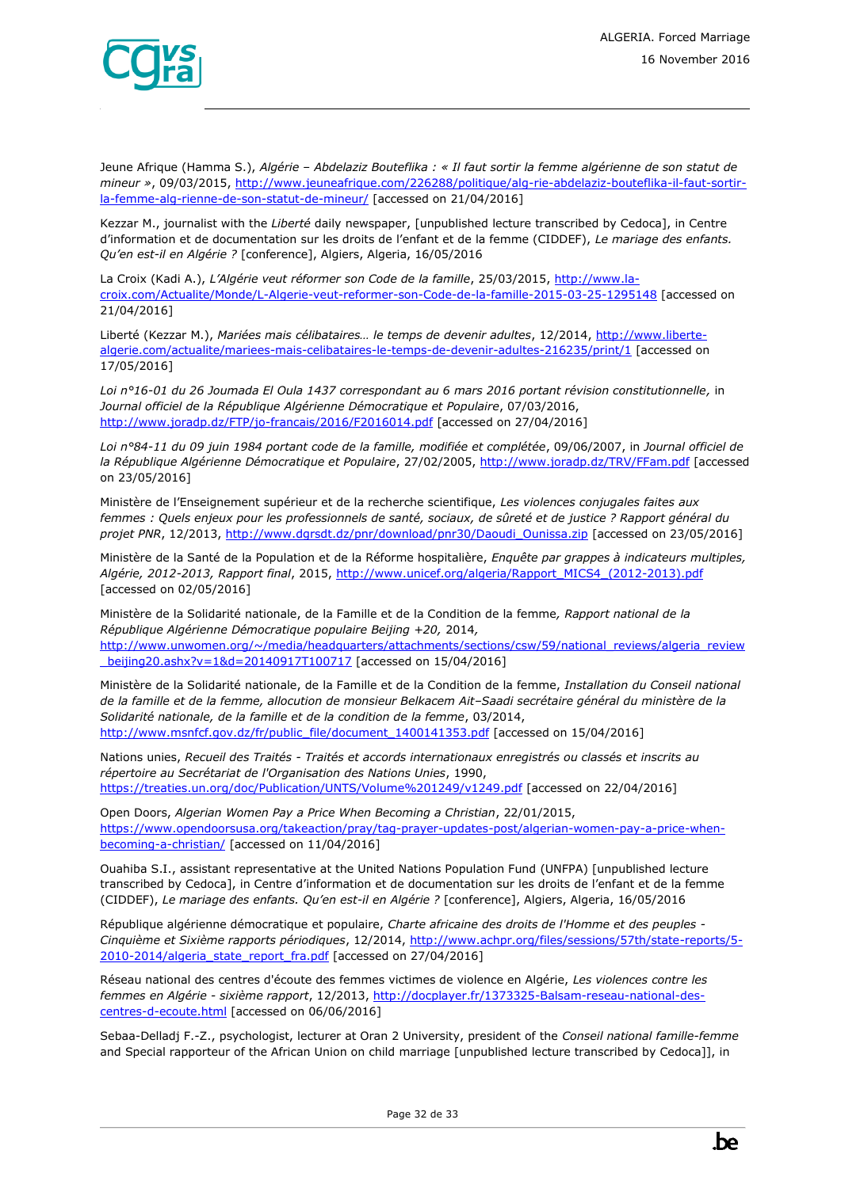

Jeune Afrique (Hamma S.), *Algérie – Abdelaziz Bouteflika : « Il faut sortir la femme algérienne de son statut de mineur »*, 09/03/2015, [http://www.jeuneafrique.com/226288/politique/alg-rie-abdelaziz-bouteflika-il-faut-sortir](http://www.jeuneafrique.com/226288/politique/alg-rie-abdelaziz-bouteflika-il-faut-sortir-la-femme-alg-rienne-de-son-statut-de-mineur/)[la-femme-alg-rienne-de-son-statut-de-mineur/](http://www.jeuneafrique.com/226288/politique/alg-rie-abdelaziz-bouteflika-il-faut-sortir-la-femme-alg-rienne-de-son-statut-de-mineur/) [accessed on 21/04/2016]

Kezzar M., journalist with the *Liberté* daily newspaper, [unpublished lecture transcribed by Cedoca], in Centre d'information et de documentation sur les droits de l'enfant et de la femme (CIDDEF), *Le mariage des enfants. Qu'en est-il en Algérie ?* [conference], Algiers, Algeria, 16/05/2016

La Croix (Kadi A.), L'Algérie veut réformer son Code de la famille, 25/03/2015, [http://www.la](http://www.la-croix.com/Actualite/Monde/L-Algerie-veut-reformer-son-Code-de-la-famille-2015-03-25-1295148)[croix.com/Actualite/Monde/L-Algerie-veut-reformer-son-Code-de-la-famille-2015-03-25-1295148](http://www.la-croix.com/Actualite/Monde/L-Algerie-veut-reformer-son-Code-de-la-famille-2015-03-25-1295148) [accessed on 21/04/2016]

Liberté (Kezzar M.), *Mariées mais célibataires… le temps de devenir adultes*, 12/2014[, http://www.liberte](http://www.liberte-algerie.com/actualite/mariees-mais-celibataires-le-temps-de-devenir-adultes-216235/print/1)[algerie.com/actualite/mariees-mais-celibataires-le-temps-de-devenir-adultes-216235/print/1](http://www.liberte-algerie.com/actualite/mariees-mais-celibataires-le-temps-de-devenir-adultes-216235/print/1) [accessed on 17/05/2016]

*Loi n°16-01 du 26 Joumada El Oula 1437 correspondant au 6 mars 2016 portant révision constitutionnelle,* in *Journal officiel de la République Algérienne Démocratique et Populaire*, 07/03/2016, <http://www.joradp.dz/FTP/jo-francais/2016/F2016014.pdf> [accessed on 27/04/2016]

*Loi n°84-11 du 09 juin 1984 portant code de la famille, modifiée et complétée*, 09/06/2007, in *Journal officiel de la République Algérienne Démocratique et Populaire*, 27/02/2005[, http://www.joradp.dz/TRV/FFam.pdf](http://www.joradp.dz/TRV/FFam.pdf) [accessed on 23/05/2016]

Ministère de l'Enseignement supérieur et de la recherche scientifique, *Les violences conjugales faites aux femmes : Quels enjeux pour les professionnels de santé, sociaux, de sûreté et de justice ? Rapport général du projet PNR*, 12/2013, [http://www.dgrsdt.dz/pnr/download/pnr30/Daoudi\\_Ounissa.zip](http://www.dgrsdt.dz/pnr/download/pnr30/Daoudi_Ounissa.zip) [accessed on 23/05/2016]

Ministère de la Santé de la Population et de la Réforme hospitalière, *Enquête par grappes à indicateurs multiples, Algérie, 2012-2013, Rapport final*, 2015, [http://www.unicef.org/algeria/Rapport\\_MICS4\\_\(2012-2013\).pdf](http://www.unicef.org/algeria/Rapport_MICS4_(2012-2013).pdf) [accessed on 02/05/2016]

Ministère de la Solidarité nationale, de la Famille et de la Condition de la femme*, Rapport national de la République Algérienne Démocratique populaire Beijing +20,* 2014*,*  [http://www.unwomen.org/~/media/headquarters/attachments/sections/csw/59/national\\_reviews/algeria\\_review](http://www.unwomen.org/~/media/headquarters/attachments/sections/csw/59/national_reviews/algeria_review_beijing20.ashx?v=1&d=20140917T100717) [\\_beijing20.ashx?v=1&d=20140917T100717](http://www.unwomen.org/~/media/headquarters/attachments/sections/csw/59/national_reviews/algeria_review_beijing20.ashx?v=1&d=20140917T100717) [accessed on 15/04/2016]

Ministère de la Solidarité nationale, de la Famille et de la Condition de la femme, *Installation du Conseil national de la famille et de la femme, allocution de monsieur Belkacem Ait–Saadi secrétaire général du ministère de la Solidarité nationale, de la famille et de la condition de la femme*, 03/2014, [http://www.msnfcf.gov.dz/fr/public\\_file/document\\_1400141353.pdf](http://www.msnfcf.gov.dz/fr/public_file/document_1400141353.pdf) [accessed on 15/04/2016]

Nations unies, *Recueil des Traités - Traités et accords internationaux enregistrés ou classés et inscrits au répertoire au Secrétariat de l'Organisation des Nations Unies*, 1990, <https://treaties.un.org/doc/Publication/UNTS/Volume%201249/v1249.pdf> [accessed on 22/04/2016]

Open Doors, *Algerian Women Pay a Price When Becoming a Christian*, 22/01/2015, [https://www.opendoorsusa.org/takeaction/pray/tag-prayer-updates-post/algerian-women-pay-a-price-when](https://www.opendoorsusa.org/takeaction/pray/tag-prayer-updates-post/algerian-women-pay-a-price-when-becoming-a-christian/)[becoming-a-christian/](https://www.opendoorsusa.org/takeaction/pray/tag-prayer-updates-post/algerian-women-pay-a-price-when-becoming-a-christian/) [accessed on 11/04/2016]

Ouahiba S.I., assistant representative at the United Nations Population Fund (UNFPA) [unpublished lecture transcribed by Cedoca], in Centre d'information et de documentation sur les droits de l'enfant et de la femme (CIDDEF), *Le mariage des enfants. Qu'en est-il en Algérie ?* [conference], Algiers, Algeria, 16/05/2016

République algérienne démocratique et populaire, *Charte africaine des droits de l'Homme et des peuples - Cinquième et Sixième rapports périodiques*, 12/2014, [http://www.achpr.org/files/sessions/57th/state-reports/5-](http://www.achpr.org/files/sessions/57th/state-reports/5-2010-2014/algeria_state_report_fra.pdf) [2010-2014/algeria\\_state\\_report\\_fra.pdf](http://www.achpr.org/files/sessions/57th/state-reports/5-2010-2014/algeria_state_report_fra.pdf) [accessed on 27/04/2016]

Réseau national des centres d'écoute des femmes victimes de violence en Algérie, *Les violences contre les femmes en Algérie - sixième rapport*, 12/2013, [http://docplayer.fr/1373325-Balsam-reseau-national-des](http://docplayer.fr/1373325-Balsam-reseau-national-des-centres-d-ecoute.html)[centres-d-ecoute.html](http://docplayer.fr/1373325-Balsam-reseau-national-des-centres-d-ecoute.html) [accessed on 06/06/2016]

Sebaa-Delladj F.-Z., psychologist, lecturer at Oran 2 University, president of the *Conseil national famille-femme* and Special rapporteur of the African Union on child marriage [unpublished lecture transcribed by Cedoca]], in